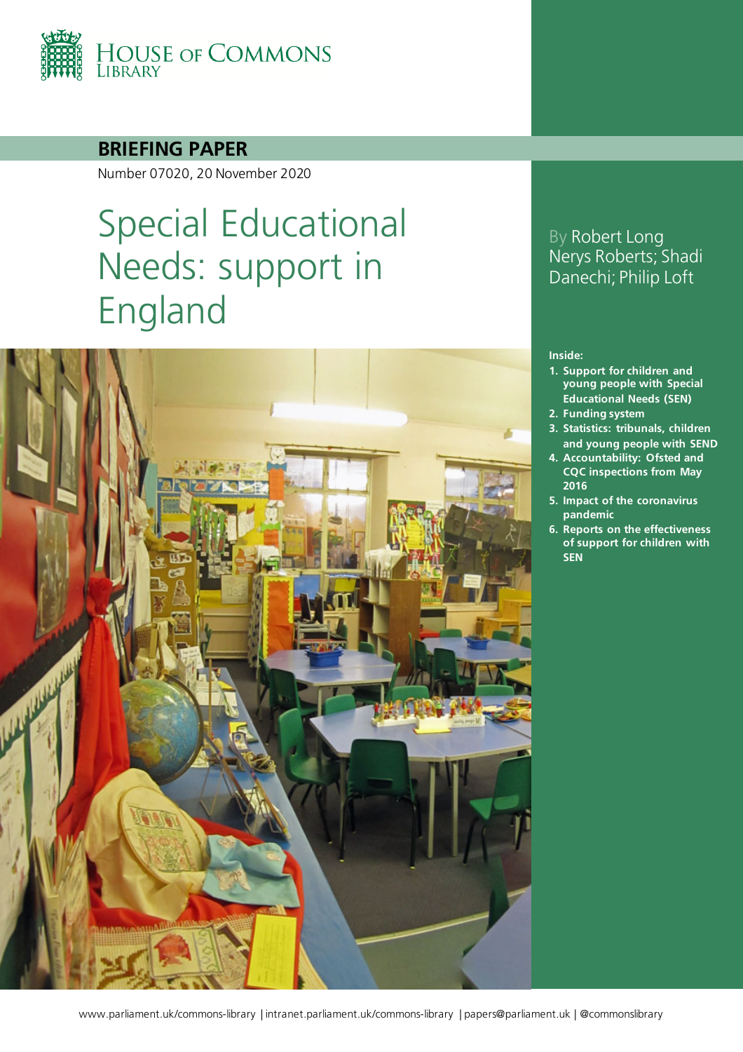

#### **BRIEFING PAPER**

Number 07020, 20 November 2020

# Special Educational Needs: support in England



### By Robert Long Nerys Roberts; Shadi Danechi; Philip Loft

#### **Inside:**

- **1. [Support for children and](#page-4-0)  [young people with Special](#page-4-0)  [Educational Needs \(SEN\)](#page-4-0)**
- **2. [Funding system](#page-9-0)**
- **3. [Statistics: tribunals, children](#page-14-0)  [and young people with SEND](#page-14-0)**
- **4. [Accountability: Ofsted and](#page-18-0)  [CQC inspections from May](#page-18-0)  [2016](#page-18-0)**
- **5. [Impact of the coronavirus](#page-21-0)  [pandemic](#page-21-0)**
- **6. [Reports on the effectiveness](#page-26-0)  [of support for children with](#page-26-0)  [SEN](#page-26-0)**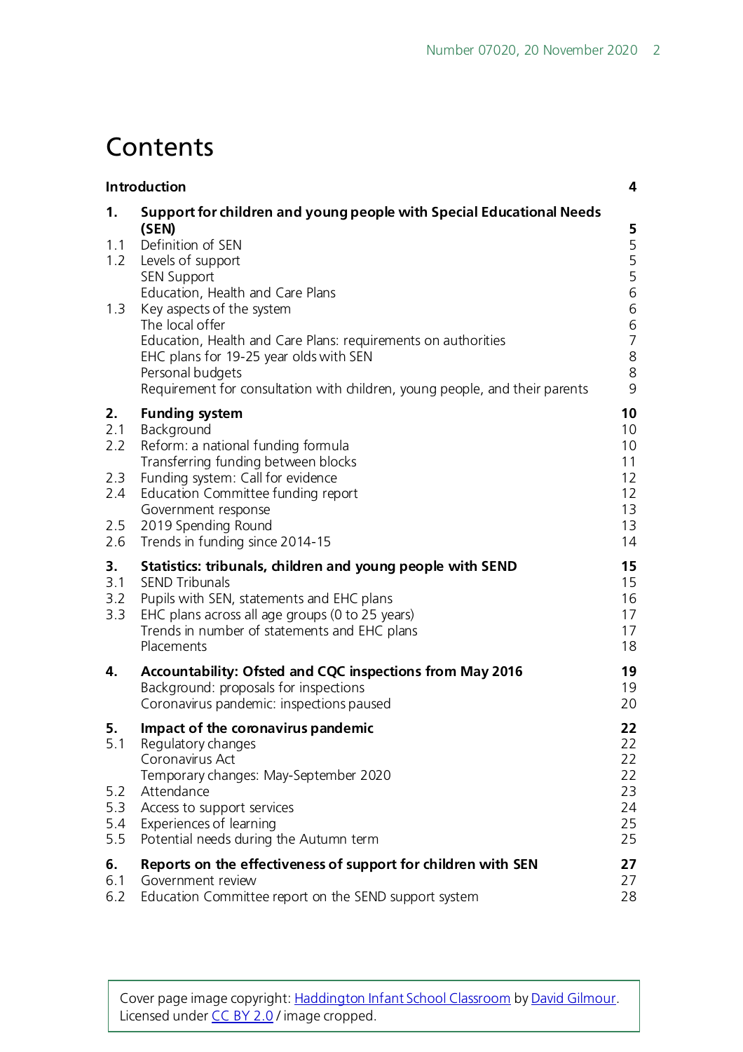## **Contents**

|                                              | Introduction                                                                                                                                                                                                                                                                                                                                                                                                                                    |                                                                                                               |  |  |  |
|----------------------------------------------|-------------------------------------------------------------------------------------------------------------------------------------------------------------------------------------------------------------------------------------------------------------------------------------------------------------------------------------------------------------------------------------------------------------------------------------------------|---------------------------------------------------------------------------------------------------------------|--|--|--|
| 1.<br>1.1<br>1.2<br>1.3                      | Support for children and young people with Special Educational Needs<br>(SEN)<br>Definition of SEN<br>Levels of support<br><b>SEN Support</b><br>Education, Health and Care Plans<br>Key aspects of the system<br>The local offer<br>Education, Health and Care Plans: requirements on authorities<br>EHC plans for 19-25 year olds with SEN<br>Personal budgets<br>Requirement for consultation with children, young people, and their parents | 5<br>5<br>5<br>5<br>$\,$ 6 $\,$<br>$\sqrt{6}$<br>$\begin{array}{c} 6 \\ 7 \end{array}$<br>$\,8$<br>$\,8$<br>9 |  |  |  |
| 2.<br>2.1<br>2.2<br>2.3<br>2.4<br>2.5<br>2.6 | <b>Funding system</b><br>Background<br>Reform: a national funding formula<br>Transferring funding between blocks<br>Funding system: Call for evidence<br>Education Committee funding report<br>Government response<br>2019 Spending Round<br>Trends in funding since 2014-15                                                                                                                                                                    | 10<br>10<br>10<br>11<br>12<br>12<br>13<br>13<br>14                                                            |  |  |  |
| 3.<br>3.1<br>3.2<br>3.3                      | Statistics: tribunals, children and young people with SEND<br><b>SEND Tribunals</b><br>Pupils with SEN, statements and EHC plans<br>EHC plans across all age groups (0 to 25 years)<br>Trends in number of statements and EHC plans<br>Placements                                                                                                                                                                                               | 15<br>15<br>16<br>17<br>17<br>18                                                                              |  |  |  |
| 4.                                           | Accountability: Ofsted and CQC inspections from May 2016<br>Background: proposals for inspections<br>Coronavirus pandemic: inspections paused                                                                                                                                                                                                                                                                                                   | 19<br>19<br>20                                                                                                |  |  |  |
| 5.<br>5.1<br>5.2<br>5.3<br>5.4<br>5.5        | Impact of the coronavirus pandemic<br>Regulatory changes<br>Coronavirus Act<br>Temporary changes: May-September 2020<br>Attendance<br>Access to support services<br>Experiences of learning<br>Potential needs during the Autumn term                                                                                                                                                                                                           | 22<br>22<br>22<br>22<br>23<br>24<br>25<br>25                                                                  |  |  |  |
| 6.<br>6.1<br>6.2                             | Reports on the effectiveness of support for children with SEN<br>Government review<br>Education Committee report on the SEND support system                                                                                                                                                                                                                                                                                                     | 27<br>27<br>28                                                                                                |  |  |  |

Cover page image copyright[: Haddington Infant School Classroom](https://www.flickr.com/photos/davidgilmour/8054768528/in/photolist-dgLN4s-rBJGQH-9DZPr-peS62u-boo4u7-rjgtWT-fHMRX8-bjpnAB-atjKHJ-dRj66Y-r2Bjv6-qK2ymQ-qZjbr7-q5AN79-r2wvN3-r2shwR-qK3RNy-qK3Q6L-q5Ptc8-qZjbSC-5wrEiv-7mQDFx-boBf7J-bBhY2V-4dJPyP-gjyq6i-bjGaiE-8VyCkT-5Urxsu-nnFoWi-4euk4W-bPCCM2-9R9qqY-f8r8er-PMpHi-bAJabh-9KMedm-artMsp-ocZRbi-9WBF8y-rAHmp6-bPCChR-rABNMW-bPCMdZ-qDHNs7-bAJ89w-3uwTYS-boBf6C-oudcsc-3uwNCy) b[y David Gilmour.](https://www.flickr.com/photos/davidgilmour/) Licensed under [CC BY 2.0](https://creativecommons.org/licenses/by-nc-sa/2.0/) / image cropped.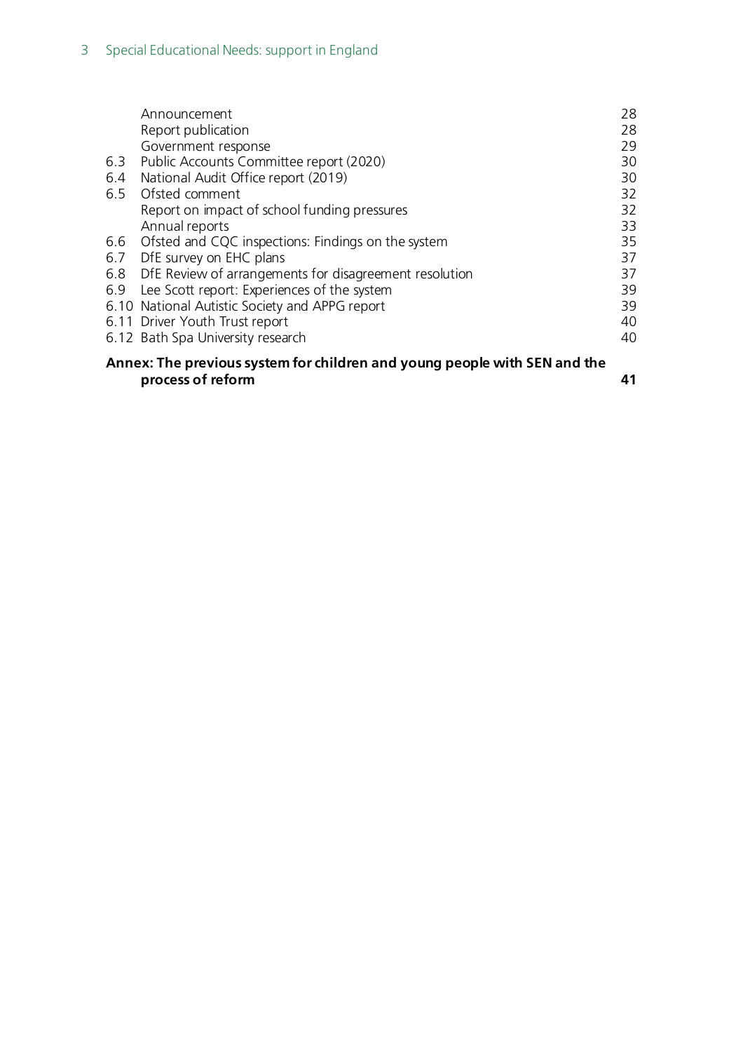|                                                                           | Announcement<br>Report publication                     | 28<br>28 |  |  |
|---------------------------------------------------------------------------|--------------------------------------------------------|----------|--|--|
|                                                                           | Government response                                    | 29       |  |  |
| 6.3                                                                       | Public Accounts Committee report (2020)                | 30       |  |  |
| 6.4                                                                       | National Audit Office report (2019)                    | 30       |  |  |
|                                                                           | 6.5 Ofsted comment                                     | 32       |  |  |
|                                                                           | Report on impact of school funding pressures           | 32       |  |  |
|                                                                           | Annual reports                                         | 33       |  |  |
|                                                                           | 6.6 Ofsted and CQC inspections: Findings on the system | 35       |  |  |
|                                                                           | 6.7 DfE survey on EHC plans                            | 37       |  |  |
| 6.8                                                                       | DfE Review of arrangements for disagreement resolution | 37       |  |  |
| 6.9                                                                       | Lee Scott report: Experiences of the system            | 39       |  |  |
|                                                                           | 6.10 National Autistic Society and APPG report         | 39       |  |  |
|                                                                           | 6.11 Driver Youth Trust report                         | 40       |  |  |
|                                                                           | 6.12 Bath Spa University research                      | 40       |  |  |
| Annex: The previous system for children and young people with SEN and the |                                                        |          |  |  |
|                                                                           | process of reform                                      | 41       |  |  |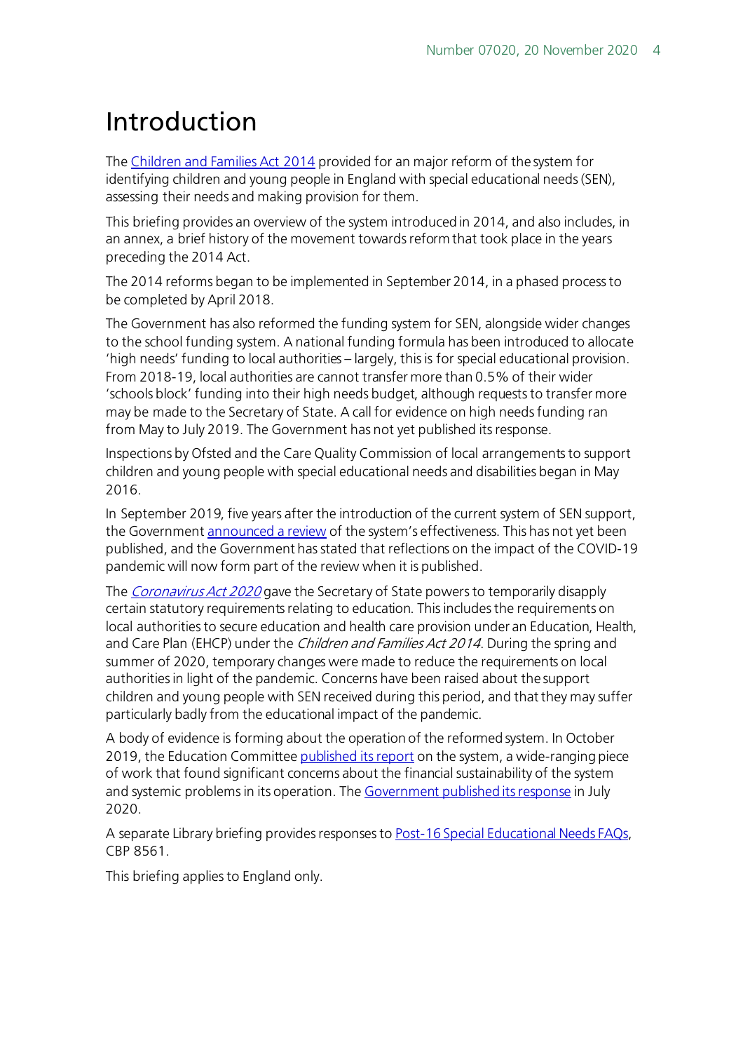# <span id="page-3-0"></span>Introduction

The [Children and Families Act 2014](http://www.legislation.gov.uk/ukpga/2014/6/contents/enacted) provided for an major reform of the system for identifying children and young people in England with special educational needs (SEN), assessing their needs and making provision for them.

This briefing provides an overview of the system introduced in 2014, and also includes, in an annex, a brief history of the movement towards reform that took place in the years preceding the 2014 Act.

The 2014 reforms began to be implemented in September 2014, in a phased process to be completed by April 2018.

The Government has also reformed the funding system for SEN, alongside wider changes to the school funding system. A national funding formula has been introduced to allocate 'high needs' funding to local authorities – largely, this is for special educational provision. From 2018-19, local authorities are cannot transfer more than 0.5% of their wider 'schools block' funding into their high needs budget, although requests to transfer more may be made to the Secretary of State. A call for evidence on high needs funding ran from May to July 2019. The Government has not yet published its response.

Inspections by Ofsted and the Care Quality Commission of local arrangements to support children and young people with special educational needs and disabilities began in May 2016.

In September 2019, five years after the introduction of the current system of SEN support, the Governmen[t announced a review](https://www.gov.uk/government/news/major-review-into-support-for-children-with-special-educational-needs) of the system's effectiveness. This has not yet been published, and the Government has stated that reflections on the impact of the COVID-19 pandemic will now form part of the review when it is published.

The *[Coronavirus Act 2020](https://www.legislation.gov.uk/ukpga/2020/7/contents/enacted)* gave the Secretary of State powers to temporarily disapply certain statutory requirements relating to education. This includes the requirements on local authorities to secure education and health care provision under an Education, Health, and Care Plan (EHCP) under the *Children and Families Act 2014*. During the spring and summer of 2020, temporary changes were made to reduce the requirements on local authorities in light of the pandemic. Concerns have been raised about the support children and young people with SEN received during this period, and that they may suffer particularly badly from the educational impact of the pandemic.

A body of evidence is forming about the operation of the reformed system. In October 2019, the Education Committe[e published its report](https://www.parliament.uk/business/committees/committees-a-z/commons-select/education-committee/news-parliament-2017/send-report-published-19-20/) on the system, a wide-ranging piece of work that found significant concerns about the financial sustainability of the system and systemic problems in its operation. Th[e Government published its response](https://publications.parliament.uk/pa/cm5801/cmselect/cmeduc/668/668.pdf) in July 2020.

A separate Library briefing provides responses t[o Post-16 Special Educational Needs FAQs,](https://researchbriefings.parliament.uk/ResearchBriefing/Summary/CBP-8561) CBP 8561.

This briefing applies to England only.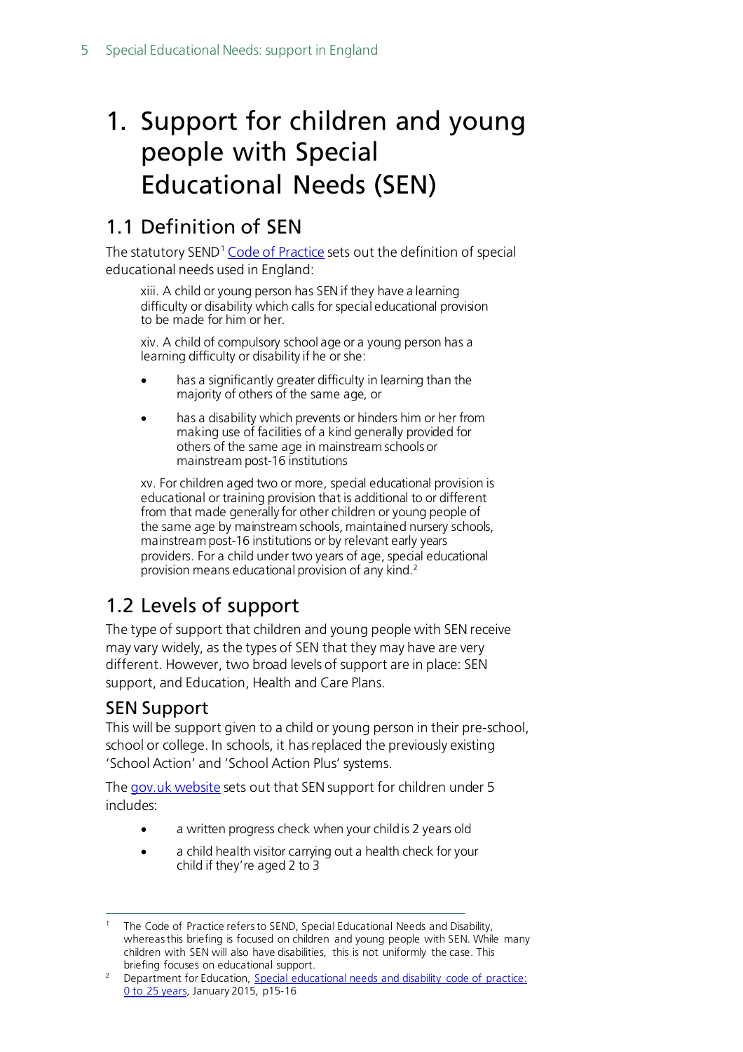# <span id="page-4-0"></span>1. Support for children and young people with Special Educational Needs (SEN)

## <span id="page-4-1"></span>1.1 Definition of SEN

The statutory SEND<sup>[1](#page-4-4)</sup> [Code of Practice](https://www.gov.uk/government/publications/send-code-of-practice-0-to-25) sets out the definition of special educational needs used in England:

xiii. A child or young person has SEN if they have a learning difficulty or disability which calls for special educational provision to be made for him or her.

xiv. A child of compulsory school age or a young person has a learning difficulty or disability if he or she:

- has a significantly greater difficulty in learning than the majority of others of the same age, or
- has a disability which prevents or hinders him or her from making use of facilities of a kind generally provided for others of the same age in mainstream schools or mainstream post-16 institutions

xv. For children aged two or more, special educational provision is educational or training provision that is additional to or different from that made generally for other children or young people of the same age by mainstream schools, maintained nursery schools, mainstream post-16 institutions or by relevant early years providers. For a child under two years of age, special educational provision means educational provision of any kind.[2](#page-4-5)

## <span id="page-4-2"></span>1.2 Levels of support

The type of support that children and young people with SEN receive may vary widely, as the types of SEN that they may have are very different. However, two broad levels of support are in place: SEN support, and Education, Health and Care Plans.

### <span id="page-4-3"></span>SEN Support

This will be support given to a child or young person in their pre-school, school or college. In schools, it has replaced the previously existing 'School Action' and 'School Action Plus' systems.

The [gov.uk website](https://www.gov.uk/children-with-special-educational-needs/special-educational-needs-support) sets out that SEN support for children under 5 includes:

- a written progress check when your child is 2 years old
- a child health visitor carrying out a health check for your child if they're aged 2 to 3

<span id="page-4-4"></span>The Code of Practice refers to SEND, Special Educational Needs and Disability, whereas this briefing is focused on children and young people with SEN. While many children with SEN will also have disabilities, this is not uniformly the case. This briefing focuses on educational support.

<span id="page-4-5"></span><sup>&</sup>lt;sup>2</sup> Department for Education, Special educational needs and disability code of practice: [0 to 25 years,](https://www.gov.uk/government/publications/send-code-of-practice-0-to-25) January 2015, p15-16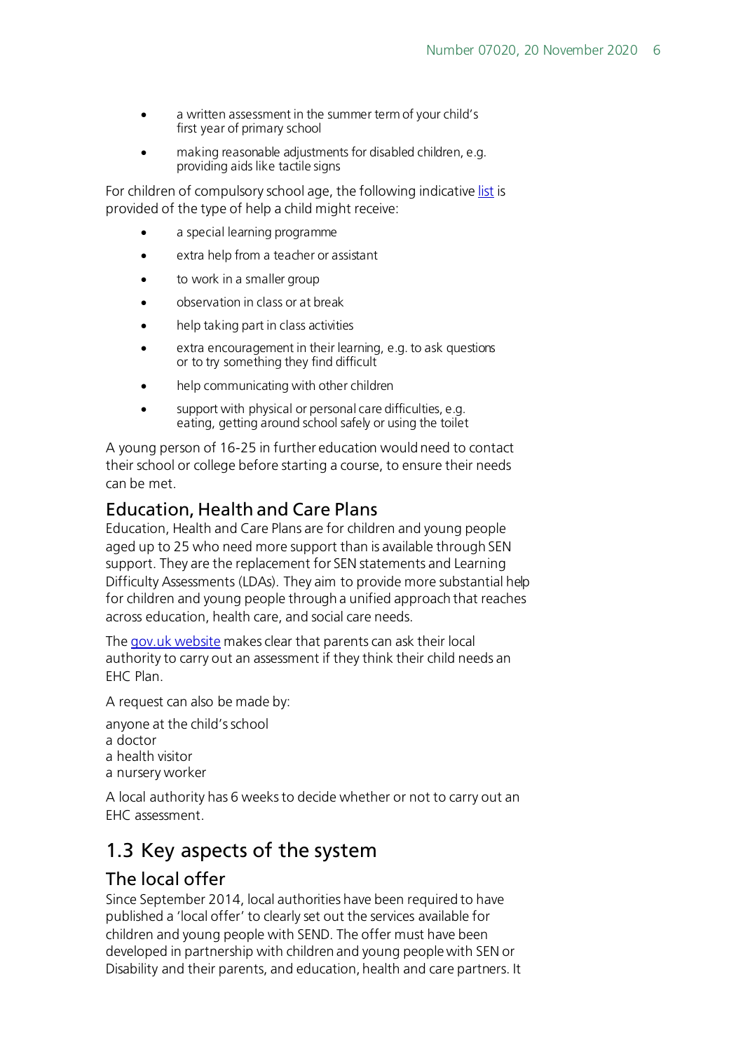- a written assessment in the summer term of your child's first year of primary school
- making reasonable adjustments for disabled children, e.g. providing aids like tactile signs

For children of compulsory school age, the following indicativ[e list](https://www.gov.uk/children-with-special-educational-needs/special-educational-needs-support) is provided of the type of help a child might receive:

- a special learning programme
- extra help from a teacher or assistant
- to work in a smaller group
- observation in class or at break
- help taking part in class activities
- extra encouragement in their learning, e.g. to ask questions or to try something they find difficult
- help communicating with other children
- support with physical or personal care difficulties, e.g. eating, getting around school safely or using the toilet

A young person of 16-25 in further education would need to contact their school or college before starting a course, to ensure their needs can be met.

#### <span id="page-5-0"></span>Education, Health and Care Plans

Education, Health and Care Plans are for children and young people aged up to 25 who need more support than is available through SEN support. They are the replacement for SEN statements and Learning Difficulty Assessments (LDAs). They aim to provide more substantial help for children and young people through a unified approach that reaches across education, health care, and social care needs.

The [gov.uk website](https://www.gov.uk/children-with-special-educational-needs/extra-SEN-help) makes clear that parents can ask their local authority to carry out an assessment if they think their child needs an FHC Plan.

A request can also be made by:

- anyone at the child's school a doctor
- a health visitor
- a nursery worker

A local authority has 6 weeks to decide whether or not to carry out an EHC assessment.

### <span id="page-5-1"></span>1.3 Key aspects of the system

#### <span id="page-5-2"></span>The local offer

Since September 2014, local authorities have been required to have published a 'local offer' to clearly set out the services available for children and young people with SEND. The offer must have been developed in partnership with children and young people with SEN or Disability and their parents, and education, health and care partners. It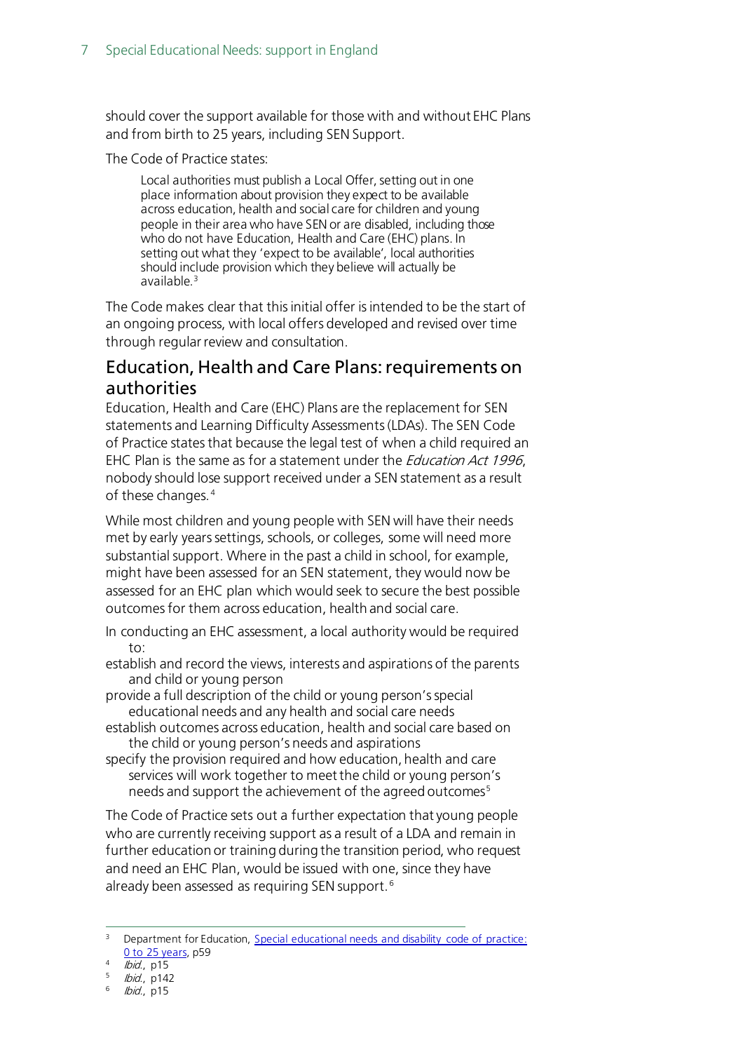should cover the support available for those with and without EHC Plans and from birth to 25 years, including SEN Support.

The Code of Practice states:

Local authorities must publish a Local Offer, setting out in one place information about provision they expect to be available across education, health and social care for children and young people in their area who have SEN or are disabled, including those who do not have Education, Health and Care (EHC) plans. In setting out what they 'expect to be available', local authorities should include provision which they believe will actually be available.[3](#page-6-1)

The Code makes clear that this initial offer is intended to be the start of an ongoing process, with local offers developed and revised over time through regular review and consultation.

#### <span id="page-6-0"></span>Education, Health and Care Plans: requirements on authorities

Education, Health and Care (EHC) Plans are the replacement for SEN statements and Learning Difficulty Assessments (LDAs). The SEN Code of Practice states that because the legal test of when a child required an EHC Plan is the same as for a statement under the *Education Act 1996*, nobody should lose support received under a SEN statement as a result of these changes. [4](#page-6-2)

While most children and young people with SEN will have their needs met by early years settings, schools, or colleges, some will need more substantial support. Where in the past a child in school, for example, might have been assessed for an SEN statement, they would now be assessed for an EHC plan which would seek to secure the best possible outcomes for them across education, health and social care.

In conducting an EHC assessment, a local authority would be required to:

establish and record the views, interests and aspirations of the parents and child or young person

provide a full description of the child or young person's special educational needs and any health and social care needs

establish outcomes across education, health and social care based on the child or young person's needs and aspirations

specify the provision required and how education, health and care services will work together to meet the child or young person's needs and support the achievement of the agreed outcomes<sup>[5](#page-6-3)</sup>

The Code of Practice sets out a further expectation that young people who are currently receiving support as a result of a LDA and remain in further education or training during the transition period, who request and need an EHC Plan, would be issued with one, since they have already been assessed as requiring SEN support. [6](#page-6-4)

<span id="page-6-1"></span><sup>&</sup>lt;sup>3</sup> Department for Education, Special educational needs and disability code of practice: [0 to 25 years,](https://www.gov.uk/government/uploads/system/uploads/attachment_data/file/398815/SEND_Code_of_Practice_January_2015.pdf) p59

<span id="page-6-2"></span> $4$  *Ibid.*, p15

<span id="page-6-3"></span> $15$  *Ibid.*, p142

<span id="page-6-4"></span>lbid., p15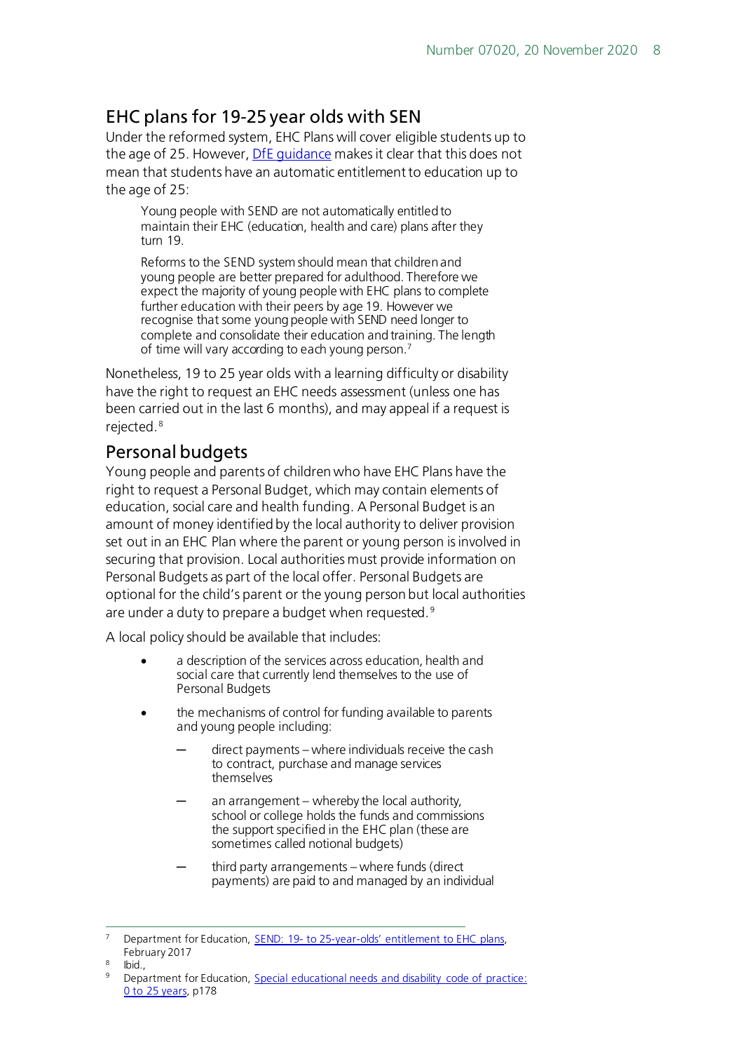### <span id="page-7-0"></span>EHC plans for 19-25 year olds with SEN

Under the reformed system, EHC Plans will cover eligible students up to the age of 25. However, [DfE guidance](https://www.gov.uk/government/publications/send-19-to-25-year-olds-entitlement-to-ehc-plans/send-19-to-25-year-olds-entitlement-to-ehc-plans) makes it clear that this does not mean that students have an automatic entitlement to education up to the age of 25:

Young people with SEND are not automatically entitled to maintain their EHC (education, health and care) plans after they turn 19.

Reforms to the SEND system should mean that children and young people are better prepared for adulthood. Therefore we expect the majority of young people with EHC plans to complete further education with their peers by age 19. However we recognise that some young people with SEND need longer to complete and consolidate their education and training. The length of time will vary according to each young person[.7](#page-7-2)

Nonetheless, 19 to 25 year olds with a learning difficulty or disability have the right to request an EHC needs assessment (unless one has been carried out in the last 6 months), and may appeal if a request is rejected.<sup>[8](#page-7-3)</sup>

### <span id="page-7-1"></span>Personal budgets

Young people and parents of children who have EHC Plans have the right to request a Personal Budget, which may contain elements of education, social care and health funding. A Personal Budget is an amount of money identified by the local authority to deliver provision set out in an EHC Plan where the parent or young person is involved in securing that provision. Local authorities must provide information on Personal Budgets as part of the local offer. Personal Budgets are optional for the child's parent or the young person but local authorities are under a duty to prepare a budget when requested.<sup>[9](#page-7-4)</sup>

A local policy should be available that includes:

- a description of the services across education, health and social care that currently lend themselves to the use of Personal Budgets
- the mechanisms of control for funding available to parents and young people including:
	- $direct$  payments where individuals receive the cash to contract, purchase and manage services themselves
	- an arrangement whereby the local authority, school or college holds the funds and commissions the support specified in the EHC plan (these are sometimes called notional budgets)
	- third party arrangements where funds (direct payments) are paid to and managed by an individual

<span id="page-7-2"></span>Department for Education, SEND: 19- to 25-year-olds' entitlement to EHC plans, February 2017

<span id="page-7-4"></span><span id="page-7-3"></span>Ibid.,

<sup>9</sup> Department for Education, [Special educational needs and disability code of practice:](https://www.gov.uk/government/uploads/system/uploads/attachment_data/file/398815/SEND_Code_of_Practice_January_2015.pdf)  [0 to 25 years,](https://www.gov.uk/government/uploads/system/uploads/attachment_data/file/398815/SEND_Code_of_Practice_January_2015.pdf) p178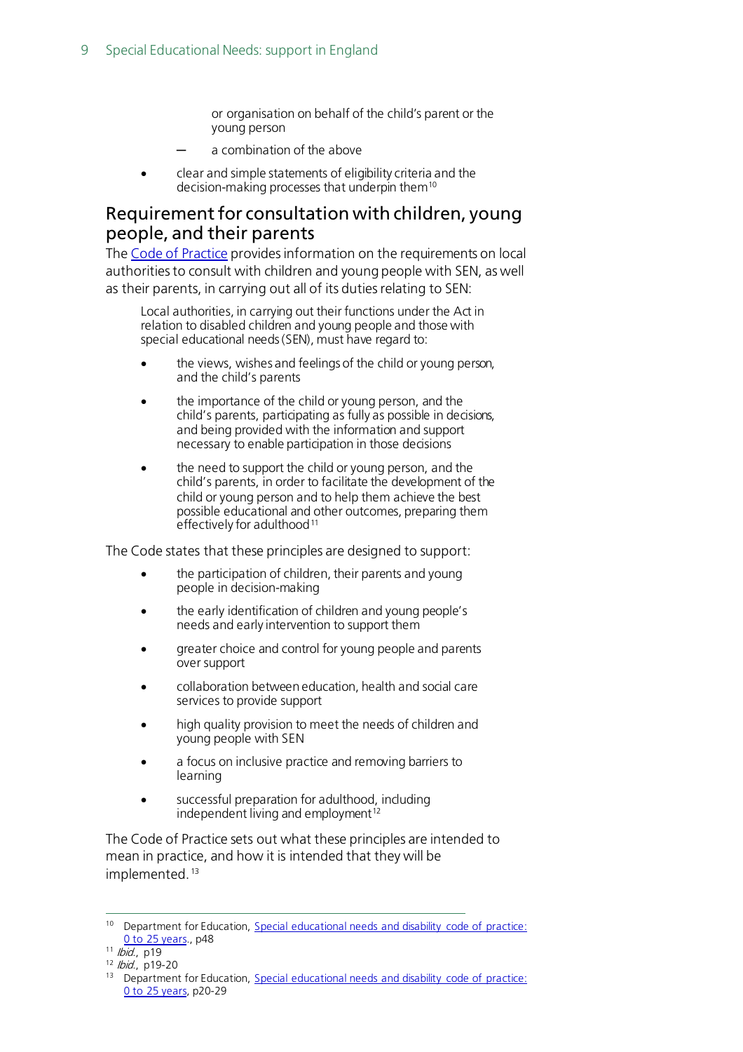or organisation on behalf of the child's parent or the young person

- ─ a combination of the above
- clear and simple statements of eligibility criteria and the decision-making processes that underpin them<sup>10</sup>

#### <span id="page-8-0"></span>Requirement for consultation with children, young people, and their parents

The [Code of Practice](https://www.gov.uk/government/uploads/system/uploads/attachment_data/file/398815/SEND_Code_of_Practice_January_2015.pdf) provides information on the requirements on local authorities to consult with children and young people with SEN, as well as their parents, in carrying out all of its duties relating to SEN:

Local authorities, in carrying out their functions under the Act in relation to disabled children and young people and those with special educational needs (SEN), must have regard to:

- the views, wishes and feelings of the child or young person, and the child's parents
- the importance of the child or young person, and the child's parents, participating as fully as possible in decisions, and being provided with the information and support necessary to enable participation in those decisions
- the need to support the child or young person, and the child's parents, in order to facilitate the development of the child or young person and to help them achieve the best possible educational and other outcomes, preparing them effectively for adulthood<sup>[11](#page-8-2)</sup>

The Code states that these principles are designed to support:

- the participation of children, their parents and young people in decision-making
- the early identification of children and young people's needs and early intervention to support them
- greater choice and control for young people and parents over support
- collaboration between education, health and social care services to provide support
- high quality provision to meet the needs of children and young people with SEN
- a focus on inclusive practice and removing barriers to learning
- successful preparation for adulthood, including independent living and employment<sup>[12](#page-8-3)</sup>

The Code of Practice sets out what these principles are intended to mean in practice, and how it is intended that they will be implemented.<sup>[13](#page-8-4)</sup>

<span id="page-8-1"></span><sup>&</sup>lt;sup>10</sup> Department for Education, Special educational needs and disability code of practice: [0 to 25 years.](https://www.gov.uk/government/uploads/system/uploads/attachment_data/file/342440/SEND_Code_of_Practice_approved_by_Parliament_29.07.14.pdf), p48

<span id="page-8-2"></span> $11$  *Ibid.*, p19

<sup>12</sup> *Ibid.*, p19-20

<span id="page-8-4"></span><span id="page-8-3"></span><sup>&</sup>lt;sup>13</sup> Department for Education, Special educational needs and disability code of practice: [0 to 25 years,](https://www.gov.uk/government/uploads/system/uploads/attachment_data/file/342440/SEND_Code_of_Practice_approved_by_Parliament_29.07.14.pdf) p20-29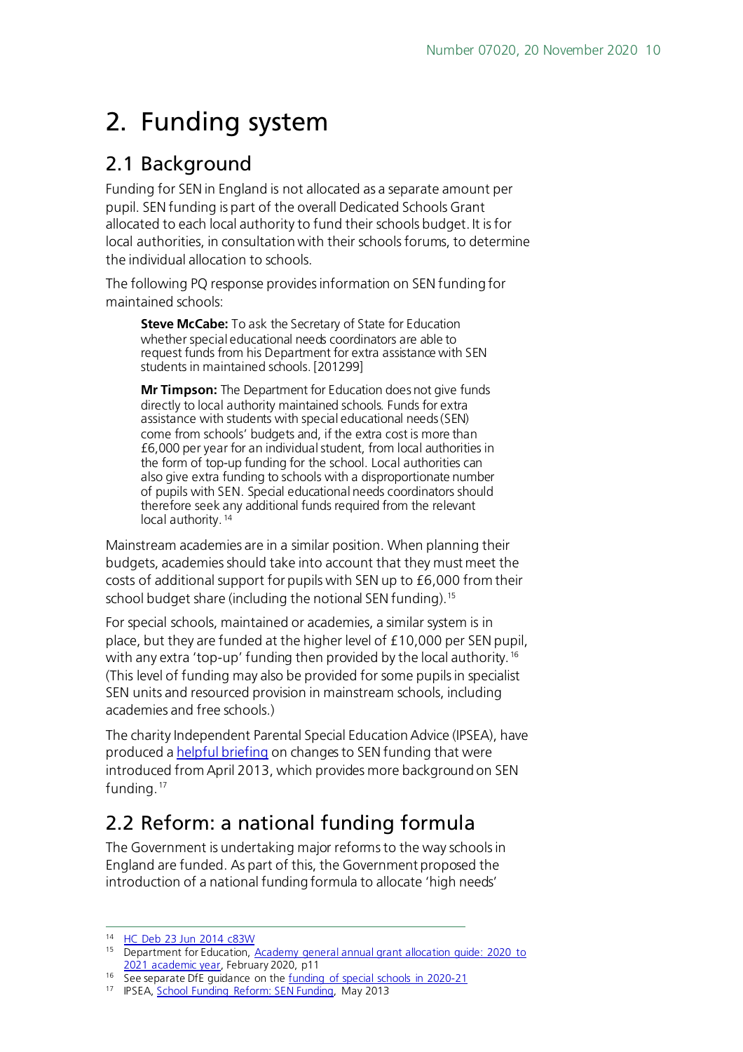# <span id="page-9-0"></span>2. Funding system

### <span id="page-9-1"></span>2.1 Background

Funding for SEN in England is not allocated as a separate amount per pupil. SEN funding is part of the overall Dedicated Schools Grant allocated to each local authority to fund their schools budget. It is for local authorities, in consultation with their schools forums, to determine the individual allocation to schools.

The following PQ response provides information on SEN funding for maintained schools:

**Steve McCabe:** To ask the Secretary of State for Education whether special educational needs coordinators are able to request funds from his Department for extra assistance with SEN students in maintained schools. [201299]

**Mr Timpson:** The Department for Education does not give funds directly to local authority maintained schools. Funds for extra assistance with students with special educational needs (SEN) come from schools' budgets and, if the extra cost is more than £6,000 per year for an individual student, from local authorities in the form of top-up funding for the school. Local authorities can also give extra funding to schools with a disproportionate number of pupils with SEN. Special educational needs coordinators should therefore seek any additional funds required from the relevant local authority.<sup>[14](#page-9-3)</sup>

Mainstream academies are in a similar position. When planning their budgets, academies should take into account that they must meet the costs of additional support for pupils with SEN up to £6,000 from their school budget share (including the notional SEN funding).<sup>15</sup>

For special schools, maintained or academies, a similar system is in place, but they are funded at the higher level of £10,000 per SEN pupil, with any extra 'top-up' funding then provided by the local authority.<sup>[16](#page-9-5)</sup> (This level of funding may also be provided for some pupils in specialist SEN units and resourced provision in mainstream schools, including academies and free schools.)

The charity Independent Parental Special Education Advice (IPSEA), have produced [a helpful briefing](http://www.ipsea.org.uk/file-manager/news/News2013/sen-funding-after-april-2013-public-briefing.pdf) on changes to SEN funding that were introduced from April 2013, which provides more background on SEN funding.<sup>[17](#page-9-6)</sup>

## <span id="page-9-2"></span>2.2 Reform: a national funding formula

The Government is undertaking major reforms to the way schools in England are funded. As part of this, the Government proposed the introduction of a national funding formula to allocate 'high needs'

<span id="page-9-3"></span><sup>14</sup> [HC Deb 23 Jun 2014 c83W](http://www.publications.parliament.uk/pa/cm201415/cmhansrd/cm140623/text/140623w0003.htm#1406246000981)

<span id="page-9-4"></span><sup>15</sup> Department for Education, Academy general annual grant allocation quide: 2020 to [2021 academic year,](https://assets.publishing.service.gov.uk/government/uploads/system/uploads/attachment_data/file/864834/Academy_allocation_guide_2020_to_2021_mainstream_open_before_April_2020_cleared.pdf) February 2020, p11

<span id="page-9-5"></span><sup>&</sup>lt;sup>16</sup> See separate DfE guidance on the <u>funding of special schools in 2020-21</u>

<span id="page-9-6"></span><sup>17</sup> IPSEA, [School Funding Reform: SEN Funding,](http://www.ipsea.org.uk/file-manager/news/News2013/sen-funding-after-april-2013-public-briefing.pdf) May 2013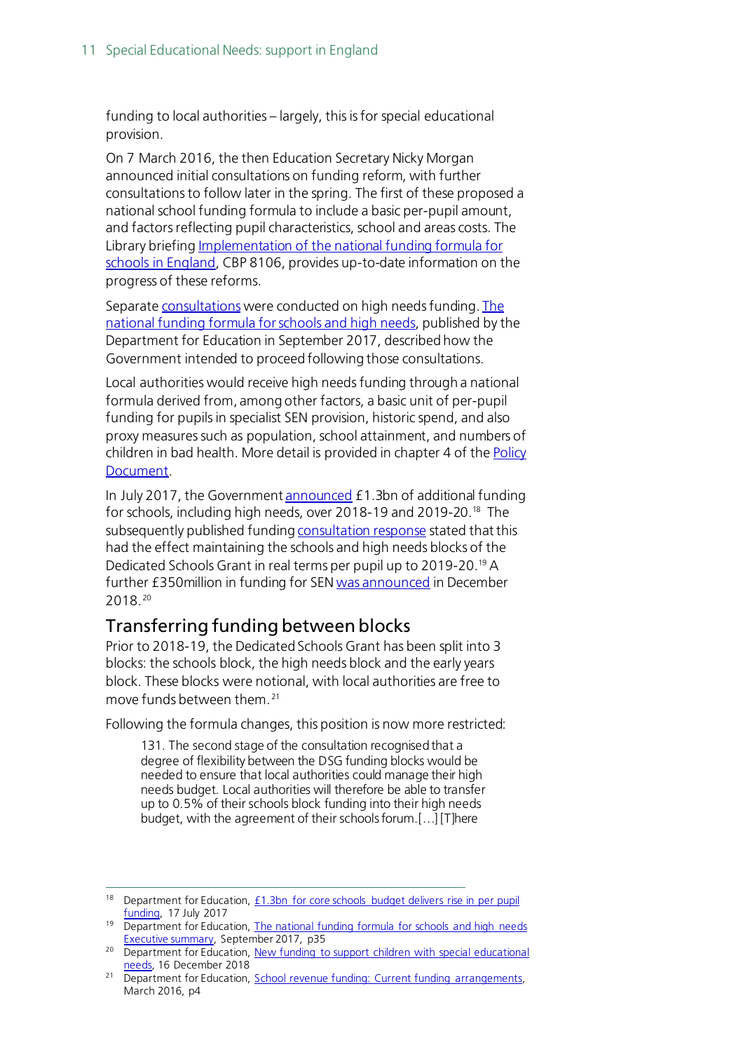funding to local authorities – largely, this is for special educational provision.

On 7 March 2016, the then Education Secretary Nicky Morgan announced initial consultations on funding reform, with further consultations to follow later in the spring. The first of these proposed a national school funding formula to include a basic per-pupil amount, and factors reflecting pupil characteristics, school and areas costs. The Library briefin[g Implementation of the national funding formula for](http://researchbriefings.parliament.uk/ResearchBriefing/Summary/CBP-8106)  [schools in England,](http://researchbriefings.parliament.uk/ResearchBriefing/Summary/CBP-8106) CBP 8106, provides up-to-date information on the progress of these reforms.

Separat[e consultations](https://consult.education.gov.uk/funding-policy-unit/high-needs-funding-reform/) were conducted on high needs funding. The [national funding formula for schools and high needs,](https://www.gov.uk/government/publications/national-funding-formula-for-schools-and-high-needs) published by the Department for Education in September 2017, described how the Government intended to proceed following those consultations.

Local authorities would receive high needs funding through a national formula derived from, among other factors, a basic unit of per-pupil funding for pupils in specialist SEN provision, historic spend, and also proxy measures such as population, school attainment, and numbers of children in bad health. More detail is provided in chapter 4 of th[e Policy](https://www.gov.uk/government/uploads/system/uploads/attachment_data/file/648532/national_funding_formula_for_schools_and_high_needs-Policy_document.pdf)  [Document.](https://www.gov.uk/government/uploads/system/uploads/attachment_data/file/648532/national_funding_formula_for_schools_and_high_needs-Policy_document.pdf)

In July 2017, the Governmen[t announced](https://www.gov.uk/government/news/13bn-for-core-schools-budget-delivers-rise-in-per-pupil-funding) £1.3bn of additional funding for schools, including high needs, over 2018-19 and 2019-20[.18](#page-10-1) The subsequently published fundin[g consultation response](https://www.gov.uk/government/uploads/system/uploads/attachment_data/file/648533/national_funding_formula_for_schools_and_high_needs-Exec_summary.pdf) stated that this had the effect maintaining the schools and high needs blocks of the Dedicated Schools Grant in real terms per pupil up to 2019-20[.19](#page-10-2) A further £350 million in funding for SE[N was announced](https://www.gov.uk/government/news/new-funding-to-support-children-with-special-educational-needs) in December 2018. [20](#page-10-3)

#### <span id="page-10-0"></span>Transferring funding between blocks

Prior to 2018-19, the Dedicated Schools Grant has been split into 3 blocks: the schools block, the high needs block and the early years block. These blocks were notional, with local authorities are free to move funds between them. [21](#page-10-4)

Following the formula changes, this position is now more restricted:

131. The second stage of the consultation recognised that a degree of flexibility between the DSG funding blocks would be needed to ensure that local authorities could manage their high needs budget. Local authorities will therefore be able to transfer up to 0.5% of their schools block funding into their high needs budget, with the agreement of their schools forum.[…] [T]here

<span id="page-10-1"></span><sup>&</sup>lt;sup>18</sup> Department for Education,  $f1.3bn$  for core schools budget delivers rise in per pupil [funding,](https://www.gov.uk/government/news/13bn-for-core-schools-budget-delivers-rise-in-per-pupil-funding) 17 July 2017

<span id="page-10-2"></span><sup>&</sup>lt;sup>19</sup> Department for Education, The national funding formula for schools and high needs [Executive summary,](https://www.gov.uk/government/uploads/system/uploads/attachment_data/file/648533/national_funding_formula_for_schools_and_high_needs-Exec_summary.pdf) September 2017, p35

<span id="page-10-3"></span><sup>&</sup>lt;sup>20</sup> Department for Education, New funding to support children with special educational [needs,](https://www.gov.uk/government/news/new-funding-to-support-children-with-special-educational-needs) 16 December 2018

<span id="page-10-4"></span><sup>&</sup>lt;sup>21</sup> Department for Education, [School revenue funding: Current funding arrangements,](https://consult.education.gov.uk/funding-policy-unit/schools-national-funding-formula/supporting_documents/Current_funding_system.pdf) March 2016, p4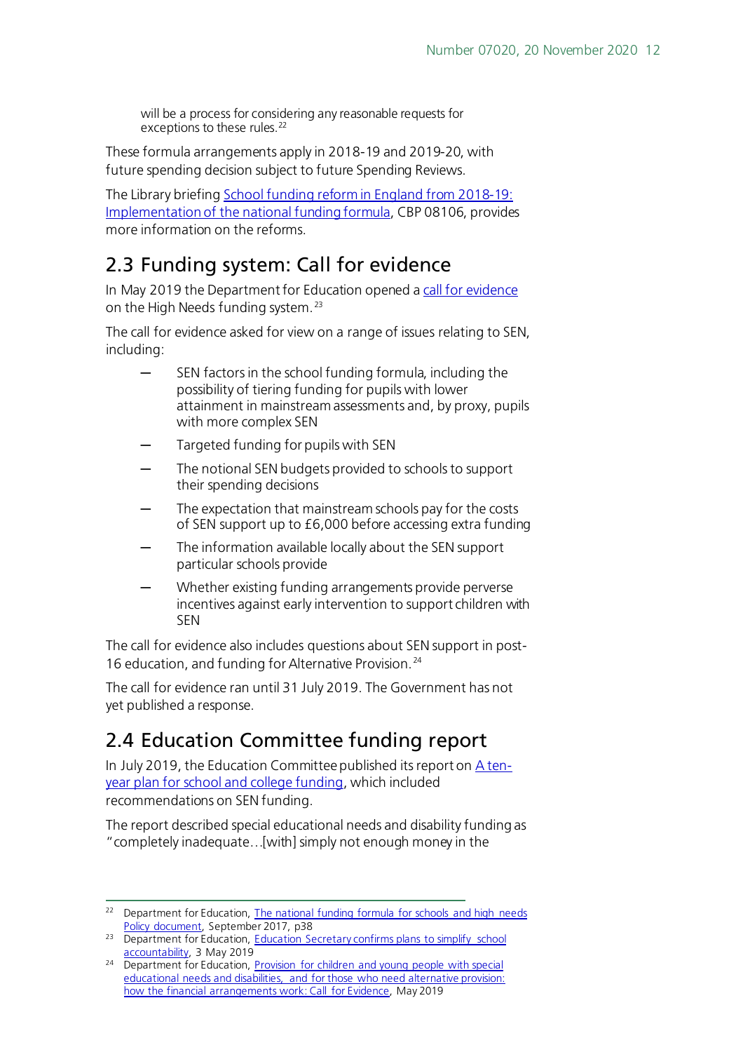will be a process for considering any reasonable requests for exceptions to these rules.<sup>[22](#page-11-2)</sup>

These formula arrangements apply in 2018-19 and 2019-20, with future spending decision subject to future Spending Reviews.

The Library briefin[g School funding reform in England from 2018-19:](http://researchbriefings.parliament.uk/ResearchBriefing/Summary/CBP-8106)  [Implementation of the national funding formula,](http://researchbriefings.parliament.uk/ResearchBriefing/Summary/CBP-8106) CBP 08106, provides more information on the reforms.

## <span id="page-11-0"></span>2.3 Funding system: Call for evidence

In May 2019 the Department for Education opened [a call for evidence](https://consult.education.gov.uk/funding-policy-unit/funding-for-send-and-those-who-need-ap-call-for-ev/) on the High Needs funding system.<sup>[23](#page-11-3)</sup>

The call for evidence asked for view on a range of issues relating to SEN, including:

- SEN factors in the school funding formula, including the possibility of tiering funding for pupils with lower attainment in mainstream assessments and, by proxy, pupils with more complex SEN
- Targeted funding for pupils with SEN
- The notional SEN budgets provided to schools to support their spending decisions
- The expectation that mainstream schools pay for the costs of SEN support up to £6,000 before accessing extra funding
- The information available locally about the SEN support particular schools provide
- Whether existing funding arrangements provide perverse incentives against early intervention to support children with SEN

The call for evidence also includes questions about SEN support in post-16 education, and funding for Alternative Provision. [24](#page-11-4)

The call for evidence ran until 31 July 2019. The Government has not yet published a response.

## <span id="page-11-1"></span>2.4 Education Committee funding report

In July 2019, the Education Committee published its report o[n A ten](https://publications.parliament.uk/pa/cm201719/cmselect/cmeduc/969/96902.htm)[year plan for school and college funding,](https://publications.parliament.uk/pa/cm201719/cmselect/cmeduc/969/96902.htm) which included recommendations on SEN funding.

The report described special educational needs and disability funding as "completely inadequate…[with] simply not enough money in the

<span id="page-11-2"></span><sup>&</sup>lt;sup>22</sup> Department for Education, The national funding formula for schools and high needs [Policy document,](https://www.gov.uk/government/uploads/system/uploads/attachment_data/file/648532/national_funding_formula_for_schools_and_high_needs-Policy_document.pdf) September 2017, p38

<span id="page-11-3"></span><sup>&</sup>lt;sup>23</sup> Department for Education, Education Secretary confirms plans to simplify school [accountability,](https://www.gov.uk/government/news/education-secretary-confirms-plans-to-simplify-school-accountability?utm_source=7c997290-53ac-4bf7-9967-6acf851b05b4&utm_medium=email&utm_campaign=govuk-notifications&utm_content=daily) 3 May 2019

<span id="page-11-4"></span><sup>&</sup>lt;sup>24</sup> Department for Education, **Provision for children and young people with special** [educational needs and disabilities, and for those who need alternative provision:](https://consult.education.gov.uk/funding-policy-unit/funding-for-send-and-those-who-need-ap-call-for-ev/supporting_documents/Call%20for%20evidence%20on%20SEND%20%20AP%20funding.pdf)  [how the financial arrangements work:](https://consult.education.gov.uk/funding-policy-unit/funding-for-send-and-those-who-need-ap-call-for-ev/supporting_documents/Call%20for%20evidence%20on%20SEND%20%20AP%20funding.pdf) Call for Evidence, May 2019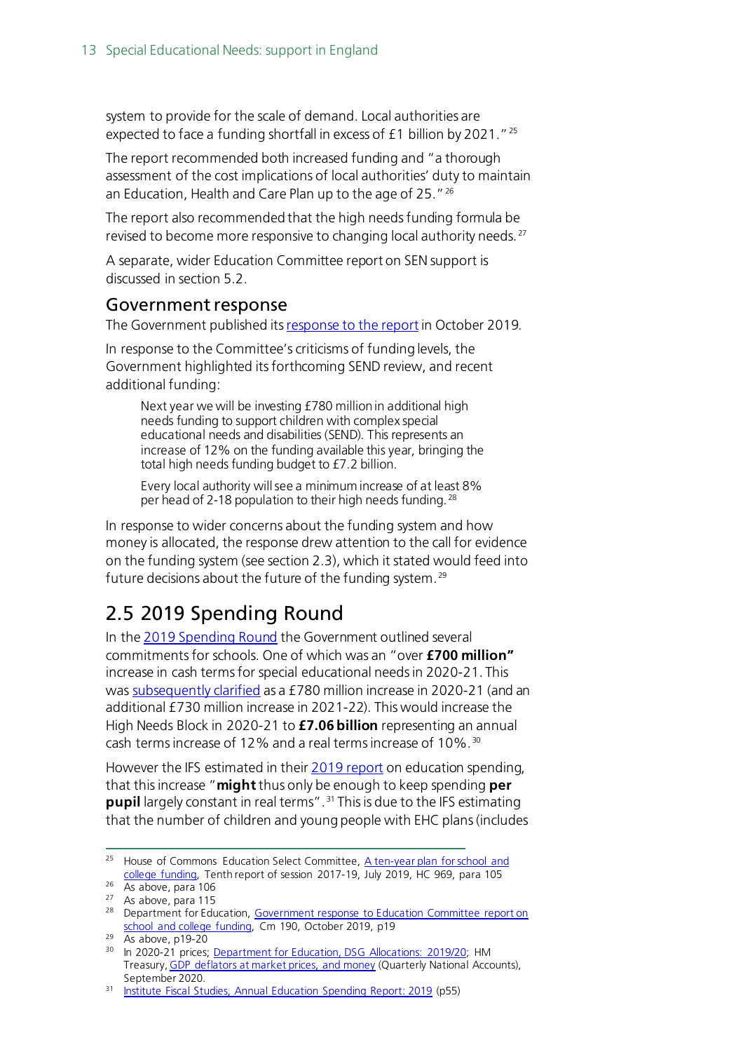system to provide for the scale of demand. Local authorities are expected to face a funding shortfall in excess of £1 billion by 2021."[25](#page-12-2)

The report recommended both increased funding and "a thorough assessment of the cost implications of local authorities' duty to maintain an Education, Health and Care Plan up to the age of 25."<sup>[26](#page-12-3)</sup>

The report also recommended that the high needs funding formula be revised to become more responsive to changing local authority needs.<sup>[27](#page-12-4)</sup>

A separate, wider Education Committee report on SEN support is discussed in section 5.2.

#### <span id="page-12-0"></span>Government response

The Government published it[s response to the report](https://www.parliament.uk/documents/commons-committees/Education/Correspondence/19-20/Government-Response-to-committee-tenth-report-of-Session-2017%E2%80%9319-a-ten-year-plan-for-school-and-college-funding-CP-190.pdf) in October 2019.

In response to the Committee's criticisms of funding levels, the Government highlighted its forthcoming SEND review, and recent additional funding:

Next year we will be investing £780 million in additional high needs funding to support children with complex special educational needs and disabilities (SEND). This represents an increase of 12% on the funding available this year, bringing the total high needs funding budget to £7.2 billion.

Every local authority will see a minimum increase of at least 8% per head of 2-18 population to their high needs funding. [28](#page-12-5)

In response to wider concerns about the funding system and how money is allocated, the response drew attention to the call for evidence on the funding system (see section 2.3), which it stated would feed into future decisions about the future of the funding system. [29](#page-12-6)

### <span id="page-12-1"></span>2.5 2019 Spending Round

In the [2019 Spending Round](https://www.gov.uk/government/topical-events/spending-round-2019) the Government outlined several commitmentsfor schools. One of which was an "over **£700 million"** increase in cash terms for special educational needs in 2020-21. This was [subsequently clarified](https://dfemedia.blog.gov.uk/2020/09/07/panorama-on-send-provision/) as a £780 million increase in 2020-21 (and an additional £730 million increase in 2021-22). This would increase the High Needs Block in 2020-21 to **£7.06 billion** representing an annual cash terms increase of 12% and a real terms increase of 10%. [30](#page-12-7)

However the IFS estimated in their [2019 report](https://www.ifs.org.uk/publications/14369) on education spending, that this increase "**might**thus only be enough to keep spending **per pupil** largely constant in real terms". [31](#page-12-8) This is due to the IFS estimating that the number of children and young people with EHC plans (includes

<span id="page-12-6"></span> $29$  As above, p19-20

<span id="page-12-2"></span><sup>&</sup>lt;sup>25</sup> House of Commons Education Select Committee, A ten-year plan for school and [college funding,](https://publications.parliament.uk/pa/cm201719/cmselect/cmeduc/969/969.pdf) Tenth report of session 2017-19, July 2019, HC 969, para 105

<span id="page-12-3"></span><sup>26</sup> As above, para 106

<span id="page-12-4"></span><sup>27</sup> As above, para 115

<span id="page-12-5"></span><sup>&</sup>lt;sup>28</sup> Department for Education, Government response to Education Committee report on [school and college funding,](https://www.parliament.uk/documents/commons-committees/Education/Correspondence/19-20/Government-Response-to-committee-tenth-report-of-Session-2017%E2%80%9319-a-ten-year-plan-for-school-and-college-funding-CP-190.pdf) Cm 190, October 2019, p19

<span id="page-12-7"></span><sup>&</sup>lt;sup>30</sup> In 2020-21 prices; [Department for Education, DSG Allocations: 2019/20;](https://www.gov.uk/government/publications/dedicated-schools-grant-dsg-2019-to-2020) HM Treasury[, GDP deflators at market prices, and money](https://www.gov.uk/government/statistics/gdp-deflators-at-market-prices-and-money-gdp-september-2020-quarterly-national-accounts) (Quarterly National Accounts), September 2020.

<span id="page-12-8"></span><sup>31</sup> [Institute Fiscal Studies, Annual Education Spending](https://www.ifs.org.uk/publications/14369) Report: 2019 (p55)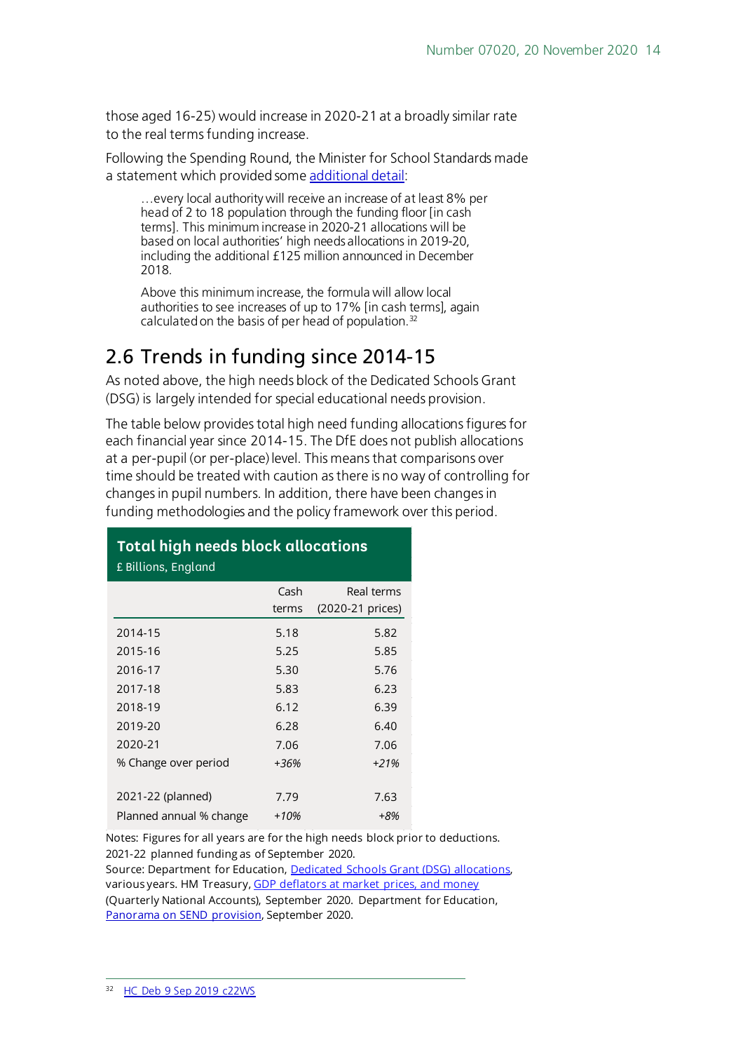those aged 16-25) would increase in 2020-21 at a broadly similar rate to the real terms funding increase.

Following the Spending Round, the Minister for School Standards made a statement which provided som[e additional detail](https://hansard.parliament.uk/commons/2019-09-09/debates/19090918000014/SchoolFunding):

…every local authority will receive an increase of at least 8% per head of 2 to 18 population through the funding floor [in cash terms]. This minimum increase in 2020-21 allocations will be based on local authorities' high needs allocations in 2019-20, including the additional £125 million announced in December 2018.

Above this minimum increase, the formula will allow local authorities to see increases of up to 17% [in cash terms], again calculated on the basis of per head of population.<sup>[32](#page-13-1)</sup>

### <span id="page-13-0"></span>2.6 Trends in funding since 2014-15

As noted above, the high needs block of the Dedicated Schools Grant (DSG) is largely intended for special educational needs provision.

The table below provides total high need funding allocations figures for each financial year since 2014-15. The DfE does not publish allocations at a per-pupil (or per-place) level. This means that comparisons over time should be treated with caution as there is no way of controlling for changes in pupil numbers. In addition, there have been changes in funding methodologies and the policy framework over this period.

#### **Total high needs block allocations** £ Billions, England

|                         | Cash<br>terms | Real terms<br>(2020-21 prices) |
|-------------------------|---------------|--------------------------------|
| 2014-15                 | 5.18          | 5.82                           |
| 2015-16                 | 5.25          | 5.85                           |
| 2016-17                 | 5.30          | 5.76                           |
| 2017-18                 | 5.83          | 6.23                           |
| 2018-19                 | 6.12          | 6.39                           |
| 2019-20                 | 6.28          | 6.40                           |
| 2020-21                 | 7.06          | 7.06                           |
| % Change over period    | +36%          | $+21%$                         |
|                         |               |                                |
| 2021-22 (planned)       | 7.79          | 7.63                           |
| Planned annual % change | +10%          | +8%                            |

Notes: Figures for all years are for the high needs block prior to deductions. 2021-22 planned funding as of September 2020.

Source: Department for Education, [Dedicated Schools Grant \(DSG\) allocations,](https://skillsfunding.service.gov.uk/single-funding-statement/latest/dedicated-schools-grant/download-funding/2020-to-2021) various years. HM Treasury, [GDP deflators at market prices, and money](https://www.gov.uk/government/statistics/gdp-deflators-at-market-prices-and-money-gdp-september-2020-quarterly-national-accounts)

<span id="page-13-1"></span>(Quarterly National Accounts), September 2020. Department for Education, [Panorama on SEND](https://dfemedia.blog.gov.uk/2020/09/07/panorama-on-send-provision/) provision, September 2020.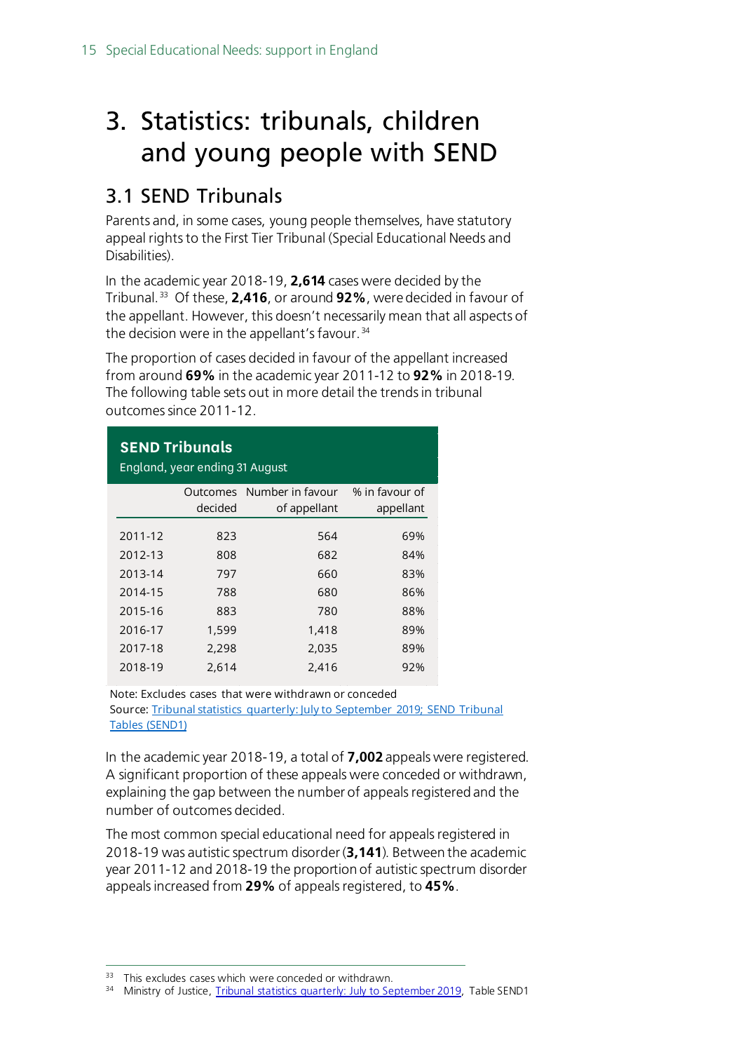# <span id="page-14-0"></span>3. Statistics: tribunals, children and young people with SEND

### <span id="page-14-1"></span>3.1 SEND Tribunals

Parents and, in some cases, young people themselves, have statutory appeal rights to the First Tier Tribunal (Special Educational Needs and Disabilities).

In the academic year 2018-19, **2,614** cases were decided by the Tribunal. [33](#page-14-2) Of these, **2,416**, or around **92%**, were decided in favour of the appellant. However, this doesn't necessarily mean that all aspects of the decision were in the appellant's favour. [34](#page-14-3)

The proportion of cases decided in favour of the appellant increased from around **69%** in the academic year 2011-12 to **92%** in 2018-19. The following table sets out in more detail the trends in tribunal outcomes since 2011-12.

| <b>SEND Tribunals</b><br>England, year ending 31 August |          |                  |                |  |  |  |  |
|---------------------------------------------------------|----------|------------------|----------------|--|--|--|--|
|                                                         | Outcomes | Number in favour | % in favour of |  |  |  |  |
|                                                         | decided  | of appellant     | appellant      |  |  |  |  |
|                                                         |          |                  |                |  |  |  |  |
| 2011-12                                                 | 823      | 564              | 69%            |  |  |  |  |
| 2012-13                                                 | 808      | 682              | 84%            |  |  |  |  |
| 2013-14                                                 | 797      | 660              | 83%            |  |  |  |  |
| 2014-15                                                 | 788      | 680              | 86%            |  |  |  |  |
| 2015-16                                                 | 883      | 780              | 88%            |  |  |  |  |
| 2016-17                                                 | 1,599    | 1,418            | 89%            |  |  |  |  |
| 2017-18                                                 | 2,298    | 2,035            | 89%            |  |  |  |  |
| 2018-19                                                 | 2,614    | 2,416            | 92%            |  |  |  |  |

Note: Excludes cases that were withdrawn or conceded Source[: Tribunal statistics quarterly: July to September 2019; SEND Tribunal](https://www.gov.uk/government/statistics/tribunal-statistics-quarterly-july-to-september-2019)  [Tables \(SEND1\)](https://www.gov.uk/government/statistics/tribunal-statistics-quarterly-july-to-september-2019)

In the academic year 2018-19, a total of **7,002** appeals were registered. A significant proportion of these appeals were conceded or withdrawn, explaining the gap between the number of appeals registered and the number of outcomes decided.

The most common special educational need for appeals registered in 2018-19 was autistic spectrum disorder (**3,141**). Between the academic year 2011-12 and 2018-19 the proportion of autistic spectrum disorder appeals increased from **29%** of appeals registered, to **45%**.

<span id="page-14-2"></span><sup>&</sup>lt;sup>33</sup> This excludes cases which were conceded or withdrawn.

<span id="page-14-3"></span><sup>34</sup> Ministry of Justice, [Tribunal statistics quarterly: July to September 2019,](https://www.gov.uk/government/statistics/tribunals-and-gender-recognition-certificate-statistics-quarterly-july-to-september-2018) Table SEND1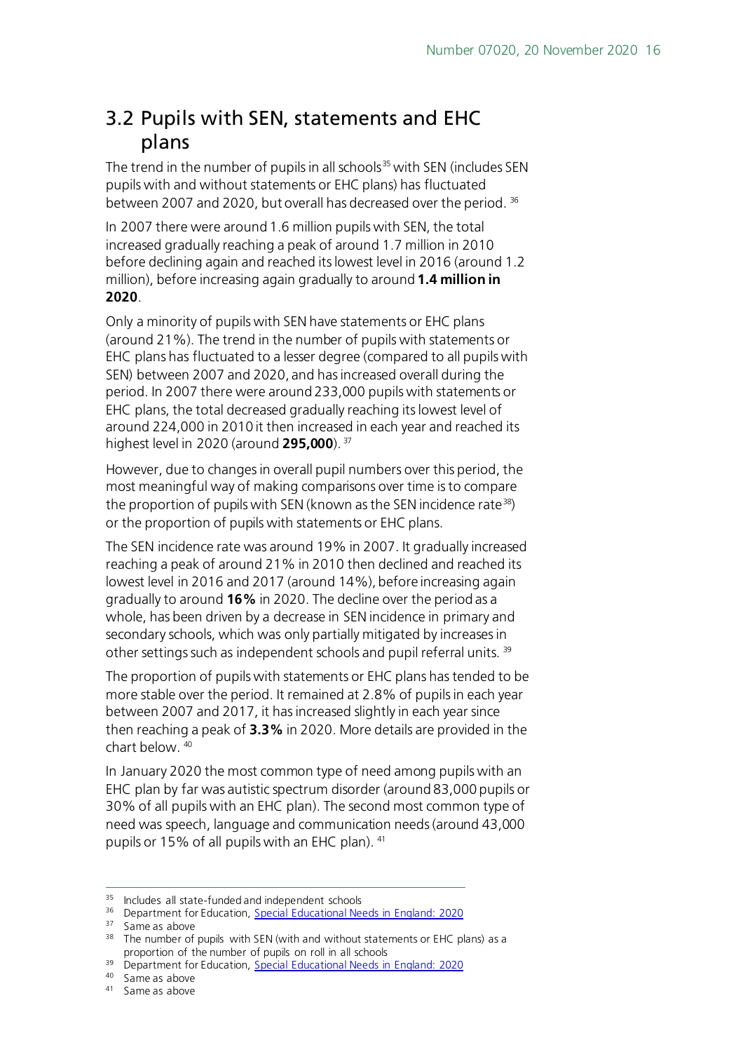### <span id="page-15-0"></span>3.2 Pupils with SEN, statements and EHC plans

The trend in the number of pupils in all schools<sup>[35](#page-15-1)</sup> with SEN (includes SEN pupils with and without statements or EHC plans) has fluctuated between 2007 and 2020, but overall has decreased over the period. [36](#page-15-2)

In 2007 there were around 1.6 million pupils with SEN, the total increased gradually reaching a peak of around 1.7 million in 2010 before declining again and reached its lowest level in 2016 (around 1.2 million), before increasing again gradually to around **1.4 million in 2020**.

Only a minority of pupils with SEN have statements or EHC plans (around 21%). The trend in the number of pupils with statements or EHC plans has fluctuated to a lesser degree (compared to all pupils with SEN) between 2007 and 2020, and has increased overall during the period. In 2007 there were around 233,000 pupils with statements or EHC plans, the total decreased gradually reaching its lowest level of around 224,000 in 2010 it then increased in each year and reached its highest level in 2020 (around **295,000**). [37](#page-15-3)

However, due to changes in overall pupil numbers over this period, the most meaningful way of making comparisons over time is to compare the proportion of pupils with SEN (known as the SEN incidence rate<sup>38</sup>) or the proportion of pupils with statements or EHC plans.

The SEN incidence rate was around 19% in 2007. It gradually increased reaching a peak of around 21% in 2010 then declined and reached its lowest level in 2016 and 2017 (around 14%), before increasing again gradually to around **16%** in 2020. The decline over the period as a whole, has been driven by a decrease in SEN incidence in primary and secondary schools, which was only partially mitigated by increases in other settings such as independent schools and pupil referral units. [39](#page-15-5)

The proportion of pupils with statements or EHC plans has tended to be more stable over the period. It remained at 2.8% of pupils in each year between 2007 and 2017, it has increased slightly in each year since then reaching a peak of **3.3%** in 2020. More details are provided in the chart below. [40](#page-15-6)

In January 2020 the most common type of need among pupils with an EHC plan by far was autistic spectrum disorder (around 83,000 pupils or 30% of all pupils with an EHC plan). The second most common type of need was speech, language and communication needs (around 43,000 pupils or 15% of all pupils with an EHC plan). <sup>[41](#page-15-7)</sup>

<span id="page-15-1"></span><sup>&</sup>lt;sup>35</sup> Includes all state-funded and independent schools

<span id="page-15-2"></span><sup>&</sup>lt;sup>36</sup> Department for Education, [Special Educational Needs in England: 2020](https://explore-education-statistics.service.gov.uk/find-statistics/special-educational-needs-in-england)

<span id="page-15-3"></span><sup>&</sup>lt;sup>37</sup> Same as above

<span id="page-15-4"></span><sup>&</sup>lt;sup>38</sup> The number of pupils with SEN (with and without statements or EHC plans) as a proportion of the number of pupils on roll in all schools

<span id="page-15-5"></span><sup>&</sup>lt;sup>39</sup> Department for Education, [Special Educational Needs in](https://explore-education-statistics.service.gov.uk/find-statistics/special-educational-needs-in-england) England: 2020

<sup>40</sup> Same as above

<span id="page-15-7"></span><span id="page-15-6"></span><sup>41</sup> Same as above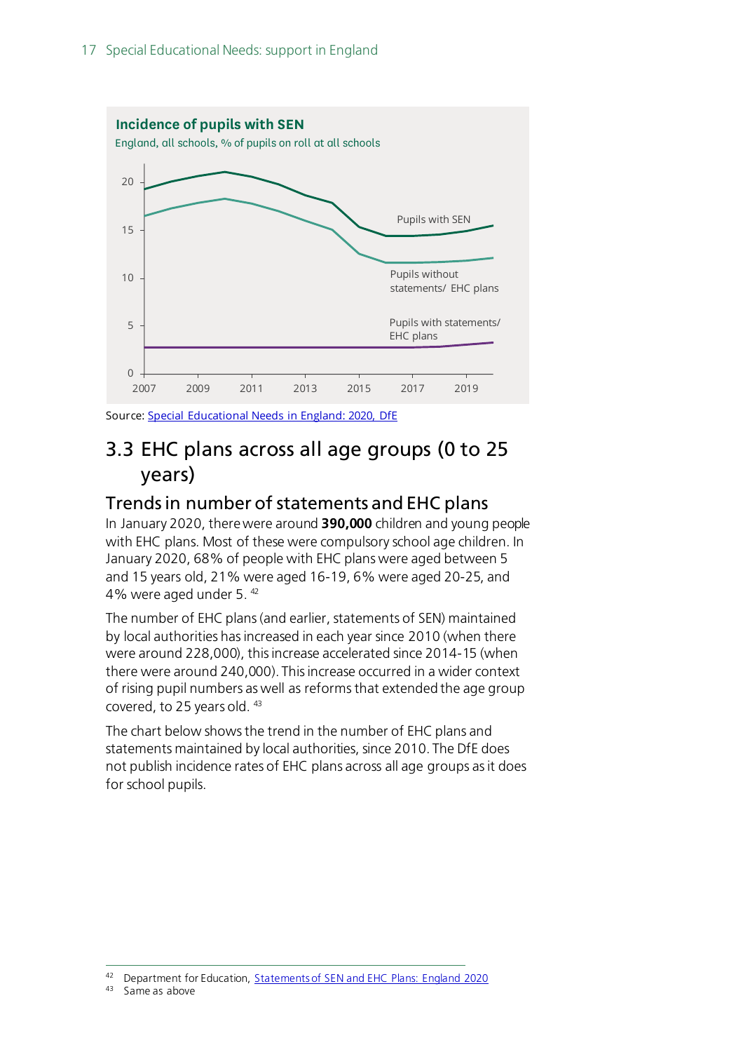

Source: [Special Educational Needs in England: 2020, DfE](https://www.gov.uk/government/statistics/special-educational-needs-in-england-january-2020)

### <span id="page-16-0"></span>3.3 EHC plans across all age groups (0 to 25 years)

### <span id="page-16-1"></span>Trends in number of statements and EHC plans

In January 2020, there were around **390,000** children and young people with EHC plans. Most of these were compulsory school age children. In January 2020, 68% of people with EHC plans were aged between 5 and 15 years old, 21% were aged 16-19, 6% were aged 20-25, and 4% were aged under 5. [42](#page-16-2)

The number of EHC plans (and earlier, statements of SEN) maintained by local authorities has increased in each year since 2010 (when there were around 228,000), this increase accelerated since 2014-15 (when there were around 240,000). This increase occurred in a wider context of rising pupil numbers as well as reforms that extended the age group covered, to 25 years old. [43](#page-16-3)

The chart below shows the trend in the number of EHC plans and statements maintained by local authorities, since 2010. The DfE does not publish incidence rates of EHC plans across all age groups as it does for school pupils.

<span id="page-16-2"></span><sup>42</sup> Department for Education, [Statements of SEN and EHC Plans: England 2020](https://www.gov.uk/government/statistics/education-health-and-care-plans-england-2020)

<span id="page-16-3"></span>Same as above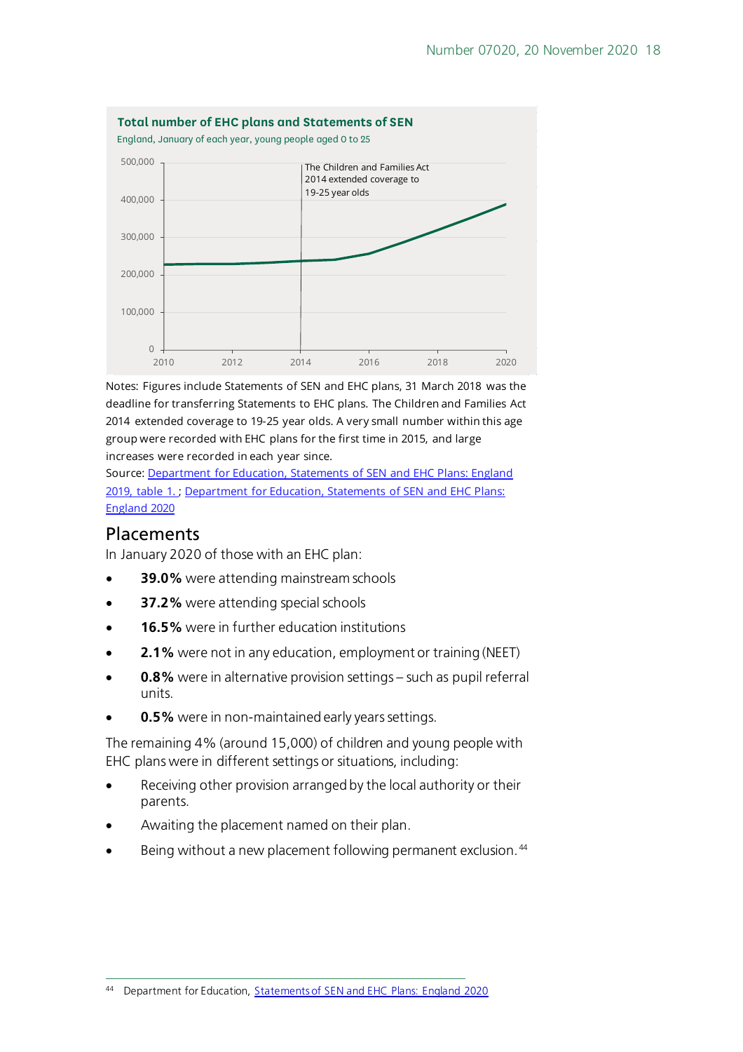

Notes: Figures include Statements of SEN and EHC plans, 31 March 2018 was the deadline for transferring Statements to EHC plans. The Children and Families Act 2014 extended coverage to 19-25 year olds. A very small number within this age group were recorded with EHC plans for the first time in 2015, and large increases were recorded in each year since.

Source: [Department for Education, Statements of SEN and EHC Plans: England](https://www.gov.uk/government/statistics/statements-of-sen-and-ehc-plans-england-2019)  [2019, table 1.](https://www.gov.uk/government/statistics/statements-of-sen-and-ehc-plans-england-2019) ; Department for Education, Statements of SEN and EHC Plans: [England 2020](https://www.gov.uk/government/statistics/education-health-and-care-plans-england-2020)

#### <span id="page-17-0"></span>**Placements**

In January 2020 of those with an EHC plan:

- **39.0%** were attending mainstream schools
- **37.2%** were attending special schools
- **16.5%** were in further education institutions
- **2.1%** were not in any education, employment or training (NEET)
- **0.8%** were in alternative provision settings such as pupil referral units.
- **0.5%** were in non-maintained early years settings.

The remaining 4% (around 15,000) of children and young people with EHC plans were in different settings or situations, including:

- Receiving other provision arranged by the local authority or their parents.
- Awaiting the placement named on their plan.
- Being without a new placement following permanent exclusion.<sup>[44](#page-17-1)</sup>

<span id="page-17-1"></span><sup>44</sup> Department for Education, [Statements of SEN and EHC Plans: England 2020](https://www.gov.uk/government/statistics/education-health-and-care-plans-england-2020)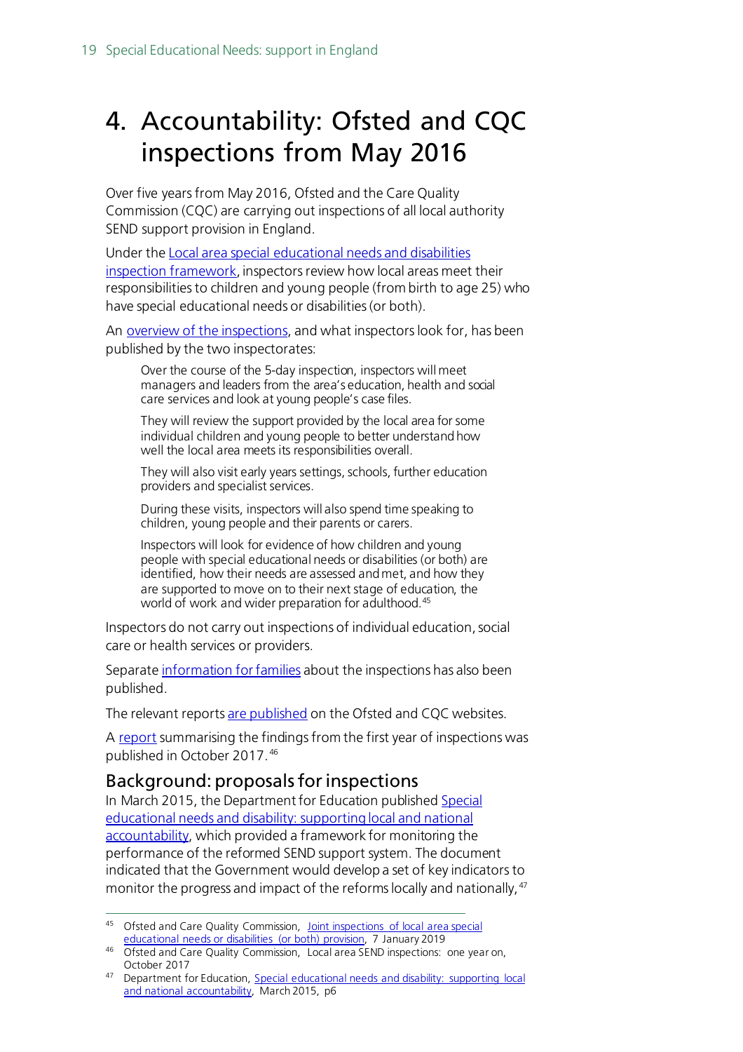# <span id="page-18-0"></span>4. Accountability: Ofsted and CQC inspections from May 2016

Over five years from May 2016, Ofsted and the Care Quality Commission (CQC) are carrying out inspections of all local authority SEND support provision in England.

Under the [Local area special educational needs and disabilities](https://www.gov.uk/government/publications/local-area-send-inspection-framework)  [inspection framework](https://www.gov.uk/government/publications/local-area-send-inspection-framework), inspectors review how local areas meet their responsibilities to children and young people (from birth to age 25) who have special educational needs or disabilities (or both).

An [overview of the inspections,](https://www.gov.uk/government/publications/local-area-send-inspections-information-for-families/joint-inspections-of-local-area-send-provision) and what inspectors look for, has been published by the two inspectorates:

Over the course of the 5-day inspection, inspectors will meet managers and leaders from the area's education, health and social care services and look at young people's case files.

They will review the support provided by the local area for some individual children and young people to better understand how well the local area meets its responsibilities overall.

They will also visit early years settings, schools, further education providers and specialist services.

During these visits, inspectors will also spend time speaking to children, young people and their parents or carers.

Inspectors will look for evidence of how children and young people with special educational needs or disabilities (or both) are identified, how their needs are assessed and met, and how they are supported to move on to their next stage of education, the world of work and wider preparation for adulthood[.45](#page-18-2)

Inspectors do not carry out inspections of individual education, social care or health services or providers.

Separat[e information for families](https://www.gov.uk/government/publications/local-area-send-inspections-information-for-families) about the inspections has also been published.

The relevant report[s are published](https://reports.ofsted.gov.uk/search?q=&location=&lat=&lon=&radius=&level_1_types=4&level_2_types%5B%5D=18) on the Ofsted and CQC websites.

A [report](https://www.gov.uk/government/publications/local-area-send-inspections-one-year-on) summarising the findings from the first year of inspections was published in October 2017. [46](#page-18-3)

#### <span id="page-18-1"></span>Background: proposals for inspections

In March 2015, the Department for Education publishe[d Special](https://www.gov.uk/government/publications/send-supporting-local-and-national-accountability)  [educational needs and disability: supporting local and national](https://www.gov.uk/government/publications/send-supporting-local-and-national-accountability)  [accountability,](https://www.gov.uk/government/publications/send-supporting-local-and-national-accountability) which provided a framework for monitoring the performance of the reformed SEND support system. The document indicated that the Government would develop a set of key indicators to monitor the progress and impact of the reforms locally and nationally, <sup>[47](#page-18-4)</sup>

<span id="page-18-2"></span><sup>&</sup>lt;sup>45</sup> Ofsted and Care Quality Commission, <u>Joint inspections of local area special</u> [educational needs or disabilities \(or both\) provision,](https://www.gov.uk/government/publications/local-area-send-inspections-information-for-families/joint-inspections-of-local-area-send-provision) 7 January 2019

<span id="page-18-3"></span><sup>46</sup> Ofsted and Care Quality Commission, Local area SEND inspections: one year on, October 2017

<span id="page-18-4"></span><sup>47</sup> Department for Education, Special educational needs and disability: supporting local [and national accountability,](https://www.gov.uk/government/uploads/system/uploads/attachment_data/file/416347/Accountability_Publication.pdf) March 2015, p6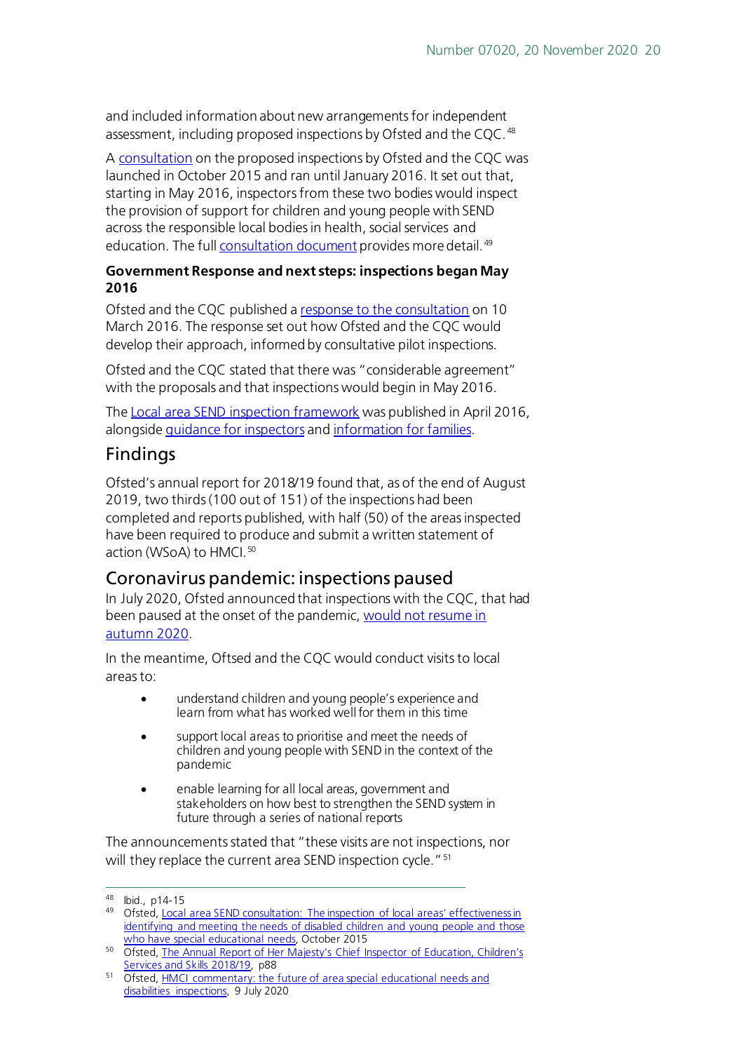and included information about new arrangements for independent assessment, including proposed inspections by Ofsted and the COC.<sup>[48](#page-19-1)</sup>

A [consultation](https://www.gov.uk/government/news/views-sought-on-inspecting-special-educational-needs-provision) on the proposed inspections by Ofsted and the CQC was launched in October 2015 and ran until January 2016. It set out that, starting in May 2016, inspectors from these two bodies would inspect the provision of support for children and young people with SEND across the responsible local bodies in health, social services and education. The ful[l consultation document](https://www.gov.uk/government/uploads/system/uploads/attachment_data/file/467416/CONSULTATION_DOCUMENT_Local_area_SEND_consultation_FINAL_2015_10_12.pdf) provides more detail.<sup>[49](#page-19-2)</sup>

#### **Government Response and next steps: inspections began May 2016**

Ofsted and the CQC published a [response to the consultation](https://www.gov.uk/government/uploads/system/uploads/attachment_data/file/506530/LASEND_consultation_report_FINAL.pdf) on 10 March 2016. The response set out how Ofsted and the CQC would develop their approach, informed by consultative pilot inspections.

Ofsted and the CQC stated that there was "considerable agreement" with the proposals and that inspections would begin in May 2016.

The [Local area SEND inspection framework](https://www.gov.uk/government/publications/local-area-send-inspection-framework) was published in April 2016, alongsid[e guidance for inspectors](https://www.gov.uk/government/publications/local-area-send-inspection-guidance-for-inspectors) an[d information for families.](https://www.gov.uk/government/publications/local-area-send-inspections-information-for-families)

### Findings

Ofsted's annual report for 2018/19 found that, as of the end of August 2019, two thirds (100 out of 151) of the inspections had been completed and reports published, with half (50) of the areas inspected have been required to produce and submit a written statement of action (WSoA) to HMCI. [50](#page-19-3)

### <span id="page-19-0"></span>Coronavirus pandemic: inspections paused

In July 2020, Ofsted announced that inspections with the CQC, that had been paused at the onset of the pandemic, would not resume in [autumn 2020](https://www.gov.uk/government/speeches/hmci-commentary-the-future-of-area-special-educational-needs-and-disabilities-inspections).

In the meantime, Oftsed and the CQC would conduct visits to local areas to:

- understand children and young people's experience and learn from what has worked well for them in this time
- support local areas to prioritise and meet the needs of children and young people with SEND in the context of the pandemic
- enable learning for all local areas, government and stakeholders on how best to strengthen the SEND system in future through a series of national reports

The announcements stated that "these visits are not inspections, nor will they replace the current area SEND inspection cycle." <sup>[51](#page-19-4)</sup>

<span id="page-19-1"></span><sup>48</sup> Ibid., p14-15

<span id="page-19-2"></span><sup>49</sup> Ofsted, Local area SEND consultation: The inspection of local areas' effectiveness in [identifying and meeting the needs of disabled children and young people and those](https://www.gov.uk/government/uploads/system/uploads/attachment_data/file/467416/CONSULTATION_DOCUMENT_Local_area_SEND_consultation_FINAL_2015_10_12.pdf)  [who have special educational needs,](https://www.gov.uk/government/uploads/system/uploads/attachment_data/file/467416/CONSULTATION_DOCUMENT_Local_area_SEND_consultation_FINAL_2015_10_12.pdf) October 2015

<span id="page-19-3"></span><sup>50</sup> Ofsted, The Annual Report of Her Majesty's Chief Inspector of Education, Children's [Services and Skills 2018/19,](https://assets.publishing.service.gov.uk/government/uploads/system/uploads/attachment_data/file/859422/Annual_Report_of_Her_Majesty_s_Chief_Inspector_of_Education__Children_s_Services_and_Skills_201819.pdf) p88

<span id="page-19-4"></span><sup>51</sup> Ofsted, [HMCI commentary: the future of area special educational needs and](https://www.gov.uk/government/speeches/hmci-commentary-the-future-of-area-special-educational-needs-and-disabilities-inspections)  [disabilities inspections,](https://www.gov.uk/government/speeches/hmci-commentary-the-future-of-area-special-educational-needs-and-disabilities-inspections) 9 July 2020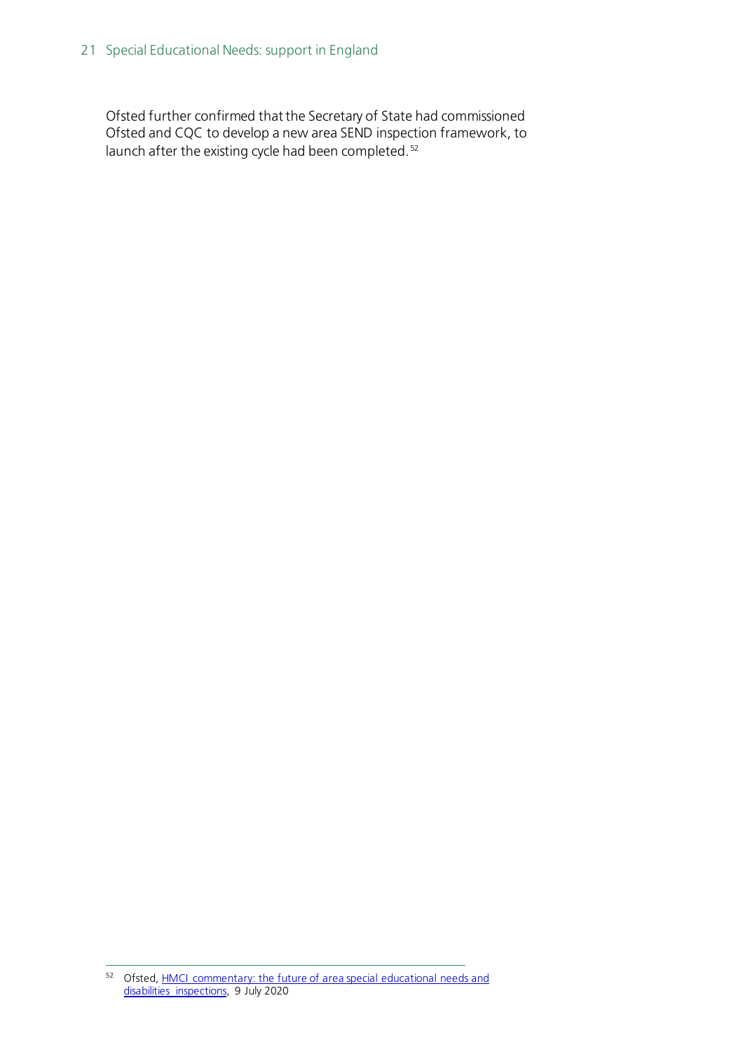Ofsted further confirmed that the Secretary of State had commissioned Ofsted and CQC to develop a new area SEND inspection framework, to launch after the existing cycle had been completed.<sup>[52](#page-20-0)</sup>

<span id="page-20-0"></span><sup>52</sup> Ofsted, **HMCI** commentary: the future of area special educational needs and [disabilities inspections,](https://www.gov.uk/government/speeches/hmci-commentary-the-future-of-area-special-educational-needs-and-disabilities-inspections) 9 July 2020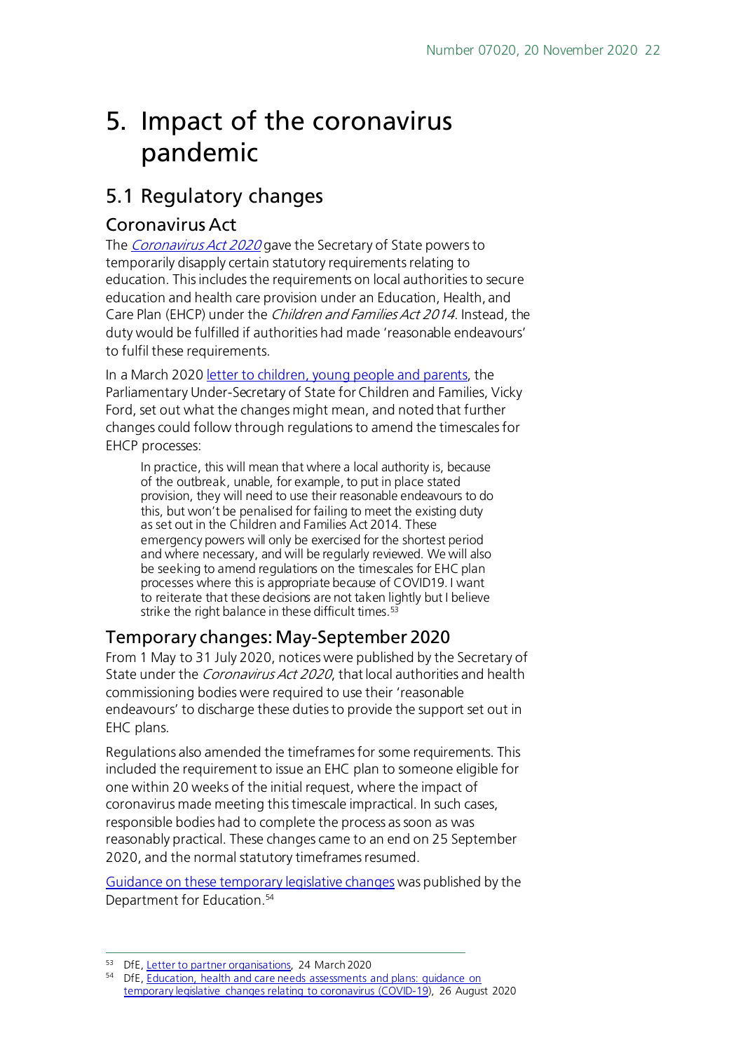# <span id="page-21-0"></span>5. Impact of the coronavirus pandemic

### <span id="page-21-1"></span>5.1 Regulatory changes

#### <span id="page-21-2"></span>Coronavirus Act

The *[Coronavirus Act 2020](https://www.legislation.gov.uk/ukpga/2020/7/contents/enacted)* gave the Secretary of State powers to temporarily disapply certain statutory requirements relating to education. This includes the requirements on local authorities to secure education and health care provision under an Education, Health, and Care Plan (EHCP) under the Children and Families Act 2014. Instead, the duty would be fulfilled if authorities had made 'reasonable endeavours' to fulfil these requirements.

In a March 2020 letter to [children, young people and](https://www.ipsea.org.uk/Handlers/Download.ashx?IDMF=d9b07905-742a-4017-9689-7f9e3b931409) parents, the Parliamentary Under-Secretary of State for Children and Families, Vicky Ford, set out what the changes might mean, and noted that further changes could follow through regulations to amend the timescales for EHCP processes:

In practice, this will mean that where a local authority is, because of the outbreak, unable, for example, to put in place stated provision, they will need to use their reasonable endeavours to do this, but won't be penalised for failing to meet the existing duty as set out in the Children and Families Act 2014. These emergency powers will only be exercised for the shortest period and where necessary, and will be regularly reviewed. We will also be seeking to amend regulations on the timescales for EHC plan processes where this is appropriate because of COVID19. I want to reiterate that these decisions are not taken lightly but I believe strike the right balance in these difficult times.<sup>[53](#page-21-4)</sup>

### <span id="page-21-3"></span>Temporary changes: May-September 2020

From 1 May to 31 July 2020, notices were published by the Secretary of State under the *Coronavirus Act 2020*, that local authorities and health commissioning bodies were required to use their 'reasonable endeavours' to discharge these duties to provide the support set out in EHC plans.

Regulations also amended the timeframes for some requirements. This included the requirement to issue an EHC plan to someone eligible for one within 20 weeks of the initial request, where the impact of coronavirus made meeting this timescale impractical. In such cases, responsible bodies had to complete the process as soon as was reasonably practical. These changes came to an end on 25 September 2020, and the normal statutory timeframes resumed.

[Guidance on these temporary legislative changes](https://www.gov.uk/government/publications/changes-to-the-law-on-education-health-and-care-needs-assessments-and-plans-due-to-coronavirus/education-health-and-care-needs-assessments-and-plans-guidance-on-temporary-legislative-changes-relating-to-coronavirus-covid-19) was published by the Department for Education.<sup>[54](#page-21-5)</sup>

<span id="page-21-4"></span><sup>53</sup> DfE, [Letter to partner organisations,](https://www.ipsea.org.uk/Handlers/Download.ashx?IDMF=d9b07905-742a-4017-9689-7f9e3b931409) 24 March 2020

<span id="page-21-5"></span><sup>&</sup>lt;sup>54</sup> DfE, Education, health and care needs assessments and plans: guidance on [temporary legislative changes relating to coronavirus \(COVID-19\),](https://www.gov.uk/government/publications/changes-to-the-law-on-education-health-and-care-needs-assessments-and-plans-due-to-coronavirus/education-health-and-care-needs-assessments-and-plans-guidance-on-temporary-legislative-changes-relating-to-coronavirus-covid-19) 26 August 2020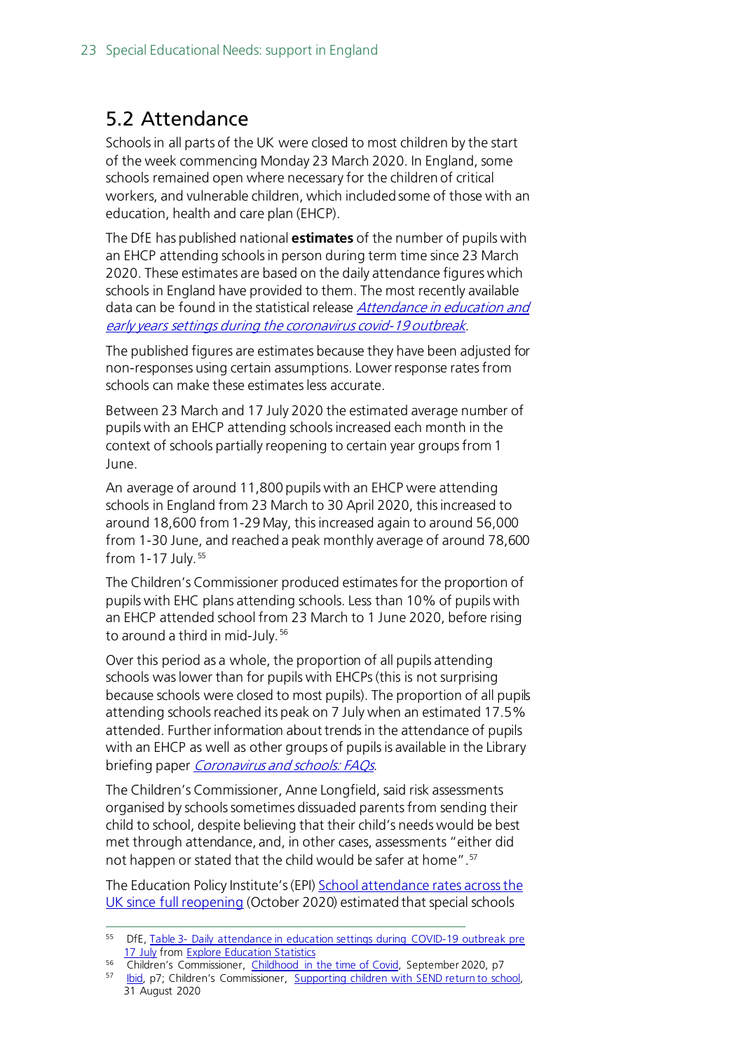## <span id="page-22-0"></span>5.2 Attendance

Schools in all parts of the UK were closed to most children by the start of the week commencing Monday 23 March 2020. In England, some schools remained open where necessary for the children of critical workers, and vulnerable children, which included some of those with an education, health and care plan (EHCP).

The DfE has published national **estimates** of the number of pupils with an EHCP attending schools in person during term time since 23 March 2020. These estimates are based on the daily attendance figures which schools in England have provided to them. The most recently available data can be found in the statistical release *Attendance in education and* [early years settings during the coronavirus covid-19 outbreak](https://www.gov.uk/government/collections/attendance-in-education-and-early-years-settings-during-the-coronavirus-covid-19-outbreak).

The published figures are estimates because they have been adjusted for non-responses using certain assumptions. Lower response rates from schools can make these estimates less accurate.

Between 23 March and 17 July 2020 the estimated average number of pupils with an EHCP attending schools increased each month in the context of schools partially reopening to certain year groups from 1 June.

An average of around 11,800 pupils with an EHCP were attending schools in England from 23 March to 30 April 2020, this increased to around 18,600 from 1-29 May, this increased again to around 56,000 from 1-30 June, and reached a peak monthly average of around 78,600 from 1-17 July. [55](#page-22-1) 

The Children's Commissioner produced estimates for the proportion of pupils with EHC plans attending schools. Less than 10% of pupils with an EHCP attended school from 23 March to 1 June 2020, before rising to around a third in mid-July. [56](#page-22-2)

Over this period as a whole, the proportion of all pupils attending schools was lower than for pupils with EHCPs(this is not surprising because schools were closed to most pupils). The proportion of all pupils attending schools reached its peak on 7 July when an estimated 17.5% attended. Further information about trends in the attendance of pupils with an EHCP as well as other groups of pupils is available in the Library briefing paper *[Coronavirus and schools: FAQs](https://commonslibrary.parliament.uk/research-briefings/cbp-8915/)*.

The Children's Commissioner, Anne Longfield, said risk assessments organised by schools sometimes dissuaded parents from sending their child to school, despite believing that their child's needs would be best met through attendance, and, in other cases, assessments "either did not happen or stated that the child would be safer at home".<sup>[57](#page-22-3)</sup>

The Education Policy Institute's (EPI) [School attendance rates across the](https://epi.org.uk/publications-and-research/school-attendance-since-full-reopening/?utm_source=HOC+Library+-+Current+awareness+bulletins&utm_campaign=19c580f4ad-Current_Awareness_Social_Policy_I_29-10-2020&utm_medium=email&utm_term=0_f325cdbfdc-19c580f4ad-103780026&mc_cid=19c580f4ad&mc_eid=ec2ad28b66)  [UK since full reopening](https://epi.org.uk/publications-and-research/school-attendance-since-full-reopening/?utm_source=HOC+Library+-+Current+awareness+bulletins&utm_campaign=19c580f4ad-Current_Awareness_Social_Policy_I_29-10-2020&utm_medium=email&utm_term=0_f325cdbfdc-19c580f4ad-103780026&mc_cid=19c580f4ad&mc_eid=ec2ad28b66) (October 2020) estimated that special schools

<span id="page-22-1"></span><sup>55</sup> DfE, Table 3- [Daily attendance in education settings during COVID-19 outbreak pre](https://data.explore-education-statistics.service.gov.uk/api/download/attendance-in-education-and-early-years-settings-during-the-coronavirus-covid-19-outbreak/2020-week-43/data/table_3_daily_attendance_in_education_settings_during_covid19_pre17july.csv)  [17 July](https://data.explore-education-statistics.service.gov.uk/api/download/attendance-in-education-and-early-years-settings-during-the-coronavirus-covid-19-outbreak/2020-week-43/data/table_3_daily_attendance_in_education_settings_during_covid19_pre17july.csv) from [Explore Education Statistics](https://explore-education-statistics.service.gov.uk/find-statistics/attendance-in-education-and-early-years-settings-during-the-coronavirus-covid-19-outbreak/2020-week-43)

<sup>&</sup>lt;sup>56</sup> Children's Commissioner, [Childhood in the time of Covid,](https://www.childrenscommissioner.gov.uk/wp-content/uploads/2020/09/cco-childhood-in-the-time-of-covid.pdf) September 2020, p7

<span id="page-22-3"></span><span id="page-22-2"></span><sup>57</sup> [Ibid,](https://www.childrenscommissioner.gov.uk/wp-content/uploads/2020/09/cco-childhood-in-the-time-of-covid.pdf) p7; Children's Commissioner, Supporting children with SEND return to school, 31 August 2020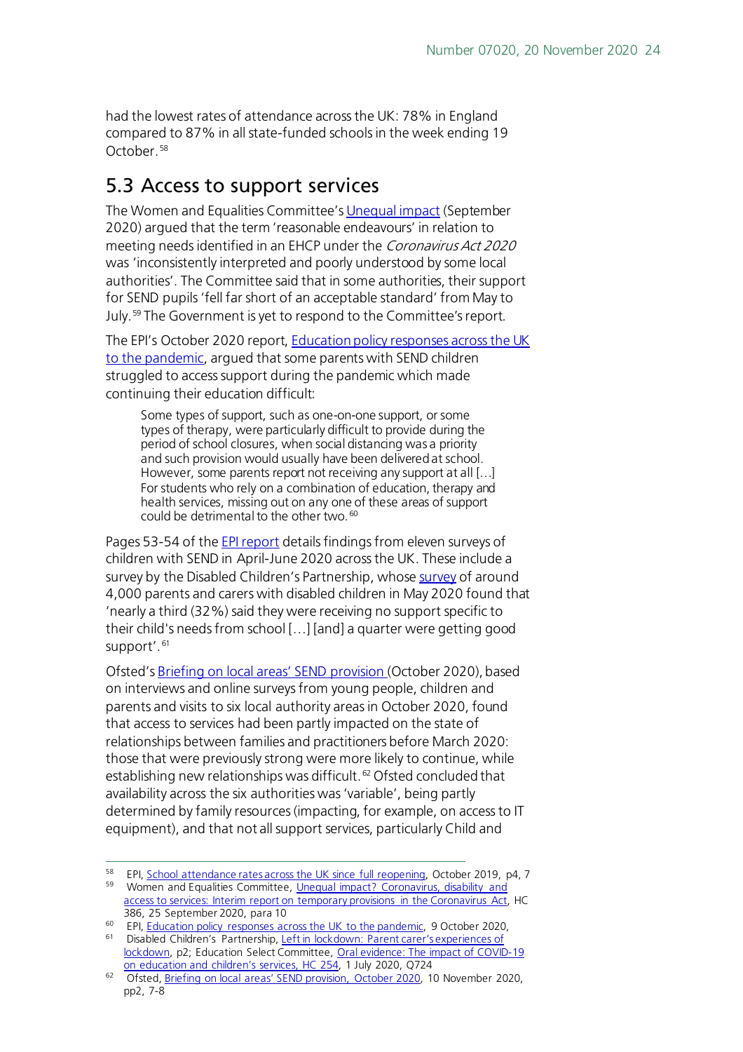had the lowest rates of attendance across the UK: 78% in England compared to 87% in all state-funded schools in the week ending 19 October. [58](#page-23-1)

### <span id="page-23-0"></span>5.3 Access to support services

The Women and Equalities Committee'[s Unequal impact](https://committees.parliament.uk/publications/2710/documents/27010/default/) (September 2020) argued that the term 'reasonable endeavours' in relation to meeting needs identified in an EHCP under the Coronavirus Act 2020 was 'inconsistently interpreted and poorly understood by some local authorities'. The Committee said that in some authorities, their support for SEND pupils 'fell far short of an acceptable standard' from May to July.[59](#page-23-2) The Government is yet to respond to the Committee's report.

The EPI's October 2020 report[, Education policy responses across the UK](https://epi.org.uk/wp-content/uploads/2020/10/UK-Education-Policy-Response_Pandemic_EPI.pdf)  [to the pandemic,](https://epi.org.uk/wp-content/uploads/2020/10/UK-Education-Policy-Response_Pandemic_EPI.pdf) argued that some parents with SEND children struggled to access support during the pandemic which made continuing their education difficult:

Some types of support, such as one-on-one support, or some types of therapy, were particularly difficult to provide during the period of school closures, when social distancing was a priority and such provision would usually have been delivered at school. However, some parents report not receiving any support at all […] For students who rely on a combination of education, therapy and health services, missing out on any one of these areas of support could be detrimental to the other two. [60](#page-23-3)

Pages 53-54 of the **EPI report** details findings from eleven surveys of children with SEND in April-June 2020 across the UK. These include a survey by the Disabled Children's Partnership, whos[e survey](https://disabledchildrenspartnership.org.uk/wp-content/uploads/2020/06/LeftInLockdown-Parent-carers%E2%80%99-experiences-of-lockdown-June-2020.pdf) of around 4,000 parents and carers with disabled children in May 2020 found that 'nearly a third (32%) said they were receiving no support specific to their child's needs from school […] [and] a quarter were getting good support'.<sup>[61](#page-23-4)</sup>

Ofsted'[s Briefing on local areas' SEND provision \(](https://assets.publishing.service.gov.uk/government/uploads/system/uploads/attachment_data/file/933499/SEND_COVID-19_briefing_October_2020.pdf)October 2020), based on interviews and online surveys from young people, children and parents and visits to six local authority areas in October 2020, found that access to services had been partly impacted on the state of relationships between families and practitioners before March 2020: those that were previously strong were more likely to continue, while establishing new relationships was difficult. [62](#page-23-5) Ofsted concluded that availability across the six authorities was 'variable', being partly determined by family resources (impacting, for example, on access to IT equipment), and that not all support services, particularly Child and

<span id="page-23-2"></span><span id="page-23-1"></span><sup>&</sup>lt;sup>58</sup> EPI[, School attendance rates across the UK since full reopening,](https://epi.org.uk/publications-and-research/school-attendance-since-full-reopening/?utm_source=HOC+Library+-+Current+awareness+bulletins&utm_campaign=19c580f4ad-Current_Awareness_Social_Policy_I_29-10-2020&utm_medium=email&utm_term=0_f325cdbfdc-19c580f4ad-103780026&mc_cid=19c580f4ad&mc_eid=ec2ad28b66) October 2019, p4, 7 59 Women and Equalities Committee, Unequal impact? Coronavirus, disability and

[access to services: Interim report on temporary provisions in the Coronavirus Act,](https://committees.parliament.uk/publications/2710/documents/27010/default/) HC

<span id="page-23-4"></span>

<span id="page-23-3"></span><sup>386, 25</sup> September 2020, para 10<br>
<sup>60</sup> EPI, <u>Education policy responses across the UK to the pandemic</u>, 9 October 2020,<br>
<sup>61</sup> Disabled Children's Partnership, <u>Left in lockdown: Parent carer's experiences of</u> [lockdown,](https://disabledchildrenspartnership.org.uk/wp-content/uploads/2020/06/LeftInLockdown-Parent-carers%E2%80%99-experiences-of-lockdown-June-2020.pdf) p2; Education Select Committee, Oral evidence: The impact of COVID-19 [on education and children's services, HC 254,](https://committees.parliament.uk/oralevidence/627/html/) 1 July 2020, Q724

<span id="page-23-5"></span><sup>62</sup> Ofsted[, Briefing on local areas' SEND provision, October 2020,](https://assets.publishing.service.gov.uk/government/uploads/system/uploads/attachment_data/file/933499/SEND_COVID-19_briefing_October_2020.pdf) 10 November 2020, pp2, 7-8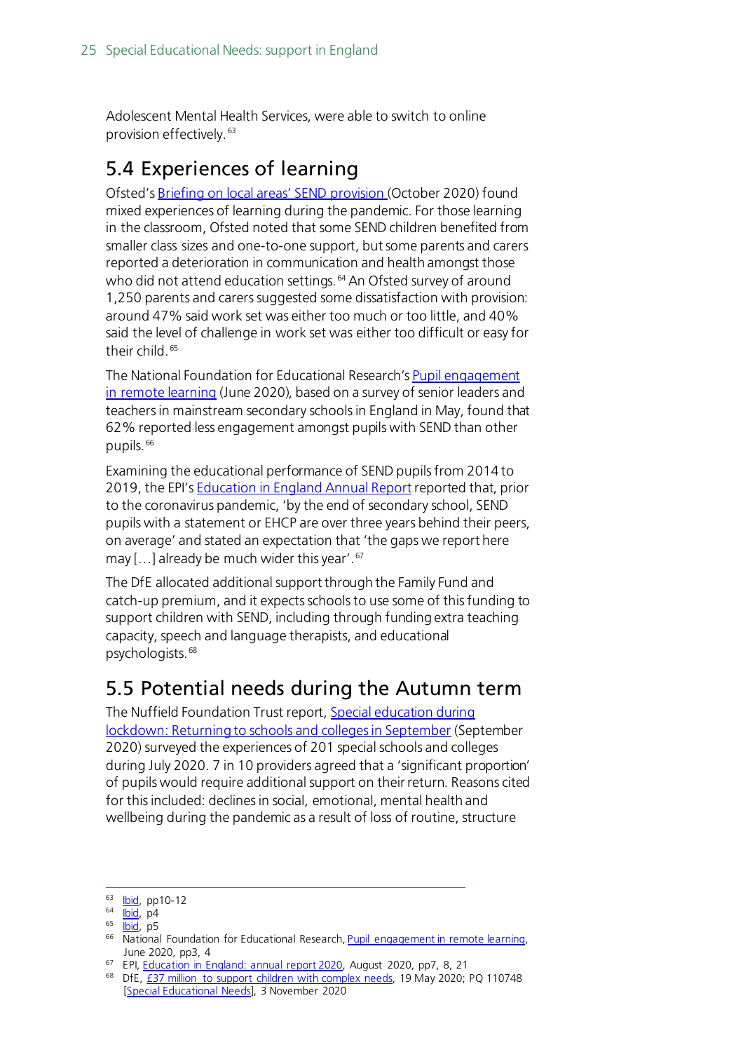Adolescent Mental Health Services, were able to switch to online provision effectively.[63](#page-24-2)

### <span id="page-24-0"></span>5.4 Experiences of learning

Ofsted'[s Briefing on local areas' SEND provision \(](https://assets.publishing.service.gov.uk/government/uploads/system/uploads/attachment_data/file/933499/SEND_COVID-19_briefing_October_2020.pdf)October 2020) found mixed experiences of learning during the pandemic. For those learning in the classroom, Ofsted noted that some SEND children benefited from smaller class sizes and one-to-one support, but some parents and carers reported a deterioration in communication and health amongst those who did not attend education settings.<sup>[64](#page-24-3)</sup> An Ofsted survey of around 1,250 parents and carers suggested some dissatisfaction with provision: around 47% said work set was either too much or too little, and 40% said the level of challenge in work set was either too difficult or easy for their child. [65](#page-24-4)

The National Foundation for Educational Research'[s Pupil engagement](https://www.nfer.ac.uk/media/4073/schools_responses_to_covid_19_pupil_engagement_in_remote_learning.pdf)  [in remote learning](https://www.nfer.ac.uk/media/4073/schools_responses_to_covid_19_pupil_engagement_in_remote_learning.pdf) (June 2020), based on a survey of senior leaders and teachers in mainstream secondary schools in England in May, found that 62% reported less engagement amongst pupils with SEND than other pupils. [66](#page-24-5)

Examining the educational performance of SEND pupils from 2014 to 2019, the EPI's **Education in England Annual Report reported that, prior** to the coronavirus pandemic, 'by the end of secondary school, SEND pupils with a statement or EHCP are over three years behind their peers, on average' and stated an expectation that 'the gaps we report here may […] already be much wider this year'. [67](#page-24-6)

The DfE allocated additional support through the Family Fund and catch-up premium, and it expects schools to use some of this funding to support children with SEND, including through funding extra teaching capacity, speech and language therapists, and educational psychologists. [68](#page-24-7)

### <span id="page-24-1"></span>5.5 Potential needs during the Autumn term

The Nuffield Foundation Trust report, Special education during [lockdown: Returning to schools and colleges in September](https://www.nuffieldfoundation.org/wp-content/uploads/2020/09/Special-schools-during-lockdown.pdf) (September 2020) surveyed the experiences of 201 special schools and colleges during July 2020. 7 in 10 providers agreed that a 'significant proportion' of pupils would require additional support on their return. Reasons cited for this included: declines in social, emotional, mental health and wellbeing during the pandemic as a result of loss of routine, structure

<sup>63</sup> **Ibid**, pp10-12

<span id="page-24-3"></span><span id="page-24-2"></span> $64$   $\overline{libid}$ , p4

<span id="page-24-5"></span><span id="page-24-4"></span> $65$   $\overline{I}$ **bid**, p5

<sup>66</sup> National Foundation for Educational Research[, Pupil engagement in remote learning,](https://www.nfer.ac.uk/media/4073/schools_responses_to_covid_19_pupil_engagement_in_remote_learning.pdf) June 2020, pp3, 4

<span id="page-24-6"></span><sup>&</sup>lt;sup>67</sup> EPI[, Education in England: annual report 2020,](https://epi.org.uk/wp-content/uploads/2020/09/EPI_2020_Annual_Report_.pdf) August 2020, pp7, 8, 21

<span id="page-24-7"></span><sup>&</sup>lt;sup>68</sup> DfE, [£37 million to support children with complex needs,](https://www.gov.uk/government/news/37-million-to-support-children-with-complex-needs) 19 May 2020; PQ 110748 [\[Special Educational Needs\],](https://questions-statements.parliament.uk/written-questions/detail/2020-11-03/110748) 3 November 2020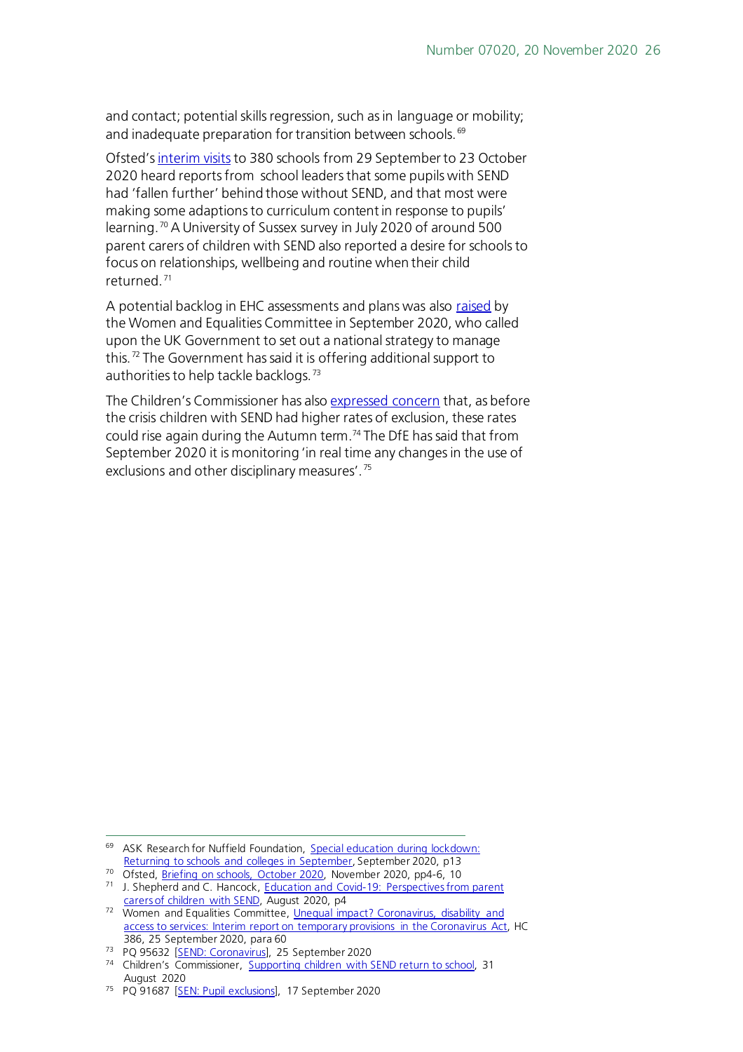and contact; potential skills regression, such as in language or mobility; and inadequate preparation for transition between schools. <sup>[69](#page-25-0)</sup>

Ofsted'[s interim visits](https://assets.publishing.service.gov.uk/government/uploads/system/uploads/attachment_data/file/933490/COVID-19_series_briefing_on_schools_October_2020.pdf) to 380 schools from 29 September to 23 October 2020 heard reports from school leaders that some pupils with SEND had 'fallen further' behind those without SEND, and that most were making some adaptions to curriculum content in response to pupils' learning. [70](#page-25-1) A University of Sussex survey in July 2020 of around 500 parent carers of children with SEND also reported a desire for schools to focus on relationships, wellbeing and routine when their child returned. [71](#page-25-2)

A potential backlog in EHC assessments and plans was also [raised](https://committees.parliament.uk/publications/2710/documents/27010/default/) by the Women and Equalities Committee in September 2020, who called upon the UK Government to set out a national strategy to manage this.[72](#page-25-3) The Government has said it is offering additional support to authorities to help tackle backlogs. [73](#page-25-4)

The Children's Commissioner has also [expressed concern](https://www.childrenscommissioner.gov.uk/2020/08/31/supporting-children-with-special-educational-needs-and-disabilities-to-return-to-school/) that, as before the crisis children with SEND had higher rates of exclusion, these rates could rise again during the Autumn term. [74](#page-25-5) The DfE has said that from September 2020 it is monitoring 'in real time any changes in the use of exclusions and other disciplinary measures'. [75](#page-25-6)

<span id="page-25-0"></span><sup>69</sup> ASK Research for Nuffield Foundation, Special education during lockdown: [Returning to schools and colleges in September,](https://www.nuffieldfoundation.org/wp-content/uploads/2020/09/Special-schools-during-lockdown.pdf) September 2020, p13

<span id="page-25-1"></span><sup>&</sup>lt;sup>70</sup> Ofsted, [Briefing on schools, October 2020,](https://assets.publishing.service.gov.uk/government/uploads/system/uploads/attachment_data/file/933490/COVID-19_series_briefing_on_schools_October_2020.pdf) November 2020, pp4-6, 10

<span id="page-25-2"></span><sup>71</sup> J. Shepherd and C. Hancock, Education and Covid-19: Perspectives from parent [carers of children with SEND,](https://www.sussex.ac.uk/webteam/gateway/file.php?name=education-and-covid-19---perspectives-from-parent-carers-of-children-with-send.pdf&site=26) August 2020, p4

<span id="page-25-3"></span><sup>72</sup> Women and Equalities Committee, Unequal impact? Coronavirus, disability and [access to services: Interim report on temporary provisions in the Coronavirus Act,](https://committees.parliament.uk/publications/2710/documents/27010/default/) HC 386, 25 September 2020, para 60

<span id="page-25-4"></span><sup>73</sup> PQ 95632 [\[SEND: Coronavirus\],](https://questions-statements.parliament.uk/written-questions/detail/2020-09-25/95632) 25 September 2020

<span id="page-25-5"></span><sup>&</sup>lt;sup>74</sup> Children's Commissioner, [Supporting children with SEND return to school,](https://www.childrenscommissioner.gov.uk/2020/08/31/supporting-children-with-special-educational-needs-and-disabilities-to-return-to-school/) 31 August 2020

<span id="page-25-6"></span><sup>&</sup>lt;sup>75</sup> PQ 91687 [\[SEN: Pupil exclusions\],](https://questions-statements.parliament.uk/written-questions/detail/2020-09-17/91687) 17 September 2020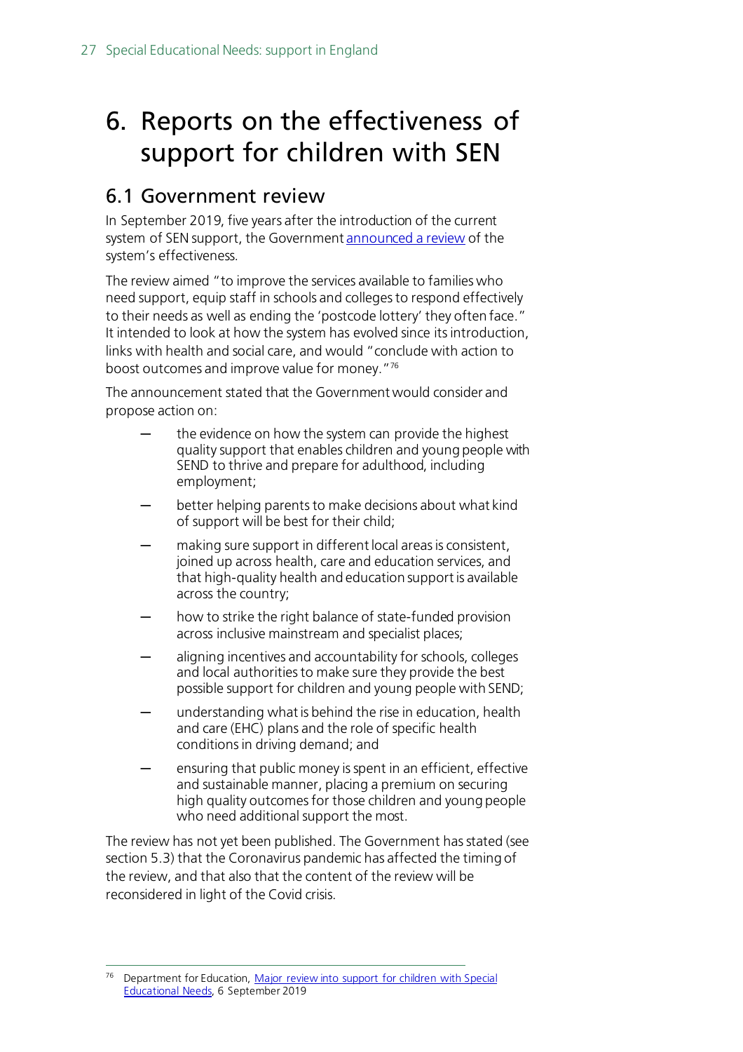# <span id="page-26-0"></span>6. Reports on the effectiveness of support for children with SEN

### <span id="page-26-1"></span>6.1 Government review

In September 2019, five years after the introduction of the current system of SEN support, the Governmen[t announced a review](https://www.gov.uk/government/news/major-review-into-support-for-children-with-special-educational-needs) of the system's effectiveness.

The review aimed "to improve the services available to families who need support, equip staff in schools and colleges to respond effectively to their needs as well as ending the 'postcode lottery' they often face." It intended to look at how the system has evolved since its introduction, links with health and social care, and would "conclude with action to boost outcomes and improve value for money."[76](#page-26-2)

The announcement stated that the Government would consider and propose action on:

- the evidence on how the system can provide the highest quality support that enables children and young people with SEND to thrive and prepare for adulthood, including employment;
- better helping parents to make decisions about what kind of support will be best for their child;
- making sure support in different local areas is consistent, joined up across health, care and education services, and that high-quality health and education support is available across the country;
- how to strike the right balance of state-funded provision across inclusive mainstream and specialist places;
- aligning incentives and accountability for schools, colleges and local authorities to make sure they provide the best possible support for children and young people with SEND;
- understanding what is behind the rise in education, health and care (EHC) plans and the role of specific health conditions in driving demand; and
- ensuring that public money is spent in an efficient, effective and sustainable manner, placing a premium on securing high quality outcomes for those children and young people who need additional support the most.

The review has not yet been published. The Government has stated (see section 5.3) that the Coronavirus pandemic has affected the timing of the review, and that also that the content of the review will be reconsidered in light of the Covid crisis.

<span id="page-26-2"></span><sup>76</sup> Department for Education, [Major review into support for children with Special](https://www.gov.uk/government/news/major-review-into-support-for-children-with-special-educational-needs)  [Educational Needs,](https://www.gov.uk/government/news/major-review-into-support-for-children-with-special-educational-needs) 6 September 2019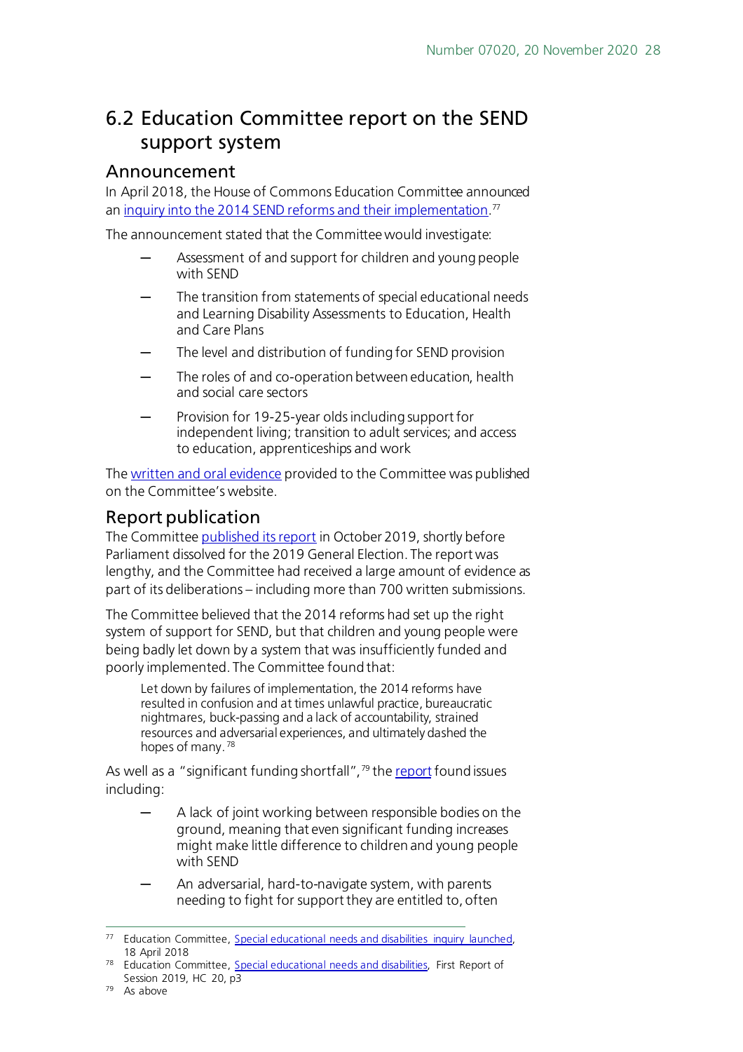### <span id="page-27-0"></span>6.2 Education Committee report on the SEND support system

#### <span id="page-27-1"></span>Announcement

In April 2018, the House of Commons Education Committee announced an <u>inquiry into the 2014 SEND reforms and their implementation.</u>"

The announcement stated that the Committee would investigate:

- Assessment of and support for children and young people with SEND
- The transition from statements of special educational needs and Learning Disability Assessments to Education, Health and Care Plans
- The level and distribution of funding for SEND provision
- The roles of and co-operation between education, health and social care sectors
- Provision for 19-25-year olds including support for independent living; transition to adult services; and access to education, apprenticeships and work

The [written and oral evidence](https://www.parliament.uk/business/committees/committees-a-z/commons-select/education-committee/inquiries/parliament-2017/special-educational-needs-and-disability-inquiry-17-19/) provided to the Committee was published on the Committee's website.

#### <span id="page-27-2"></span>Report publication

The Committe[e published its report](https://www.parliament.uk/business/committees/committees-a-z/commons-select/education-committee/news-parliament-2017/send-report-published-19-20/) in October 2019, shortly before Parliament dissolved for the 2019 General Election. The report was lengthy, and the Committee had received a large amount of evidence as part of its deliberations – including more than 700 written submissions.

The Committee believed that the 2014 reforms had set up the right system of support for SEND, but that children and young people were being badly let down by a system that was insufficiently funded and poorly implemented. The Committee found that:

Let down by failures of implementation, the 2014 reforms have resulted in confusion and at times unlawful practice, bureaucratic nightmares, buck-passing and a lack of accountability, strained resources and adversarial experiences, and ultimately dashed the hopes of many.<sup>[78](#page-27-4)</sup>

As well as a "significant funding shortfall", $\frac{79}{2}$  $\frac{79}{2}$  $\frac{79}{2}$  th[e report](https://publications.parliament.uk/pa/cm201920/cmselect/cmeduc/20/20.pdf) found issues including:

- A lack of joint working between responsible bodies on the ground, meaning that even significant funding increases might make little difference to children and young people with SEND
- An adversarial, hard-to-navigate system, with parents needing to fight for support they are entitled to, often

<span id="page-27-3"></span><sup>77</sup> Education Committee, [Special educational needs and](https://www.parliament.uk/business/committees/committees-a-z/commons-select/education-committee/news-parliament-2017/special-educational-needs-and-disability-launch-17-19/) disabilities inquiry launched, 18 April 2018

<span id="page-27-5"></span><span id="page-27-4"></span><sup>78</sup> Education Committee, [Special educational needs and disabilities,](https://publications.parliament.uk/pa/cm201920/cmselect/cmeduc/20/2002.htm) First Report of Session 2019, HC 20, p3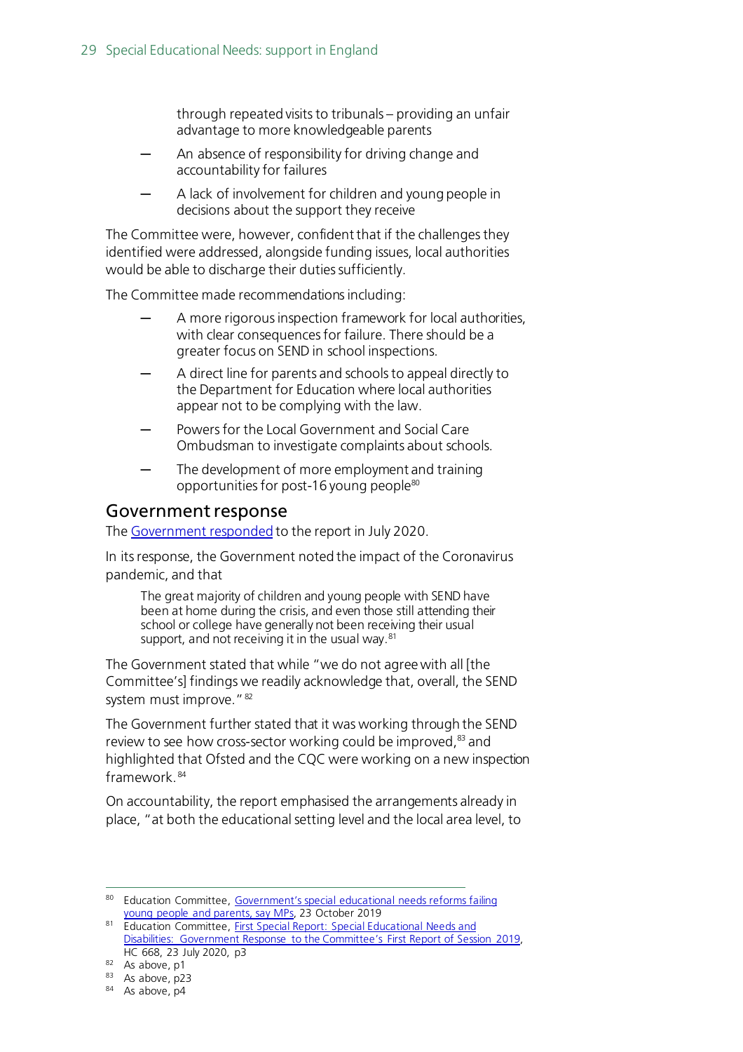through repeated visits to tribunals – providing an unfair advantage to more knowledgeable parents

- An absence of responsibility for driving change and accountability for failures
- A lack of involvement for children and young people in decisions about the support they receive

The Committee were, however, confident that if the challenges they identified were addressed, alongside funding issues, local authorities would be able to discharge their duties sufficiently.

The Committee made recommendations including:

- A more rigorous inspection framework for local authorities, with clear consequences for failure. There should be a greater focus on SEND in school inspections.
- A direct line for parents and schools to appeal directly to the Department for Education where local authorities appear not to be complying with the law.
- Powers for the Local Government and Social Care Ombudsman to investigate complaints about schools.
- The development of more employment and training opportunities for post-16 young people<sup>[80](#page-28-1)</sup>

#### <span id="page-28-0"></span>Government response

The [Government responded](https://publications.parliament.uk/pa/cm5801/cmselect/cmeduc/668/668.pdf) to the report in July 2020.

In its response, the Government noted the impact of the Coronavirus pandemic, and that

The great majority of children and young people with SEND have been at home during the crisis, and even those still attending their school or college have generally not been receiving their usual support, and not receiving it in the usual way.<sup>[81](#page-28-2)</sup>

The Government stated that while "we do not agree with all [the Committee's] findings we readily acknowledge that, overall, the SEND system must improve." [82](#page-28-3)

The Government further stated that it was working through the SEND review to see how cross-sector working could be improved,<sup>83</sup> and highlighted that Ofsted and the CQC were working on a new inspection framework. [84](#page-28-5)

On accountability, the report emphasised the arrangements already in place, "at both the educational setting level and the local area level, to

<span id="page-28-1"></span><sup>80</sup> Education Committee, Government's special educational needs reforms failing [young people and parents, say MPs,](https://www.parliament.uk/business/committees/committees-a-z/commons-select/education-committee/news-parliament-2017/send-report-published-19-20/) 23 October 2019

<span id="page-28-2"></span><sup>81</sup> Education Committee, First Special Report: Special Educational Needs and [Disabilities: Government Response to the Committee's First Report of Session 2019,](https://committees.parliament.uk/publications/2067/documents/19714/default/)  HC 668, 23 July 2020, p3

<span id="page-28-3"></span> $82$  As above, p1

<span id="page-28-4"></span><sup>83</sup> As above, p23

<span id="page-28-5"></span><sup>84</sup> As above, p4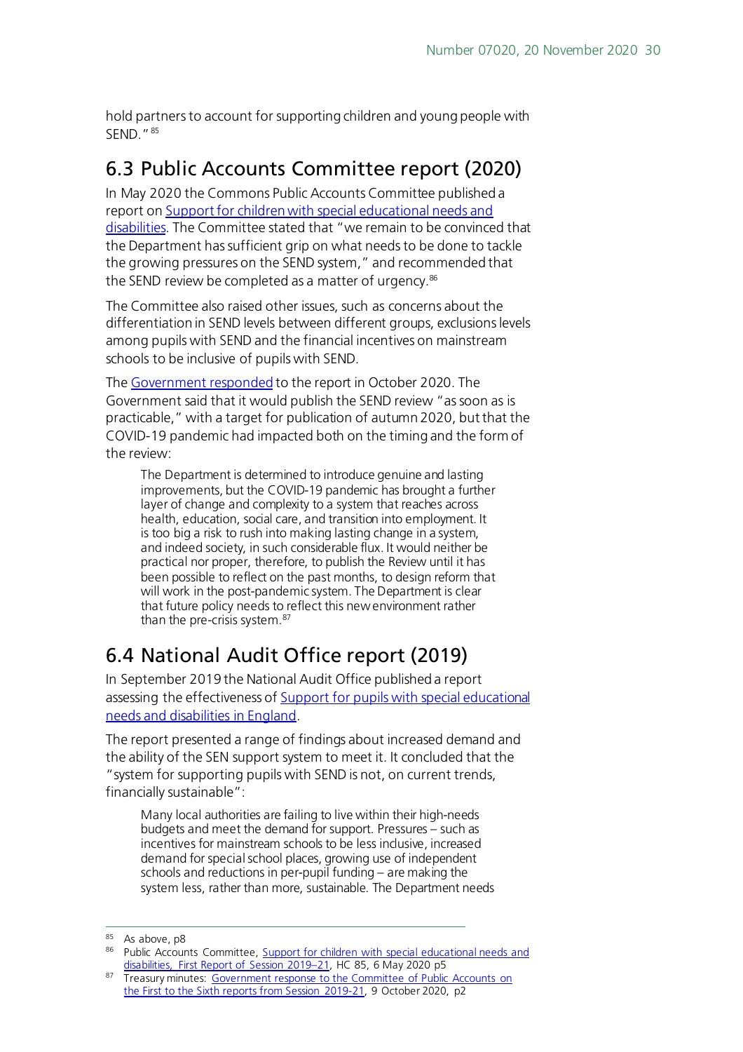hold partners to account for supporting children and young people with SEND<sup>"[85](#page-29-2)</sup>

## <span id="page-29-0"></span>6.3 Public Accounts Committee report (2020)

In May 2020 the Commons Public Accounts Committee published a report o[n Support for children with special educational needs and](https://committees.parliament.uk/work/35/support-for-children-with-special-educational-needs-and-disabilities/publications/)  [disabilities.](https://committees.parliament.uk/work/35/support-for-children-with-special-educational-needs-and-disabilities/publications/) The Committee stated that "we remain to be convinced that the Department has sufficient grip on what needs to be done to tackle the growing pressures on the SEND system," and recommended that the SEND review be completed as a matter of urgency.<sup>[86](#page-29-3)</sup>

The Committee also raised other issues, such as concerns about the differentiation in SEND levels between different groups, exclusions levels among pupils with SEND and the financial incentives on mainstream schools to be inclusive of pupils with SEND.

The [Government responded](https://committees.parliament.uk/work/35/support-for-children-with-special-educational-needs-and-disabilities/publications/2/government-response/) to the report in October 2020. The Government said that it would publish the SEND review "as soon as is practicable," with a target for publication of autumn 2020, but that the COVID-19 pandemic had impacted both on the timing and the form of the review:

The Department is determined to introduce genuine and lasting improvements, but the COVID-19 pandemic has brought a further layer of change and complexity to a system that reaches across health, education, social care, and transition into employment. It is too big a risk to rush into making lasting change in a system, and indeed society, in such considerable flux. It would neither be practical nor proper, therefore, to publish the Review until it has been possible to reflect on the past months, to design reform that will work in the post-pandemic system. The Department is clear that future policy needs to reflect this new environment rather than the pre-crisis system. [87](#page-29-4)

## <span id="page-29-1"></span>6.4 National Audit Office report (2019)

In September 2019 the National Audit Office published a report assessing the effectiveness of [Support for pupils with special](https://www.nao.org.uk/report/support-for-pupils-with-special-educational-needs-and-disabilities/) educational needs and [disabilities in England.](https://www.nao.org.uk/report/support-for-pupils-with-special-educational-needs-and-disabilities/)

The report presented a range of findings about increased demand and the ability of the SEN support system to meet it. It concluded that the "system for supporting pupils with SEND is not, on current trends, financially sustainable":

Many local authorities are failing to live within their high-needs budgets and meet the demand for support. Pressures – such as incentives for mainstream schools to be less inclusive, increased demand for special school places, growing use of independent schools and reductions in per-pupil funding – are making the system less, rather than more, sustainable. The Department needs

<span id="page-29-2"></span><sup>85</sup> As above, p8

<span id="page-29-3"></span><sup>86</sup> Public Accounts Committee, Support for children with special educational needs and [disabilities, First Report of Session 2019–21,](https://committees.parliament.uk/work/35/support-for-children-with-special-educational-needs-and-disabilities/publications/2/government-response/) HC 85, 6 May 2020 p5

<span id="page-29-4"></span><sup>87</sup> Treasury minutes: Government response to the Committee of Public Accounts on [the First to the Sixth reports from Session 2019-21,](https://committees.parliament.uk/work/35/support-for-children-with-special-educational-needs-and-disabilities/publications/2/government-response/) 9 October 2020, p2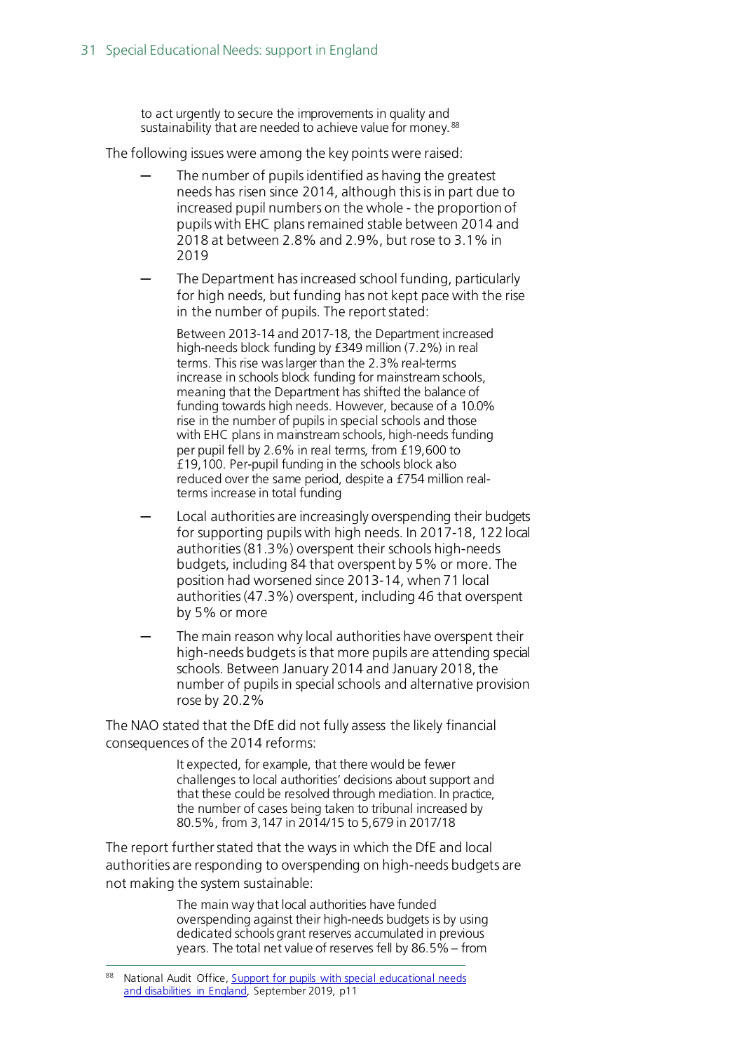to act urgently to secure the improvements in quality and sustainability that are needed to achieve value for money. [88](#page-30-0)

The following issues were among the key points were raised:

- The number of pupils identified as having the greatest needs has risen since 2014, although this is in part due to increased pupil numbers on the whole - the proportion of pupils with EHC plans remained stable between 2014 and 2018 at between 2.8% and 2.9%, but rose to 3.1% in 2019
- The Department has increased school funding, particularly for high needs, but funding has not kept pace with the rise in the number of pupils. The report stated:

Between 2013-14 and 2017-18, the Department increased high-needs block funding by £349 million (7.2%) in real terms. This rise was larger than the 2.3% real-terms increase in schools block funding for mainstream schools, meaning that the Department has shifted the balance of funding towards high needs. However, because of a 10.0% rise in the number of pupils in special schools and those with EHC plans in mainstream schools, high-needs funding per pupil fell by 2.6% in real terms, from £19,600 to £19,100. Per-pupil funding in the schools block also reduced over the same period, despite a £754 million realterms increase in total funding

- Local authorities are increasingly overspending their budgets for supporting pupils with high needs. In 2017-18, 122 local authorities (81.3%) overspent their schools high-needs budgets, including 84 that overspent by 5% or more. The position had worsened since 2013-14, when 71 local authorities (47.3%) overspent, including 46 that overspent by 5% or more
- The main reason why local authorities have overspent their high-needs budgets is that more pupils are attending special schools. Between January 2014 and January 2018, the number of pupils in special schools and alternative provision rose by 20.2%

The NAO stated that the DfE did not fully assess the likely financial consequences of the 2014 reforms:

> It expected, for example, that there would be fewer challenges to local authorities' decisions about support and that these could be resolved through mediation. In practice, the number of cases being taken to tribunal increased by 80.5%, from 3,147 in 2014/15 to 5,679 in 2017/18

The report further stated that the ways in which the DfE and local authorities are responding to overspending on high-needs budgets are not making the system sustainable:

> The main way that local authorities have funded overspending against their high-needs budgets is by using dedicated schools grant reserves accumulated in previous years. The total net value of reserves fell by 86.5% – from

<span id="page-30-0"></span>National Audit Office[, Support for pupils with special](https://www.nao.org.uk/report/support-for-pupils-with-special-educational-needs-and-disabilities/) educational needs and [disabilities in England,](https://www.nao.org.uk/report/support-for-pupils-with-special-educational-needs-and-disabilities/) September 2019, p11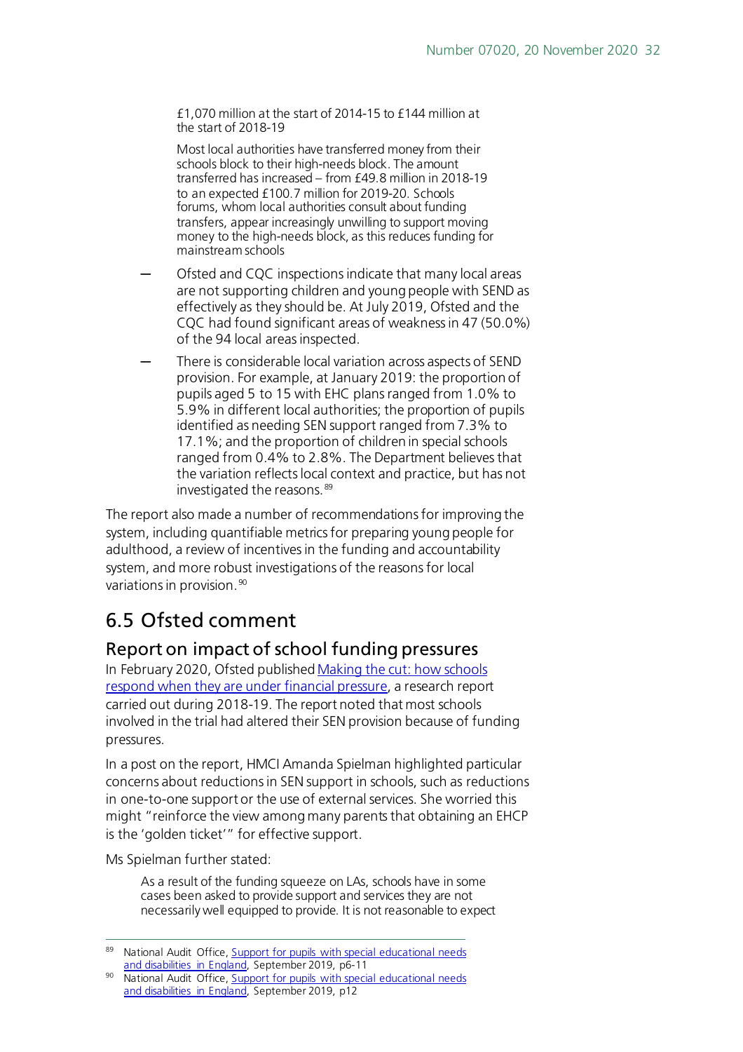£1,070 million at the start of 2014-15 to £144 million at the start of 2018-19

Most local authorities have transferred money from their schools block to their high-needs block. The amount transferred has increased – from £49.8 million in 2018-19 to an expected £100.7 million for 2019-20. Schools forums, whom local authorities consult about funding transfers, appear increasingly unwilling to support moving money to the high-needs block, as this reduces funding for mainstream schools

- Ofsted and CQC inspections indicate that many local areas are not supporting children and young people with SEND as effectively as they should be. At July 2019, Ofsted and the CQC had found significant areas of weakness in 47 (50.0%) of the 94 local areas inspected.
- There is considerable local variation across aspects of SEND provision. For example, at January 2019: the proportion of pupils aged 5 to 15 with EHC plans ranged from 1.0% to 5.9% in different local authorities; the proportion of pupils identified as needing SEN support ranged from 7.3% to 17.1%; and the proportion of children in special schools ranged from 0.4% to 2.8%. The Department believes that the variation reflects local context and practice, but has not investigated the reasons. [89](#page-31-2)

The report also made a number of recommendations for improving the system, including quantifiable metrics for preparing young people for adulthood, a review of incentives in the funding and accountability system, and more robust investigations of the reasons for local variations in provision.<sup>[90](#page-31-3)</sup>

## <span id="page-31-0"></span>6.5 Ofsted comment

#### <span id="page-31-1"></span>Report on impact of school funding pressures

In February 2020, Ofsted publishe[d Making the cut: how schools](https://www.gov.uk/government/publications/making-the-cut-how-schools-respond-when-they-are-under-financial-pressure)  [respond when they are under financial pressure](https://www.gov.uk/government/publications/making-the-cut-how-schools-respond-when-they-are-under-financial-pressure), a research report carried out during 2018-19. The report noted that most schools involved in the trial had altered their SEN provision because of funding pressures.

In a post on the report, HMCI Amanda Spielman highlighted particular concerns about reductions in SEN support in schools, such as reductions in one-to-one support or the use of external services. She worried this might "reinforce the view among many parents that obtaining an EHCP is the 'golden ticket'" for effective support.

Ms Spielman further stated:

As a result of the funding squeeze on LAs, schools have in some cases been asked to provide support and services they are not necessarily well equipped to provide. It is not reasonable to expect

<span id="page-31-2"></span>National Audit Office[, Support for pupils with special](https://www.nao.org.uk/report/support-for-pupils-with-special-educational-needs-and-disabilities/) educational needs and [disabilities in England,](https://www.nao.org.uk/report/support-for-pupils-with-special-educational-needs-and-disabilities/) September 2019, p6-11

<span id="page-31-3"></span><sup>90</sup> National Audit Office[, Support for pupils with special](https://www.nao.org.uk/report/support-for-pupils-with-special-educational-needs-and-disabilities/) educational needs and [disabilities in England,](https://www.nao.org.uk/report/support-for-pupils-with-special-educational-needs-and-disabilities/) September 2019, p12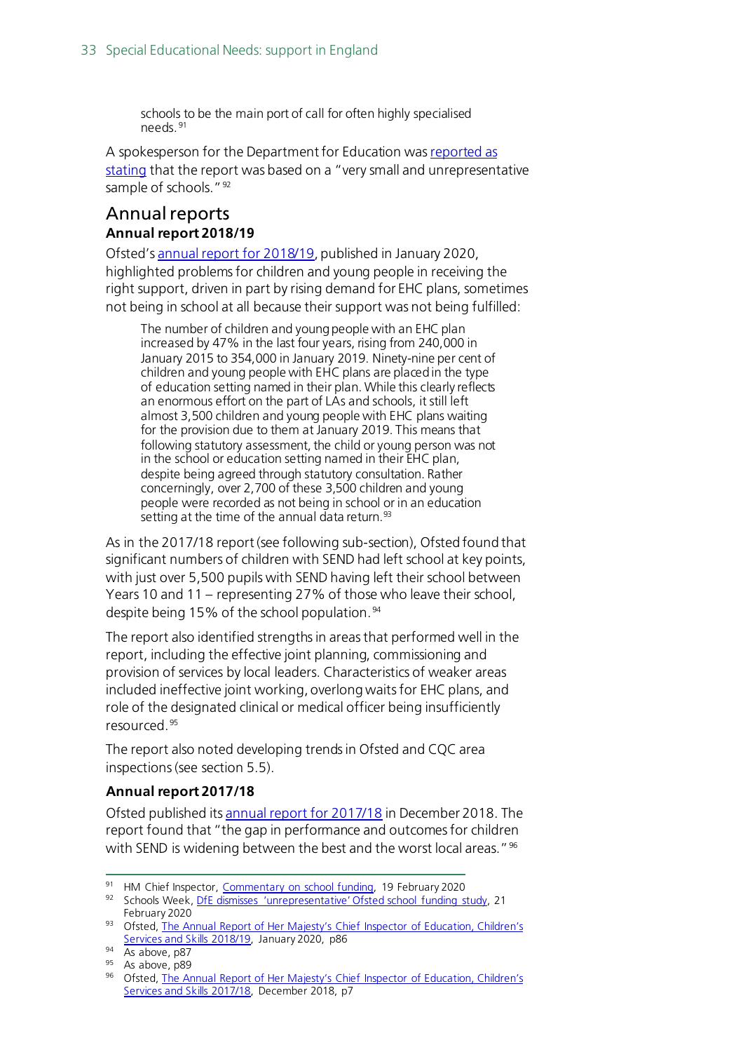schools to be the main port of call for often highly specialised needs. [91](#page-32-1)

A spokesperson for the Department for Education wa[s reported as](https://schoolsweek.co.uk/dfe-dismisses-unrepresentative-ofsted-school-funding-study/)  [stating](https://schoolsweek.co.uk/dfe-dismisses-unrepresentative-ofsted-school-funding-study/) that the report was based on a "very small and unrepresentative sample of schools."<sup>[92](#page-32-2)</sup>

#### <span id="page-32-0"></span>Annual reports **Annual report 2018/19**

Ofsted'[s annual report for 2018/19](https://www.gov.uk/government/publications/ofsted-annual-report-201819-education-childrens-services-and-skills), published in January 2020, highlighted problems for children and young people in receiving the right support, driven in part by rising demand for EHC plans, sometimes not being in school at all because their support was not being fulfilled:

The number of children and young people with an EHC plan increased by 47% in the last four years, rising from 240,000 in January 2015 to 354,000 in January 2019. Ninety-nine per cent of children and young people with EHC plans are placed in the type of education setting named in their plan. While this clearly reflects an enormous effort on the part of LAs and schools, it still left almost 3,500 children and young people with EHC plans waiting for the provision due to them at January 2019. This means that following statutory assessment, the child or young person was not in the school or education setting named in their EHC plan, despite being agreed through statutory consultation. Rather concerningly, over 2,700 of these 3,500 children and young people were recorded as not being in school or in an education setting at the time of the annual data return.<sup>[93](#page-32-3)</sup>

As in the 2017/18 report (see following sub-section), Ofsted found that significant numbers of children with SEND had left school at key points, with just over 5,500 pupils with SEND having left their school between Years 10 and 11 – representing 27% of those who leave their school, despite being 15% of the school population. [94](#page-32-4)

The report also identified strengths in areas that performed well in the report, including the effective joint planning, commissioning and provision of services by local leaders. Characteristics of weaker areas included ineffective joint working, overlong waits for EHC plans, and role of the designated clinical or medical officer being insufficiently resourced. [95](#page-32-5)

The report also noted developing trends in Ofsted and CQC area inspections (see section 5.5).

#### **Annual report 2017/18**

Ofsted published its [annual report for 2017/18](https://www.gov.uk/government/publications/ofsted-annual-report-201718-education-childrens-services-and-skills) in December 2018. The report found that "the gap in performance and outcomes for children with SEND is widening between the best and the worst local areas."<sup>[96](#page-32-6)</sup>

<span id="page-32-1"></span><sup>91</sup> HM Chief Inspector, [Commentary on school funding,](https://www.gov.uk/government/speeches/commentary-on-school-funding) 19 February 2020

<span id="page-32-2"></span><sup>92</sup> Schools Week, [DfE dismisses 'unrepresentative' Ofsted school funding study,](https://schoolsweek.co.uk/dfe-dismisses-unrepresentative-ofsted-school-funding-study/) 21 February 2020

<span id="page-32-3"></span><sup>93</sup> Ofsted, The Annual Report of Her Majesty's Chief Inspector of Education, Children's [Services and Skills 2018/19,](https://assets.publishing.service.gov.uk/government/uploads/system/uploads/attachment_data/file/859422/Annual_Report_of_Her_Majesty_s_Chief_Inspector_of_Education__Children_s_Services_and_Skills_201819.pdf) January 2020, p86

<span id="page-32-4"></span><sup>94</sup> As above, p87

<span id="page-32-5"></span><sup>95</sup> As above, p89

<span id="page-32-6"></span><sup>96</sup> Ofsted, The Annual Report of Her Majesty's Chief Inspector of Education, Children's [Services and Skills 2017/18,](https://www.gov.uk/government/publications/ofsted-annual-report-201718-education-childrens-services-and-skills) December 2018, p7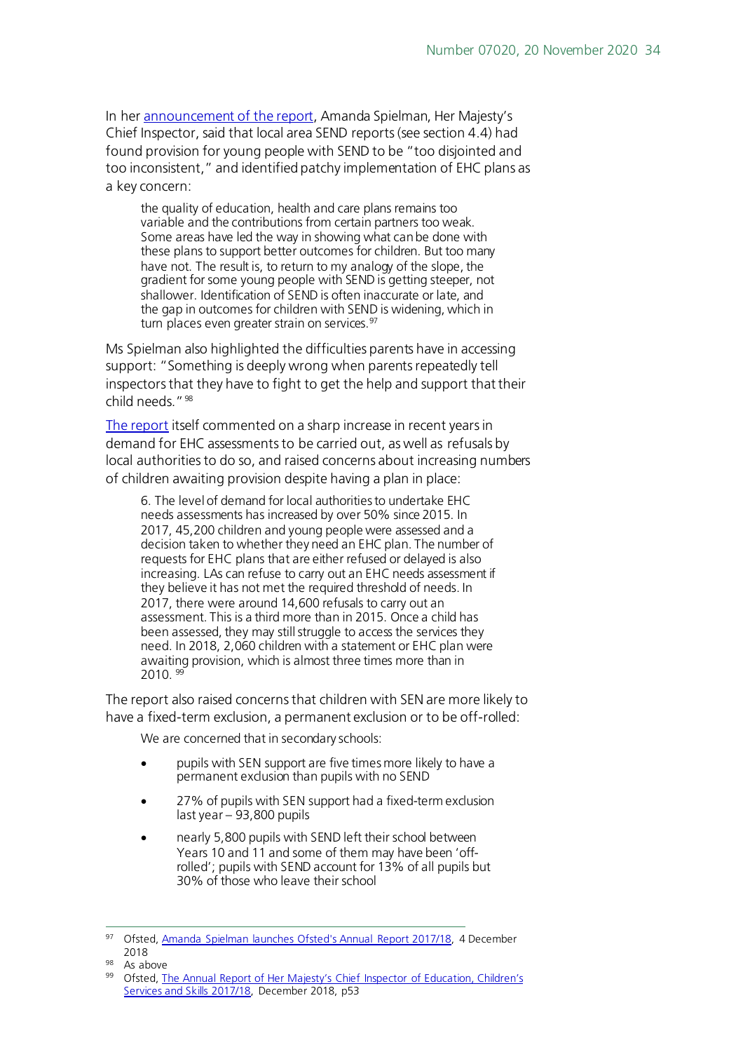In her [announcement of the report](https://www.gov.uk/government/speeches/amanda-spielman-launches-ofsteds-annual-report-201718), Amanda Spielman, Her Majesty's Chief Inspector, said that local area SEND reports (see section 4.4) had found provision for young people with SEND to be "too disjointed and too inconsistent," and identified patchy implementation of EHC plans as a key concern:

the quality of education, health and care plans remains too variable and the contributions from certain partners too weak. Some areas have led the way in showing what can be done with these plans to support better outcomes for children. But too many have not. The result is, to return to my analogy of the slope, the gradient for some young people with SEND is getting steeper, not shallower. Identification of SEND is often inaccurate or late, and the gap in outcomes for children with SEND is widening, which in turn places even greater strain on services.<sup>[97](#page-33-0)</sup>

Ms Spielman also highlighted the difficulties parents have in accessing support: "Something is deeply wrong when parents repeatedly tell inspectors that they have to fight to get the help and support that their child needs."[98](#page-33-1)

[The report](https://www.gov.uk/government/publications/ofsted-annual-report-201718-education-childrens-services-and-skills) itself commented on a sharp increase in recent years in demand for EHC assessments to be carried out, as well as refusals by local authorities to do so, and raised concerns about increasing numbers of children awaiting provision despite having a plan in place:

6. The level of demand for local authorities to undertake EHC needs assessments has increased by over 50% since 2015. In 2017, 45,200 children and young people were assessed and a decision taken to whether they need an EHC plan. The number of requests for EHC plans that are either refused or delayed is also increasing. LAs can refuse to carry out an EHC needs assessment if they believe it has not met the required threshold of needs. In 2017, there were around 14,600 refusals to carry out an assessment. This is a third more than in 2015. Once a child has been assessed, they may still struggle to access the services they need. In 2018, 2,060 children with a statement or EHC plan were awaiting provision, which is almost three times more than in 2010. [99](#page-33-2)

The report also raised concerns that children with SEN are more likely to have a fixed-term exclusion, a permanent exclusion or to be off-rolled:

We are concerned that in secondary schools:

- pupils with SEN support are five times more likely to have a permanent exclusion than pupils with no SEND
- 27% of pupils with SEN support had a fixed-term exclusion last year – 93,800 pupils
- nearly 5,800 pupils with SEND left their school between Years 10 and 11 and some of them may have been 'offrolled'; pupils with SEND account for 13% of all pupils but 30% of those who leave their school

<span id="page-33-0"></span><sup>97</sup> Ofsted, [Amanda Spielman launches Ofsted's Annual Report 2017/18,](https://www.gov.uk/government/speeches/amanda-spielman-launches-ofsteds-annual-report-201718) 4 December 2018

<span id="page-33-1"></span><sup>98</sup> As above

<span id="page-33-2"></span><sup>99</sup> Ofsted, The Annual Report of Her Majesty's Chief Inspector of Education, Children's [Services and Skills 2017/18,](https://www.gov.uk/government/publications/ofsted-annual-report-201718-education-childrens-services-and-skills) December 2018, p53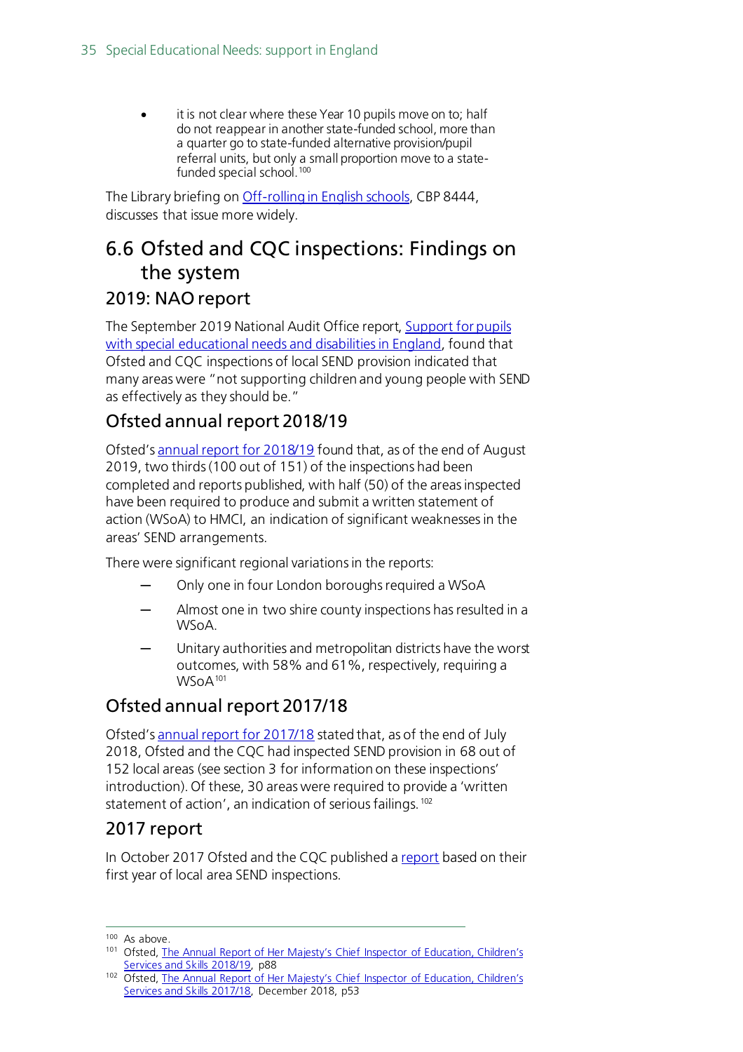• it is not clear where these Year 10 pupils move on to; half do not reappear in another state-funded school, more than a quarter go to state-funded alternative provision/pupil referral units, but only a small proportion move to a state-funded special school.<sup>[100](#page-34-1)</sup>

The Library briefing on [Off-rolling in English schools,](https://researchbriefings.parliament.uk/ResearchBriefing/Summary/CBP-8444) CBP 8444, discusses that issue more widely.

### <span id="page-34-0"></span>6.6 Ofsted and CQC inspections: Findings on the system

#### 2019: NAO report

The September 2019 National Audit Office report[, Support for pupils](https://www.nao.org.uk/report/support-for-pupils-with-special-educational-needs-and-disabilities/)  with special [educational needs and](https://www.nao.org.uk/report/support-for-pupils-with-special-educational-needs-and-disabilities/) disabilities in England, found that Ofsted and CQC inspections of local SEND provision indicated that many areas were "not supporting children and young people with SEND as effectively as they should be."

### Ofsted annual report 2018/19

Ofsted'[s annual report for 2018/19](https://assets.publishing.service.gov.uk/government/uploads/system/uploads/attachment_data/file/859422/Annual_Report_of_Her_Majesty_s_Chief_Inspector_of_Education__Children_s_Services_and_Skills_201819.pdf) found that, as of the end of August 2019, two thirds (100 out of 151) of the inspections had been completed and reports published, with half (50) of the areas inspected have been required to produce and submit a written statement of action (WSoA) to HMCI, an indication of significant weaknesses in the areas' SEND arrangements.

There were significant regional variations in the reports:

- Only one in four London boroughs required a WSoA
- Almost one in two shire county inspections has resulted in a WSoA.
- Unitary authorities and metropolitan districts have the worst outcomes, with 58% and 61%, respectively, requiring a WSoA<sup>[101](#page-34-2)</sup>

### Ofsted annual report 2017/18

Ofsted'[s annual report for 2017/18](https://www.gov.uk/government/publications/ofsted-annual-report-201718-education-childrens-services-and-skills) stated that, as of the end of July 2018, Ofsted and the CQC had inspected SEND provision in 68 out of 152 local areas (see section 3 for information on these inspections' introduction). Of these, 30 areas were required to provide a 'written statement of action', an indication of serious failings.<sup>[102](#page-34-3)</sup>

#### 2017 report

In October 2017 Ofsted and the CQC published [a report](https://www.gov.uk/government/publications/local-area-send-inspections-one-year-on) based on their first year of local area SEND inspections.

<span id="page-34-1"></span><sup>&</sup>lt;sup>100</sup> As above.

<span id="page-34-2"></span><sup>101</sup> Ofsted, The Annual Report of Her Majesty's Chief Inspector of Education, Children's [Services and Skills 2018/19,](https://assets.publishing.service.gov.uk/government/uploads/system/uploads/attachment_data/file/859422/Annual_Report_of_Her_Majesty_s_Chief_Inspector_of_Education__Children_s_Services_and_Skills_201819.pdf) p88

<span id="page-34-3"></span><sup>102</sup> Ofsted, The Annual Report of Her Majesty's Chief Inspector of Education, Children's [Services and Skills 2017/18,](https://www.gov.uk/government/publications/ofsted-annual-report-201718-education-childrens-services-and-skills) December 2018, p53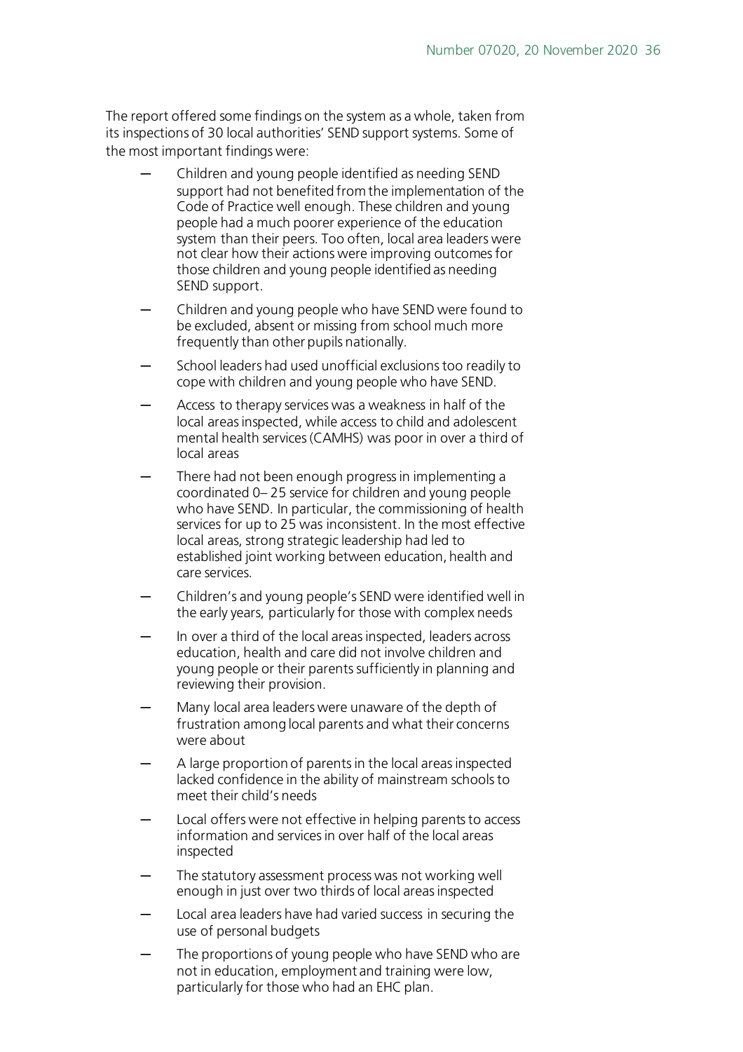The report offered some findings on the system as a whole, taken from its inspections of 30 local authorities' SEND support systems. Some of the most important findings were:

- Children and young people identified as needing SEND support had not benefited from the implementation of the Code of Practice well enough. These children and young people had a much poorer experience of the education system than their peers. Too often, local area leaders were not clear how their actions were improving outcomes for those children and young people identified as needing SEND support.
- Children and young people who have SEND were found to be excluded, absent or missing from school much more frequently than other pupils nationally.
- School leaders had used unofficial exclusions too readily to cope with children and young people who have SEND.
- Access to therapy services was a weakness in half of the local areas inspected, while access to child and adolescent mental health services (CAMHS) was poor in over a third of local areas
- There had not been enough progress in implementing a coordinated 0– 25 service for children and young people who have SEND. In particular, the commissioning of health services for up to 25 was inconsistent. In the most effective local areas, strong strategic leadership had led to established joint working between education, health and care services.
- Children's and young people's SEND were identified well in the early years, particularly for those with complex needs
- In over a third of the local areas inspected, leaders across education, health and care did not involve children and young people or their parents sufficiently in planning and reviewing their provision.
- Many local area leaders were unaware of the depth of frustration among local parents and what their concerns were about
- A large proportion of parents in the local areas inspected lacked confidence in the ability of mainstream schools to meet their child's needs
- Local offers were not effective in helping parents to access information and services in over half of the local areas inspected
- The statutory assessment process was not working well enough in just over two thirds of local areas inspected
- Local area leaders have had varied success in securing the use of personal budgets
- The proportions of young people who have SEND who are not in education, employment and training were low, particularly for those who had an EHC plan.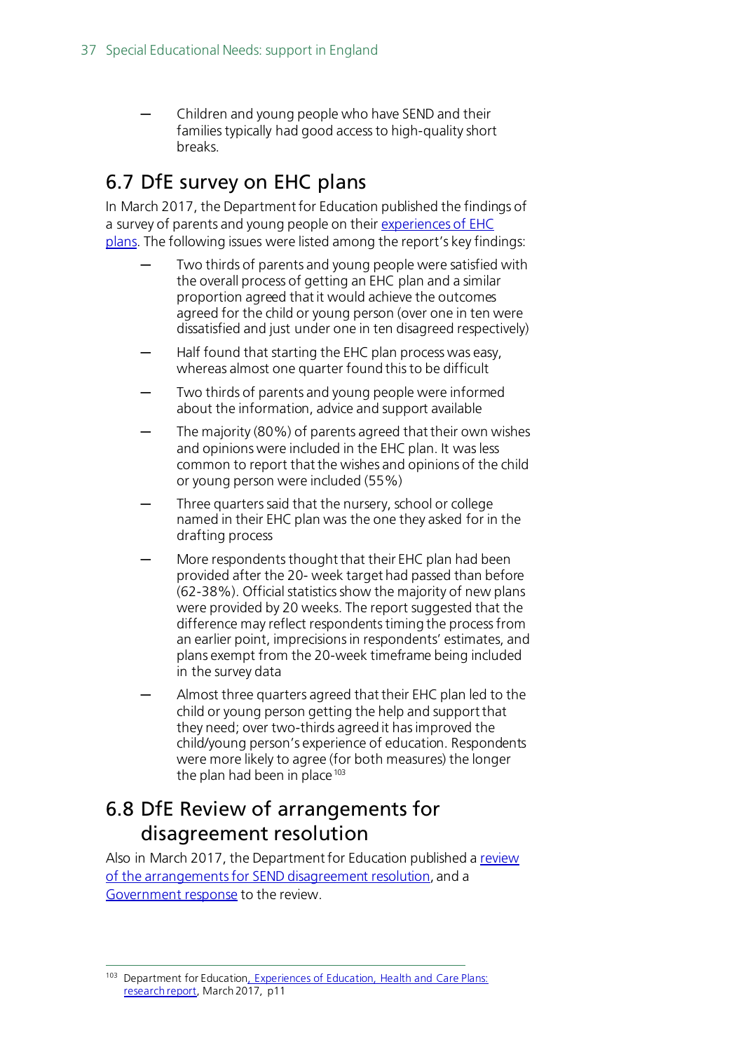Children and young people who have SEND and their families typically had good access to high-quality short breaks.

### <span id="page-36-0"></span>6.7 DfE survey on EHC plans

In March 2017, the Department for Education published the findings of a survey of parents and young people on thei[r experiences of EHC](https://www.gov.uk/government/uploads/system/uploads/attachment_data/file/604384/Education__health_and_care_plans_parents_and_young_people_survey.pdf)  [plans.](https://www.gov.uk/government/uploads/system/uploads/attachment_data/file/604384/Education__health_and_care_plans_parents_and_young_people_survey.pdf) The following issues were listed among the report's key findings:

- Two thirds of parents and young people were satisfied with the overall process of getting an EHC plan and a similar proportion agreed that it would achieve the outcomes agreed for the child or young person (over one in ten were dissatisfied and just under one in ten disagreed respectively)
- Half found that starting the EHC plan process was easy, whereas almost one quarter found this to be difficult
- Two thirds of parents and young people were informed about the information, advice and support available
- The majority (80%) of parents agreed that their own wishes and opinions were included in the EHC plan. It was less common to report that the wishes and opinions of the child or young person were included (55%)
- Three quarters said that the nursery, school or college named in their EHC plan was the one they asked for in the drafting process
- More respondents thought that their EHC plan had been provided after the 20- week target had passed than before (62-38%). Official statistics show the majority of new plans were provided by 20 weeks. The report suggested that the difference may reflect respondents timing the process from an earlier point, imprecisions in respondents' estimates, and plans exempt from the 20-week timeframe being included in the survey data
- Almost three quarters agreed that their EHC plan led to the child or young person getting the help and support that they need; over two-thirds agreed it has improved the child/young person's experience of education. Respondents were more likely to agree (for both measures) the longer the plan had been in place  $103$

### <span id="page-36-1"></span>6.8 DfE Review of arrangements for disagreement resolution

Also in March 2017, the Department for Education published [a review](https://www.gov.uk/government/uploads/system/uploads/attachment_data/file/603487/CEDAR_review.pdf)  [of the arrangements for SEND disagreement resolution,](https://www.gov.uk/government/uploads/system/uploads/attachment_data/file/603487/CEDAR_review.pdf) and a [Government response](https://www.gov.uk/government/uploads/system/uploads/attachment_data/file/606740/Government_report_on_CEDAR_review.pdf) to the review.

<span id="page-36-2"></span><sup>103</sup> Department for Education, Experiences of Education, Health and Care Plans: [research report,](https://www.gov.uk/government/uploads/system/uploads/attachment_data/file/604384/Education__health_and_care_plans_parents_and_young_people_survey.pdf) March 2017, p11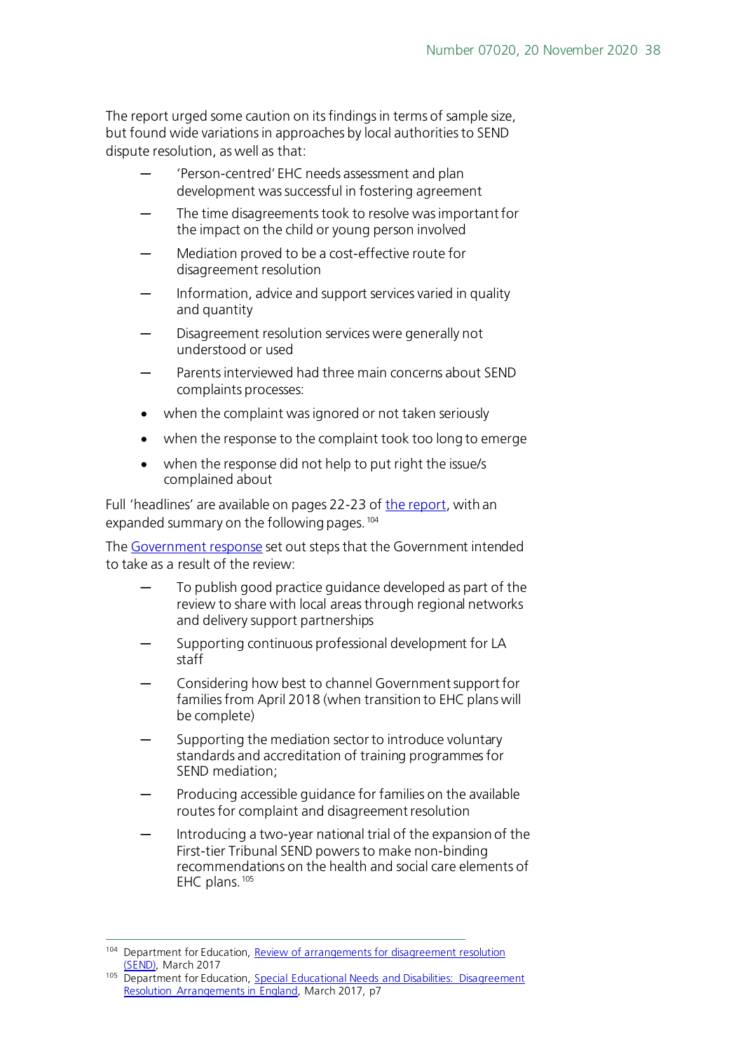The report urged some caution on its findings in terms of sample size, but found wide variations in approaches by local authorities to SEND dispute resolution, as well as that:

- 'Person-centred' EHC needs assessment and plan development was successful in fostering agreement
- The time disagreements took to resolve was important for the impact on the child or young person involved
- Mediation proved to be a cost-effective route for disagreement resolution
- Information, advice and support services varied in quality and quantity
- Disagreement resolution services were generally not understood or used
- Parents interviewed had three main concerns about SEND complaints processes:
- when the complaint was ignored or not taken seriously
- when the response to the complaint took too long to emerge
- when the response did not help to put right the issue/s complained about

Full 'headlines' are available on pages 22-23 o[f the report](https://www.gov.uk/government/uploads/system/uploads/attachment_data/file/603487/CEDAR_review.pdf), with an expanded summary on the following pages. [104](#page-37-0)

The [Government response](https://www.gov.uk/government/uploads/system/uploads/attachment_data/file/606740/Government_report_on_CEDAR_review.pdf) set out steps that the Government intended to take as a result of the review:

- To publish good practice guidance developed as part of the review to share with local areas through regional networks and delivery support partnerships
- Supporting continuous professional development for LA staff
- ─ Considering how best to channel Government support for families from April 2018 (when transition to EHC plans will be complete)
- Supporting the mediation sector to introduce voluntary standards and accreditation of training programmes for SEND mediation;
- Producing accessible guidance for families on the available routes for complaint and disagreement resolution
- Introducing a two-year national trial of the expansion of the First-tier Tribunal SEND powers to make non-binding recommendations on the health and social care elements of EHC plans. [105](#page-37-1)

<span id="page-37-0"></span><sup>&</sup>lt;sup>104</sup> Department for Education, Review of arrangements for disagreement resolution [\(SEND\),](https://www.gov.uk/government/uploads/system/uploads/attachment_data/file/603487/CEDAR_review.pdf) March 2017

<span id="page-37-1"></span><sup>105</sup> Department for Education, Special Educational Needs and Disabilities: Disagreement [Resolution Arrangements in England,](https://www.gov.uk/government/uploads/system/uploads/attachment_data/file/606740/Government_report_on_CEDAR_review.pdf) March 2017, p7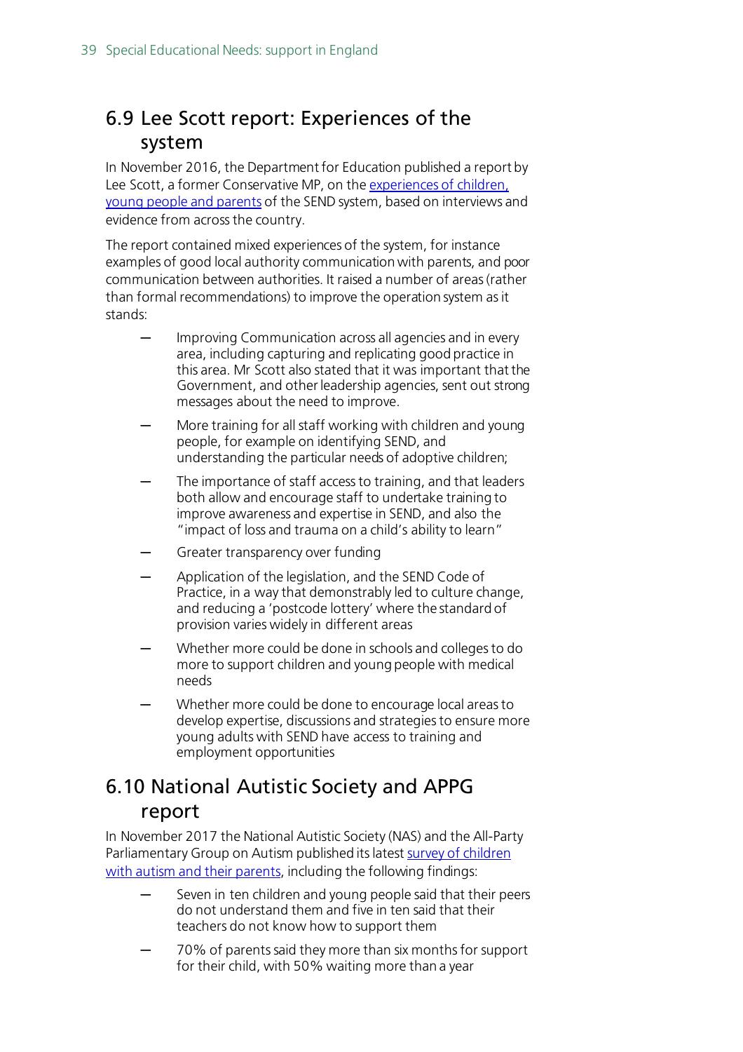### <span id="page-38-0"></span>6.9 Lee Scott report: Experiences of the system

In November 2016, the Department for Education published a report by Lee Scott, a former Conservative MP, on th[e experiences of children,](https://www.gov.uk/government/publications/send-experiences-with-schools-and-colleges)  [young people and parents](https://www.gov.uk/government/publications/send-experiences-with-schools-and-colleges) of the SEND system, based on interviews and evidence from across the country.

The report contained mixed experiences of the system, for instance examples of good local authority communication with parents, and poor communication between authorities. It raised a number of areas (rather than formal recommendations) to improve the operation system as it stands:

- Improving Communication across all agencies and in every area, including capturing and replicating good practice in this area. Mr Scott also stated that it was important that the Government, and other leadership agencies, sent out strong messages about the need to improve.
- More training for all staff working with children and young people, for example on identifying SEND, and understanding the particular needs of adoptive children;
- The importance of staff access to training, and that leaders both allow and encourage staff to undertake training to improve awareness and expertise in SEND, and also the "impact of loss and trauma on a child's ability to learn"
- Greater transparency over funding
- Application of the legislation, and the SEND Code of Practice, in a way that demonstrably led to culture change, and reducing a 'postcode lottery' where the standard of provision varies widely in different areas
- Whether more could be done in schools and colleges to do more to support children and young people with medical needs
- Whether more could be done to encourage local areas to develop expertise, discussions and strategies to ensure more young adults with SEND have access to training and employment opportunities

### <span id="page-38-1"></span>6.10 National Autistic Society and APPG report

In November 2017 the National Autistic Society (NAS) and the All-Party Parliamentary Group on Autism published its latest [survey of children](https://protect-eu.mimecast.com/s/p7wNCq7zvF1rnOLuEkGc_?domain=autism.org.uk)  [with autism and their parents,](https://protect-eu.mimecast.com/s/p7wNCq7zvF1rnOLuEkGc_?domain=autism.org.uk) including the following findings:

- Seven in ten children and young people said that their peers do not understand them and five in ten said that their teachers do not know how to support them
- ─ 70% of parents said they more than six months for support for their child, with 50% waiting more than a year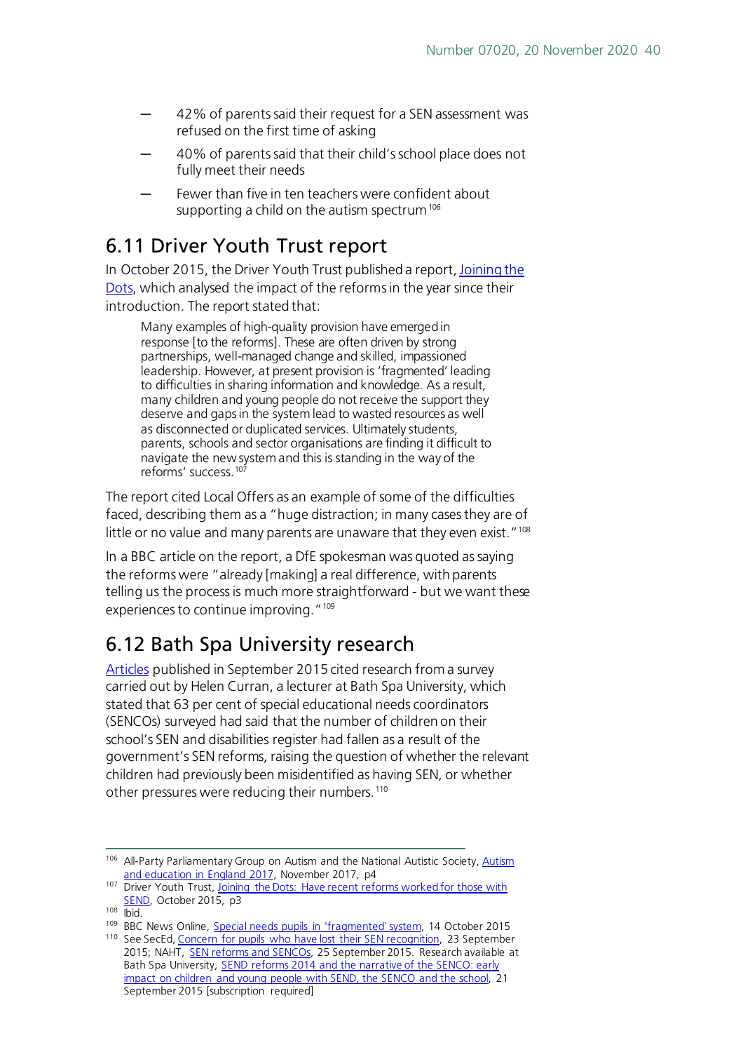- 42% of parents said their request for a SEN assessment was refused on the first time of asking
- 40% of parents said that their child's school place does not fully meet their needs
- Fewer than five in ten teachers were confident about supporting a child on the autism spectrum<sup>[106](#page-39-2)</sup>

### <span id="page-39-0"></span>6.11 Driver Youth Trust report

In October 2015, the Driver Youth Trust published a report[, Joining the](http://driveryouthtrust.com/index.php/joining-the-dots/)  [Dots,](http://driveryouthtrust.com/index.php/joining-the-dots/) which analysed the impact of the reforms in the year since their introduction. The report stated that:

Many examples of high-quality provision have emerged in response [to the reforms]. These are often driven by strong partnerships, well-managed change and skilled, impassioned leadership. However, at present provision is 'fragmented' leading to difficulties in sharing information and knowledge. As a result, many children and young people do not receive the support they deserve and gaps in the system lead to wasted resources as well as disconnected or duplicated services. Ultimately students, parents, schools and sector organisations are finding it difficult to navigate the new system and this is standing in the way of the reforms' success.<sup>[107](#page-39-3)</sup>

The report cited Local Offers as an example of some of the difficulties faced, describing them as a "huge distraction; in many cases they are of little or no value and many parents are unaware that they even exist."<sup>108</sup>

In a BBC article on the report, a DfE spokesman was quoted as saying the reforms were "already [making] a real difference, with parents telling us the process is much more straightforward - but we want these experiences to continue improving."<sup>109</sup>

## <span id="page-39-1"></span>6.12 Bath Spa University research

[Articles](http://www.sec-ed.co.uk/news/concern-for-pupils-who-have-lost-their-sen-recognition-1/) published in September 2015 cited research from a survey carried out by Helen Curran, a lecturer at Bath Spa University, which stated that 63 per cent of special educational needs coordinators (SENCOs) surveyed had said that the number of children on their school's SEN and disabilities register had fallen as a result of the government's SEN reforms, raising the question of whether the relevant children had previously been misidentified as having SEN, or whether other pressures were reducing their numbers. [110](#page-39-6)

<span id="page-39-2"></span><sup>106</sup> All-Party Parliamentary Group on Autism and the National Autistic Society, Autism [and education in England 2017,](https://protect-eu.mimecast.com/s/p7wNCq7zvF1rnOLuEkGc_?domain=autism.org.uk) November 2017, p4

<span id="page-39-3"></span><sup>&</sup>lt;sup>107</sup> Driver Youth Trust, Joining the Dots: Have recent reforms worked for those with [SEND,](http://eureka-marketing.co.uk/dyt/wp-content/uploads/2015/10/DYT_JoinTheDotsReportOctober2015.pdf) October 2015, p3

 $108$  lhid.

<span id="page-39-5"></span><span id="page-39-4"></span><sup>109</sup> BBC News Online, [Special needs pupils in 'fragmented' system,](http://www.bbc.co.uk/news/education-34516202) 14 October 2015

<span id="page-39-6"></span><sup>110</sup> See SecEd, [Concern for pupils who have lost their SEN recognition,](http://www.sec-ed.co.uk/news/concern-for-pupils-who-have-lost-their-sen-recognition-1/) 23 September 2015; NAHT, [SEN reforms and SENCOs,](http://www.naht.org.uk/welcome/news-and-media/blogs/sen-reforms-and-sencos/) 25 September 2015. Research available at Bath Spa University, **SEND reforms 2014 and the narrative of the SENCO: early** [impact on children and young people with SEND, the SENCO and the school,](http://researchspace.bathspa.ac.uk/6643/) 21 September 2015 [subscription required]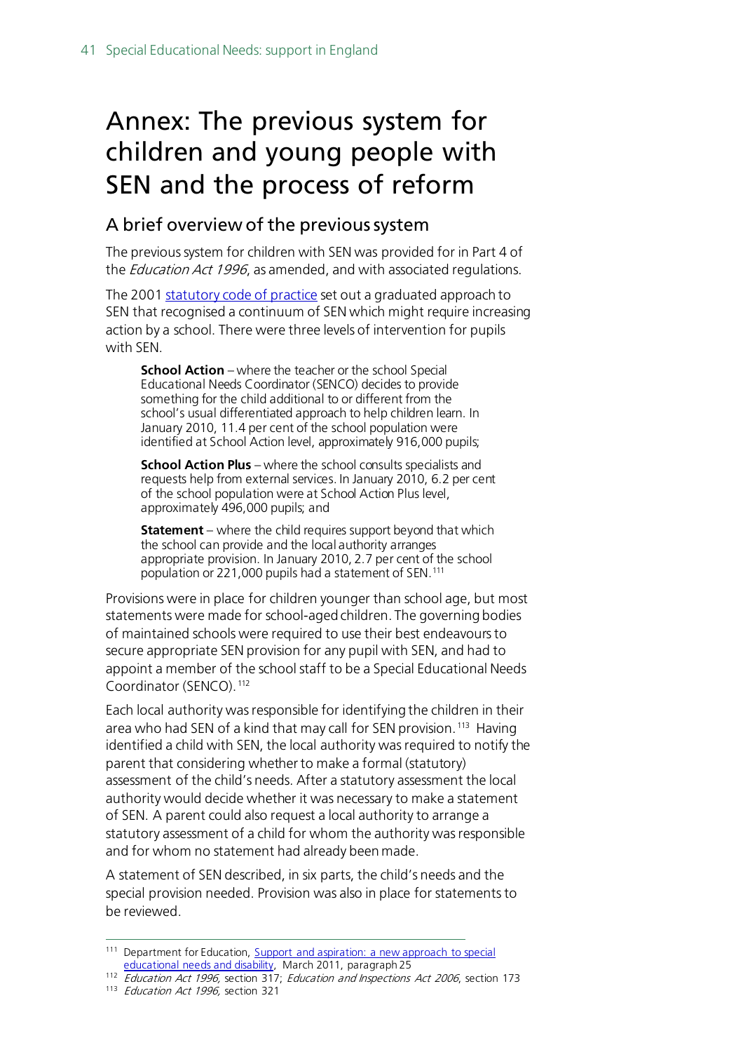# <span id="page-40-0"></span>Annex: The previous system for children and young people with SEN and the process of reform

#### A brief overview of the previous system

The previous system for children with SEN was provided for in Part 4 of the *Education Act 1996*, as amended, and with associated regulations.

The 2001 [statutory code of practice](http://webarchive.nationalarchives.gov.uk/20130401151715/https:/www.education.gov.uk/publications/standard/publicationdetail/page1/dfes%200581%202001) set out a graduated approach to SEN that recognised a continuum of SEN which might require increasing action by a school. There were three levels of intervention for pupils with SEN.

**School Action** – where the teacher or the school Special Educational Needs Coordinator (SENCO) decides to provide something for the child additional to or different from the school's usual differentiated approach to help children learn. In January 2010, 11.4 per cent of the school population were identified at School Action level, approximately 916,000 pupils;

**School Action Plus** – where the school consults specialists and requests help from external services. In January 2010, 6.2 per cent of the school population were at School Action Plus level, approximately 496,000 pupils; and

**Statement** – where the child requires support beyond that which the school can provide and the local authority arranges appropriate provision. In January 2010, 2.7 per cent of the school population or 221,000 pupils had a statement of SEN[.111](#page-40-1)

Provisions were in place for children younger than school age, but most statements were made for school-aged children. The governing bodies of maintained schools were required to use their best endeavours to secure appropriate SEN provision for any pupil with SEN, and had to appoint a member of the school staff to be a Special Educational Needs Coordinator (SENCO).<sup>[112](#page-40-2)</sup>

Each local authority was responsible for identifying the children in their area who had SEN of a kind that may call for SEN provision. [113](#page-40-3) Having identified a child with SEN, the local authority was required to notify the parent that considering whether to make a formal (statutory) assessment of the child's needs. After a statutory assessment the local authority would decide whether it was necessary to make a statement of SEN. A parent could also request a local authority to arrange a statutory assessment of a child for whom the authority was responsible and for whom no statement had already been made.

A statement of SEN described, in six parts, the child's needs and the special provision needed. Provision was also in place for statements to be reviewed.

<span id="page-40-1"></span><sup>111</sup> Department for Education, Support and aspiration: a new approach to special [educational needs and disability,](http://www.education.gov.uk/publications/standard/publicationDetail/Page1/CM%208027) March 2011, paragraph 25

<span id="page-40-2"></span><sup>112</sup> Education Act 1996, section 317; Education and Inspections Act 2006, section 173

<span id="page-40-3"></span><sup>&</sup>lt;sup>113</sup> Education Act 1996, section 321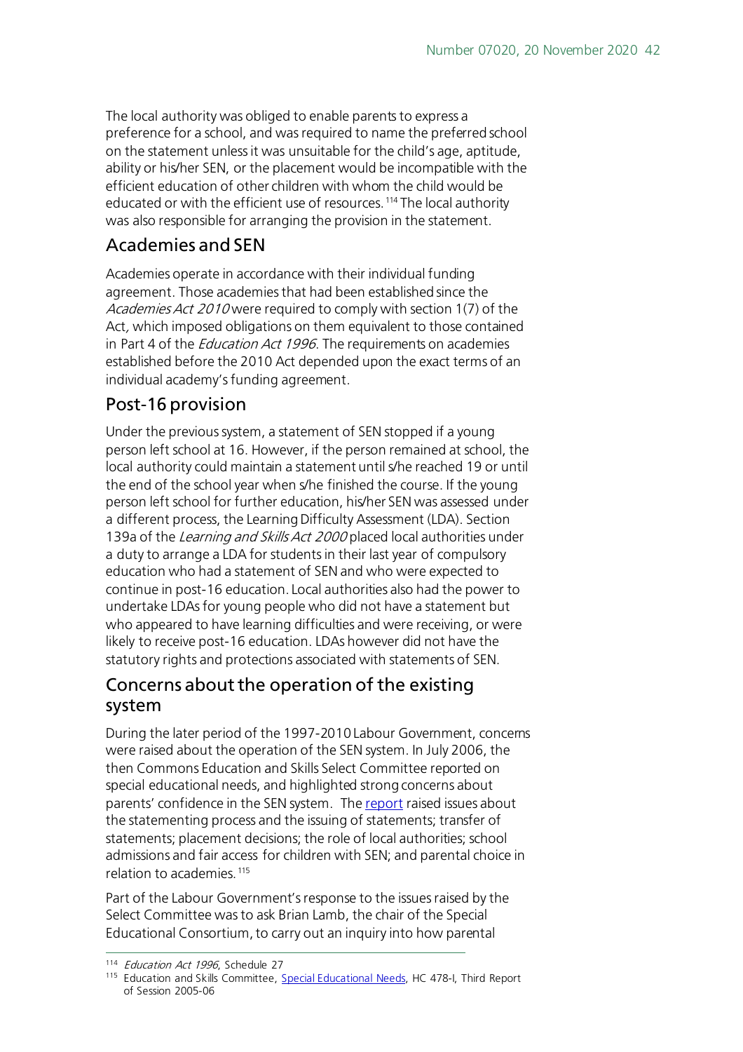The local authority was obliged to enable parents to express a preference for a school, and was required to name the preferred school on the statement unless it was unsuitable for the child's age, aptitude, ability or his/her SEN, or the placement would be incompatible with the efficient education of other children with whom the child would be educated or with the efficient use of resources.<sup>[114](#page-41-0)</sup> The local authority was also responsible for arranging the provision in the statement.

### Academies and SEN

Academies operate in accordance with their individual funding agreement. Those academies that had been established since the Academies Act 2010 were required to comply with section 1(7) of the Act, which imposed obligations on them equivalent to those contained in Part 4 of the *Education Act 1996*. The requirements on academies established before the 2010 Act depended upon the exact terms of an individual academy's funding agreement.

### Post-16 provision

Under the previous system, a statement of SEN stopped if a young person left school at 16. However, if the person remained at school, the local authority could maintain a statement until s/he reached 19 or until the end of the school year when s/he finished the course. If the young person left school for further education, his/her SEN was assessed under a different process, the Learning Difficulty Assessment (LDA). Section 139a of the Learning and Skills Act 2000 placed local authorities under a duty to arrange a LDA for students in their last year of compulsory education who had a statement of SEN and who were expected to continue in post-16 education. Local authorities also had the power to undertake LDAs for young people who did not have a statement but who appeared to have learning difficulties and were receiving, or were likely to receive post-16 education. LDAs however did not have the statutory rights and protections associated with statements of SEN.

### Concerns about the operation of the existing system

During the later period of the 1997-2010 Labour Government, concerns were raised about the operation of the SEN system. In July 2006, the then Commons Education and Skills Select Committee reported on special educational needs, and highlighted strong concerns about parents' confidence in the SEN system. The [report](http://www.publications.parliament.uk/pa/cm200506/cmselect/cmeduski/478/478i.pdf) raised issues about the statementing process and the issuing of statements; transfer of statements; placement decisions; the role of local authorities; school admissions and fair access for children with SEN; and parental choice in relation to academies.<sup>[115](#page-41-1)</sup>

Part of the Labour Government's response to the issues raised by the Select Committee was to ask Brian Lamb, the chair of the Special Educational Consortium, to carry out an inquiry into how parental

<span id="page-41-1"></span><span id="page-41-0"></span><sup>&</sup>lt;sup>114</sup> Education Act 1996, Schedule 27<br><sup>115</sup> Education and Skills Committee, [Special Educational Needs,](http://www.publications.parliament.uk/pa/cm200506/cmselect/cmeduski/478/478i.pdf) HC 478-I, Third Report of Session 2005-06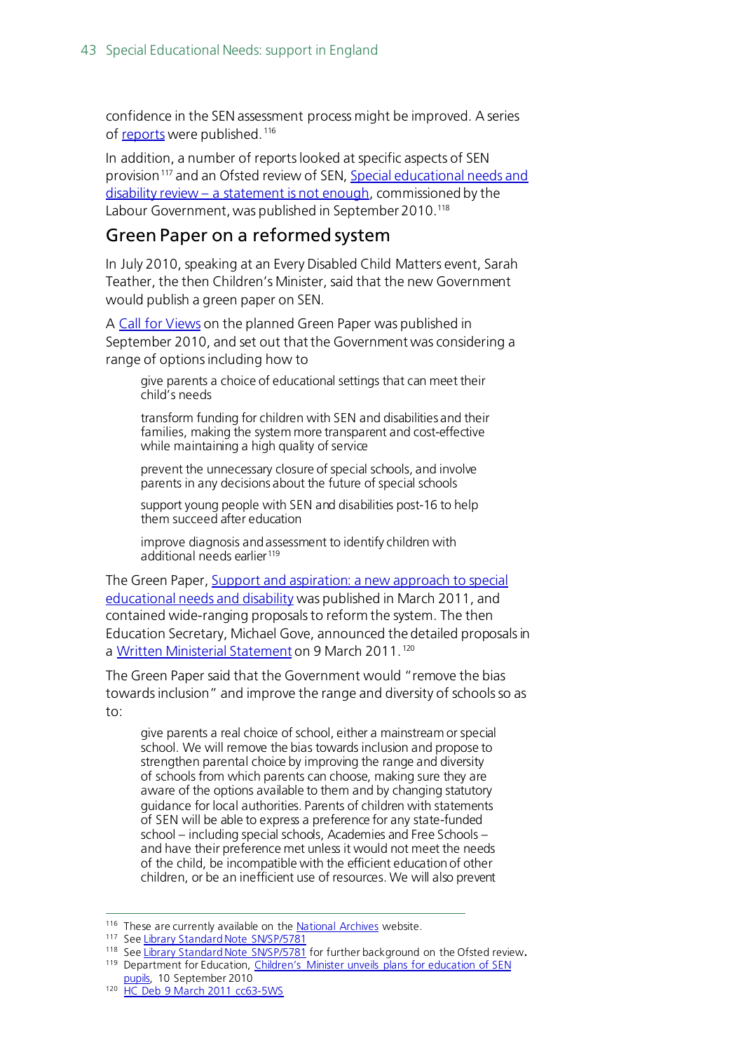confidence in the SEN assessment process might be improved. A series of [reports](http://webarchive.nationalarchives.gov.uk/20100202100434/dcsf.gov.uk/lambinquiry/) were published. [116](#page-42-0)

In addition, a number of reports looked at specific aspects of SEN provision<sup>[117](#page-42-1)</sup> and an Ofsted review of SEN. Special educational needs and disability review – [a statement is not enough](http://www.ofsted.gov.uk/Ofsted-home/Publications-and-research/Browse-all-by/Documents-by-type/Thematic-reports/The-special-educational-needs-and-disability-review), commissioned by the Labour Government, was published in September 2010.<sup>118</sup>

#### Green Paper on a reformed system

In July 2010, speaking at an Every Disabled Child Matters event, Sarah Teather, the then Children's Minister, said that the new Government would publish a green paper on SEN.

A [Call for Views](https://www.gov.uk/government/news/sen-and-disability-green-paper-government-calls-for-views) on the planned Green Paper was published in September 2010, and set out that the Government was considering a range of options including how to

give parents a choice of educational settings that can meet their child's needs

transform funding for children with SEN and disabilities and their families, making the system more transparent and cost-effective while maintaining a high quality of service

prevent the unnecessary closure of special schools, and involve parents in any decisions about the future of special schools

support young people with SEN and disabilities post-16 to help them succeed after education

improve diagnosis and assessment to identify children with additional needs earlier<sup>[119](#page-42-3)</sup>

The Green Paper[, Support and aspiration: a new approach to special](http://webarchive.nationalarchives.gov.uk/20130401151715/https:/www.education.gov.uk/publications/standard/publicationdetail/page1/cm%208027)  [educational needs and disability](http://webarchive.nationalarchives.gov.uk/20130401151715/https:/www.education.gov.uk/publications/standard/publicationdetail/page1/cm%208027) was published in March 2011, and contained wide-ranging proposals to reform the system. The then Education Secretary, Michael Gove, announced the detailed proposals in a [Written Ministerial Statement](http://www.publications.parliament.uk/pa/cm201011/cmhansrd/cm110309/wmstext/110309m0001.htm#11030942000012) on 9 March 2011. [120](#page-42-4)

The Green Paper said that the Government would "remove the bias towards inclusion" and improve the range and diversity of schools so as to:

give parents a real choice of school, either a mainstream or special school. We will remove the bias towards inclusion and propose to strengthen parental choice by improving the range and diversity of schools from which parents can choose, making sure they are aware of the options available to them and by changing statutory guidance for local authorities. Parents of children with statements of SEN will be able to express a preference for any state-funded school – including special schools, Academies and Free Schools – and have their preference met unless it would not meet the needs of the child, be incompatible with the efficient education of other children, or be an inefficient use of resources. We will also prevent

<span id="page-42-0"></span><sup>&</sup>lt;sup>116</sup> These are currently available on the **National Archives** website.

<span id="page-42-1"></span><sup>117</sup> Se[e Library Standard Note SN/SP/5781](http://www.parliament.uk/briefing-papers/SN03375)

<span id="page-42-3"></span><span id="page-42-2"></span><sup>118</sup> Se[e Library Standard Note SN/SP/5781](http://www.parliament.uk/briefing-papers/SN03375) for further background on the Ofsted review**.** <sup>119</sup> Department for Education, Children's Minister unveils plans for education of SEN

[pupils,](https://www.gov.uk/government/news/childrens-minister-unveils-plans-for-education-of-sen-pupils) 10 September 2010

<span id="page-42-4"></span><sup>120</sup> [HC Deb 9 March 2011 cc63-5WS](http://www.publications.parliament.uk/pa/cm201011/cmhansrd/cm110309/wmstext/110309m0001.htm#11030942000012)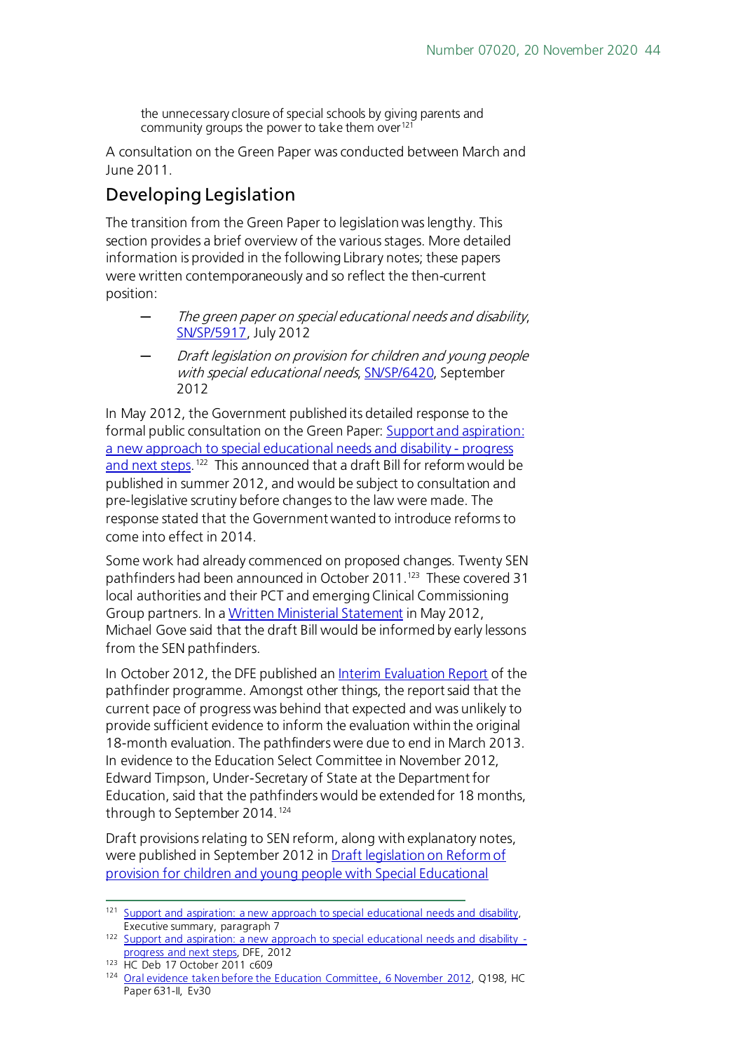the unnecessary closure of special schools by giving parents and community groups the power to take them over<sup>[121](#page-43-0)</sup>

A consultation on the Green Paper was conducted between March and June 2011.

### Developing Legislation

The transition from the Green Paper to legislation was lengthy. This section provides a brief overview of the various stages. More detailed information is provided in the following Library notes; these papers were written contemporaneously and so reflect the then-current position:

- The green paper on special educational needs and disability, [SN/SP/5917,](http://www.parliament.uk/briefing-papers/SN05917) July 2012
- ─ Draft legislation on provision for children and young people with special educational needs[, SN/SP/6420,](http://www.parliament.uk/briefing-papers/SN06420) September 2012

In May 2012, the Government published its detailed response to the formal public consultation on the Green Paper[: Support and aspiration:](http://media.education.gov.uk/assets/files/pdf/s/support%20and%20aspiration%20a%20new%20approach%20to%20special%20educational%20needs%20and%20disability%20%20%20progress%20and%20next%20steps.pdf)  [a new approach to special educational needs and disability -](http://media.education.gov.uk/assets/files/pdf/s/support%20and%20aspiration%20a%20new%20approach%20to%20special%20educational%20needs%20and%20disability%20%20%20progress%20and%20next%20steps.pdf) progress [and next steps.](http://media.education.gov.uk/assets/files/pdf/s/support%20and%20aspiration%20a%20new%20approach%20to%20special%20educational%20needs%20and%20disability%20%20%20progress%20and%20next%20steps.pdf)[122](#page-43-1) This announced that a draft Bill for reform would be published in summer 2012, and would be subject to consultation and pre-legislative scrutiny before changes to the law were made. The response stated that the Government wanted to introduce reforms to come into effect in 2014.

Some work had already commenced on proposed changes. Twenty SEN pathfinders had been announced in October 2011.<sup>123</sup> These covered 31 local authorities and their PCT and emerging Clinical Commissioning Group partners. In a [Written Ministerial Statement](http://www.publications.parliament.uk/pa/cm201213/cmhansrd/cm120515/wmstext/120515m0001.htm#12051577000003) in May 2012, Michael Gove said that the draft Bill would be informed by early lessons from the SEN pathfinders.

In October 2012, the DFE published a[n Interim Evaluation Report](https://www.gov.uk/government/uploads/system/uploads/attachment_data/file/183535/DFE-RR248.pdf) of the pathfinder programme. Amongst other things, the report said that the current pace of progress was behind that expected and was unlikely to provide sufficient evidence to inform the evaluation within the original 18-month evaluation. The pathfinders were due to end in March 2013. In evidence to the Education Select Committee in November 2012, Edward Timpson, Under-Secretary of State at the Department for Education, said that the pathfinders would be extended for 18 months, through to September 2014. [124](#page-43-3)

Draft provisions relating to SEN reform, along with explanatory notes, were published in September 2012 i[n Draft legislation on Reform of](http://www.official-documents.gov.uk/document/cm84/8438/8438.pdf)  [provision for children and young people with Special Educational](http://www.official-documents.gov.uk/document/cm84/8438/8438.pdf) 

<span id="page-43-0"></span><sup>&</sup>lt;sup>121</sup> Support and aspiration: a new approach to special educational needs and disability, Executive summary, paragraph 7

<span id="page-43-1"></span><sup>122</sup> [Support and aspiration: a new approach to special educational needs and disability](http://media.education.gov.uk/assets/files/pdf/s/support%20and%20aspiration%20a%20new%20approach%20to%20special%20educational%20needs%20and%20disability%20%20%20progress%20and%20next%20steps.pdf)  [progress and next steps,](http://media.education.gov.uk/assets/files/pdf/s/support%20and%20aspiration%20a%20new%20approach%20to%20special%20educational%20needs%20and%20disability%20%20%20progress%20and%20next%20steps.pdf) DFE, 2012

<span id="page-43-2"></span><sup>123</sup> HC Deb 17 October 2011 c609

<span id="page-43-3"></span><sup>124</sup> [Oral evidence taken before the Education Committee, 6 November 2012,](http://www.publications.parliament.uk/pa/cm201213/cmselect/cmeduc/631/63102.htm) Q198, HC Paper 631-II, Ev30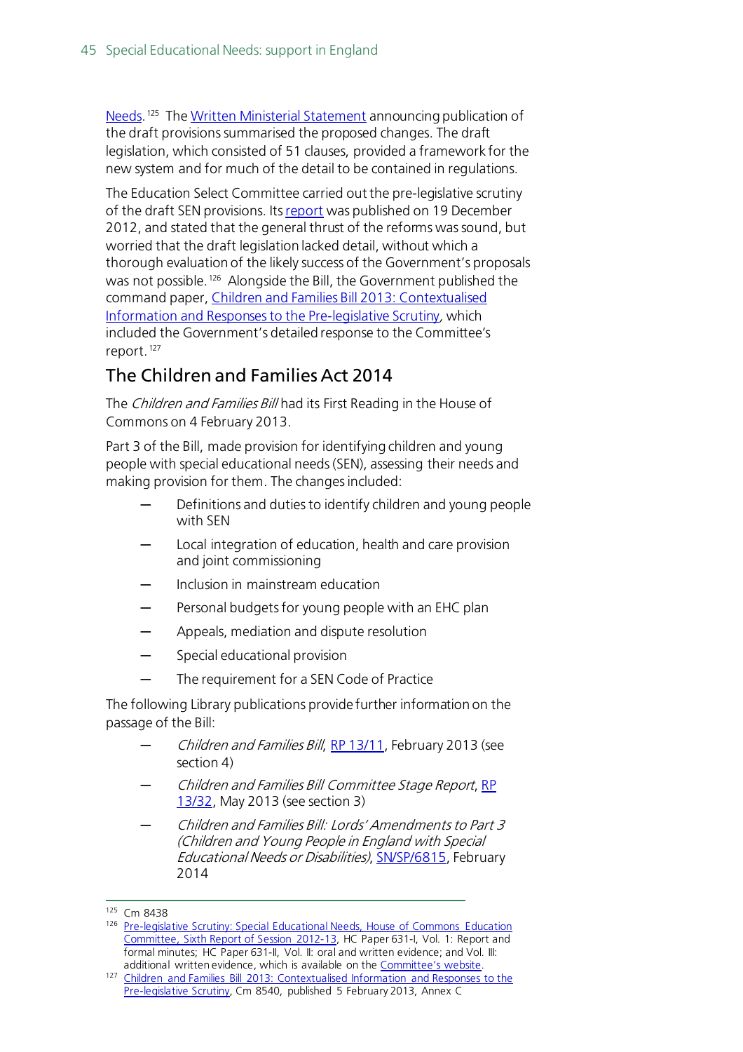[Needs.](http://www.official-documents.gov.uk/document/cm84/8438/8438.pdf)<sup>[125](#page-44-0)</sup> The [Written Ministerial Statement](http://www.publications.parliament.uk/pa/cm201213/cmhansrd/cm120903/wmstext/120903m0001.htm#12090313000005) announcing publication of the draft provisions summarised the proposed changes. The draft legislation, which consisted of 51 clauses, provided a framework for the new system and for much of the detail to be contained in regulations.

The Education Select Committee carried out the pre-legislative scrutiny of the draft SEN provisions. Its [report](http://www.publications.parliament.uk/pa/cm201213/cmselect/cmeduc/631/63102.htm) was published on 19 December 2012, and stated that the general thrust of the reforms was sound, but worried that the draft legislation lacked detail, without which a thorough evaluation of the likely success of the Government's proposals was not possible. [126](#page-44-1) Alongside the Bill, the Government published the command paper[, Children and Families Bill 2013: Contextualised](https://www.education.gov.uk/publications/eOrderingDownload/Children%20and%20Families%20Bill%202013.pdf)  [Information and Responses to the Pre-legislative Scrutiny](https://www.education.gov.uk/publications/eOrderingDownload/Children%20and%20Families%20Bill%202013.pdf), which included the Government's detailed response to the Committee's report. [127](#page-44-2)

### The Children and Families Act 2014

The Children and Families Bill had its First Reading in the House of Commons on 4 February 2013.

Part 3 of the Bill, made provision for identifying children and young people with special educational needs (SEN), assessing their needs and making provision for them. The changes included:

- Definitions and duties to identify children and young people with SEN
- Local integration of education, health and care provision and joint commissioning
- Inclusion in mainstream education
- Personal budgets for young people with an EHC plan
- Appeals, mediation and dispute resolution
- Special educational provision
- The requirement for a SEN Code of Practice

The following Library publications provide further information on the passage of the Bill:

- Children and Families Bill, [RP 13/11,](http://researchbriefings.parliament.uk/ResearchBriefing/Summary/RP13-11) February 2013 (see section 4)
- ─ Children and Families Bill Committee Stage Report[, RP](http://researchbriefings.parliament.uk/ResearchBriefing/Summary/RP13-32)  [13/32,](http://researchbriefings.parliament.uk/ResearchBriefing/Summary/RP13-32) May 2013 (see section 3)
- Children and Families Bill: Lords' Amendments to Part 3 (Children and Young People in England with Special Educational Needs or Disabilities), [SN/SP/6815,](http://researchbriefings.parliament.uk/ResearchBriefing/Summary/SN06815) February 2014

<span id="page-44-0"></span><sup>125</sup> Cm 8438

<span id="page-44-1"></span><sup>126</sup> Pre-legislative Scrutiny: Special Educational Needs, House of Commons Education [Committee, Sixth Report of Session 2012-13,](http://www.parliament.uk/business/committees/committees-a-z/commons-select/education-committee/inquiries/parliament-2010/sen/) HC Paper 631-I, Vol. 1: Report and formal minutes; HC Paper 631-II, Vol. II: oral and written evidence; and Vol. III: additional written evidence, which is available on the [Committee's website.](http://www.parliament.uk/business/committees/committees-a-z/commons-select/education-committee/inquiries/parliament-2010/sen/)

<span id="page-44-2"></span><sup>127</sup> Children and Families Bill 2013: Contextualised Information and Responses to the [Pre-legislative Scrutiny,](https://www.gov.uk/government/uploads/system/uploads/attachment_data/file/219658/Children_20and_20Families_20Bill_202013.pdf) Cm 8540, published 5 February 2013, Annex C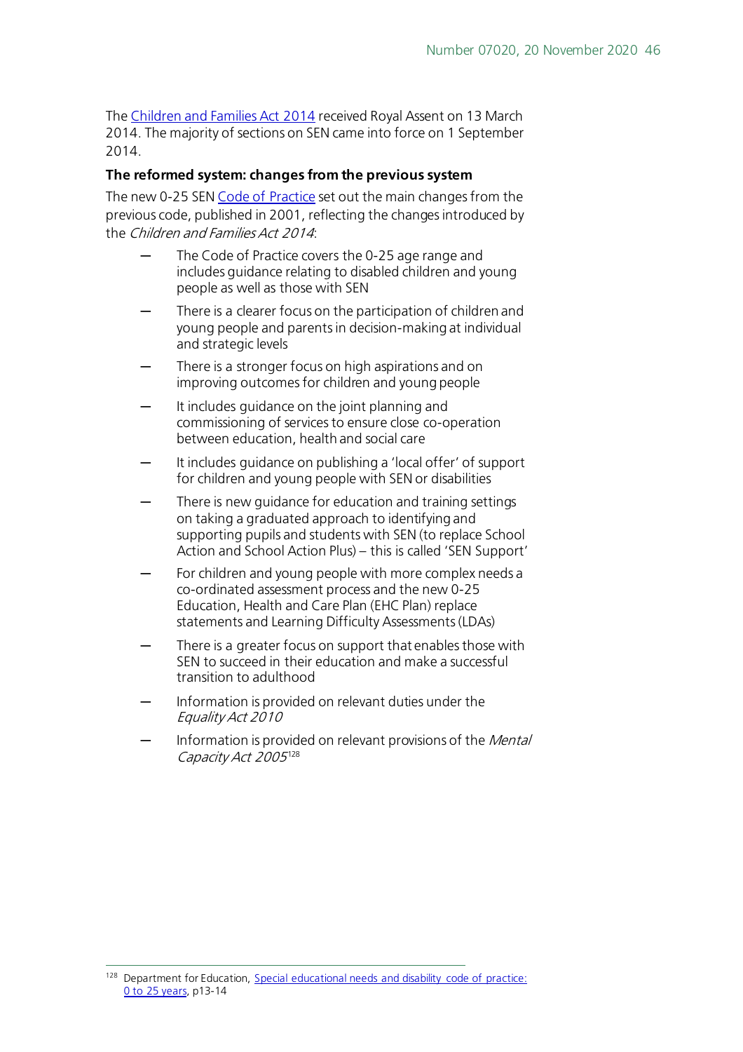The [Children and Families Act 2014](http://www.legislation.gov.uk/ukpga/2014/6/contents/enacted) received Royal Assent on 13 March 2014. The majority of sections on SEN came into force on 1 September 2014.

#### **The reformed system: changes from the previous system**

The new 0-25 SEN [Code of Practice](https://www.gov.uk/government/uploads/system/uploads/attachment_data/file/398815/SEND_Code_of_Practice_January_2015.pdf) set out the main changes from the previous code, published in 2001, reflecting the changes introduced by the Children and Families Act 2014:

- The Code of Practice covers the 0-25 age range and includes guidance relating to disabled children and young people as well as those with SEN
- There is a clearer focus on the participation of children and young people and parents in decision-making at individual and strategic levels
- There is a stronger focus on high aspirations and on improving outcomes for children and young people
- It includes guidance on the joint planning and commissioning of services to ensure close co-operation between education, health and social care
- It includes guidance on publishing a 'local offer' of support for children and young people with SEN or disabilities
- There is new guidance for education and training settings on taking a graduated approach to identifying and supporting pupils and students with SEN (to replace School Action and School Action Plus) – this is called 'SEN Support'
- For children and young people with more complex needs a co-ordinated assessment process and the new 0-25 Education, Health and Care Plan (EHC Plan) replace statements and Learning Difficulty Assessments (LDAs)
- There is a greater focus on support that enables those with SEN to succeed in their education and make a successful transition to adulthood
- Information is provided on relevant duties under the Equality Act 2010
- Information is provided on relevant provisions of the Mental Capacity Act 2005<sup>[128](#page-45-0)</sup>

<span id="page-45-0"></span><sup>&</sup>lt;sup>128</sup> Department for Education, Special educational needs and disability code of practice: [0 to 25 years,](https://www.gov.uk/government/uploads/system/uploads/attachment_data/file/398815/SEND_Code_of_Practice_January_2015.pdf) p13-14